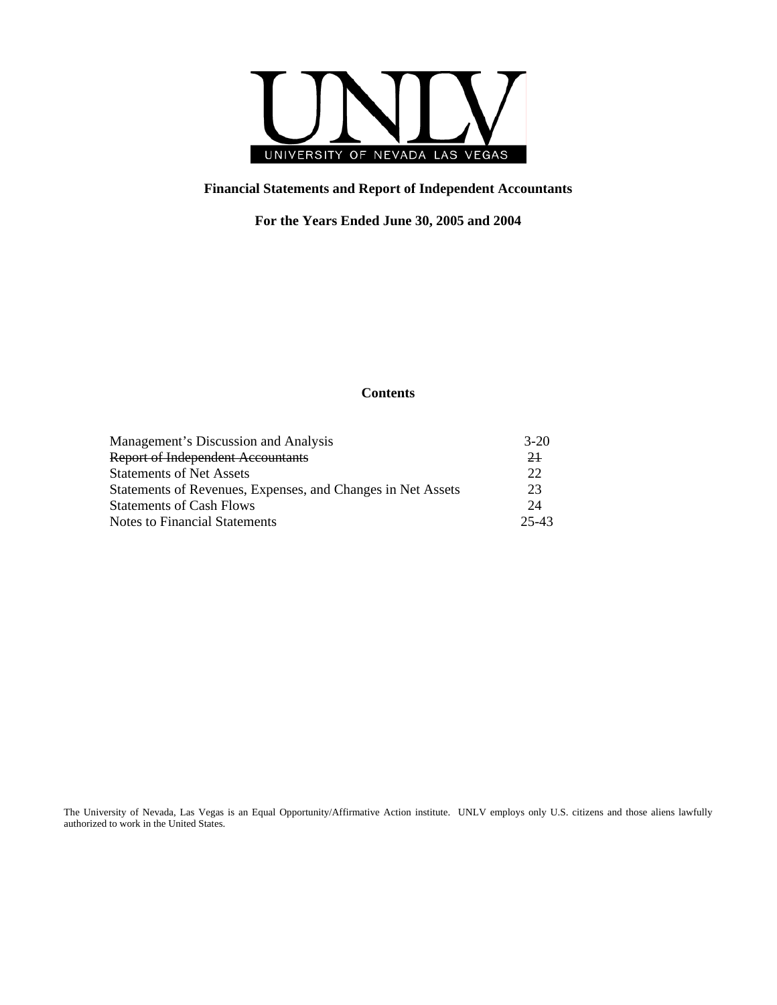

# **Financial Statements and Report of Independent Accountants**

**For the Years Ended June 30, 2005 and 2004** 

# **Contents**

| $3-20$  |
|---------|
| 21      |
| 22      |
| 23      |
| 24      |
| $25-43$ |
|         |

The University of Nevada, Las Vegas is an Equal Opportunity/Affirmative Action institute. UNLV employs only U.S. citizens and those aliens lawfully authorized to work in the United States.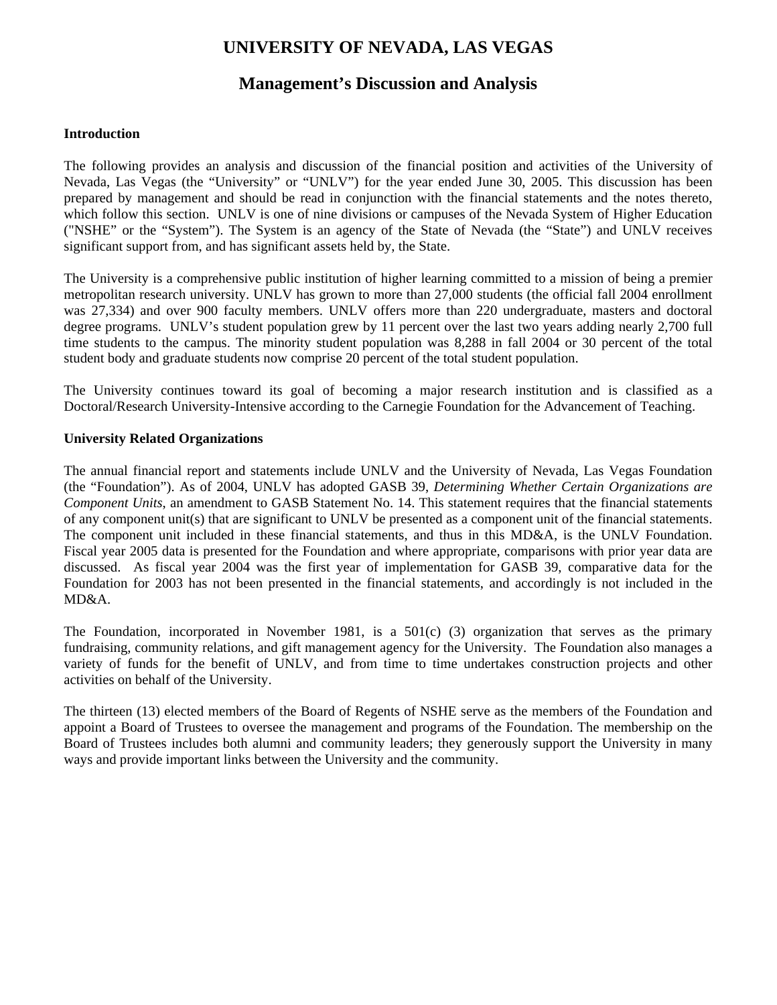# **Management's Discussion and Analysis**

## **Introduction**

The following provides an analysis and discussion of the financial position and activities of the University of Nevada, Las Vegas (the "University" or "UNLV") for the year ended June 30, 2005. This discussion has been prepared by management and should be read in conjunction with the financial statements and the notes thereto, which follow this section. UNLV is one of nine divisions or campuses of the Nevada System of Higher Education ("NSHE" or the "System"). The System is an agency of the State of Nevada (the "State") and UNLV receives significant support from, and has significant assets held by, the State.

The University is a comprehensive public institution of higher learning committed to a mission of being a premier metropolitan research university. UNLV has grown to more than 27,000 students (the official fall 2004 enrollment was 27,334) and over 900 faculty members. UNLV offers more than 220 undergraduate, masters and doctoral degree programs. UNLV's student population grew by 11 percent over the last two years adding nearly 2,700 full time students to the campus. The minority student population was 8,288 in fall 2004 or 30 percent of the total student body and graduate students now comprise 20 percent of the total student population.

The University continues toward its goal of becoming a major research institution and is classified as a Doctoral/Research University-Intensive according to the Carnegie Foundation for the Advancement of Teaching.

# **University Related Organizations**

The annual financial report and statements include UNLV and the University of Nevada, Las Vegas Foundation (the "Foundation"). As of 2004, UNLV has adopted GASB 39, *Determining Whether Certain Organizations are Component Units*, an amendment to GASB Statement No. 14. This statement requires that the financial statements of any component unit(s) that are significant to UNLV be presented as a component unit of the financial statements. The component unit included in these financial statements, and thus in this MD&A, is the UNLV Foundation. Fiscal year 2005 data is presented for the Foundation and where appropriate, comparisons with prior year data are discussed. As fiscal year 2004 was the first year of implementation for GASB 39, comparative data for the Foundation for 2003 has not been presented in the financial statements, and accordingly is not included in the MD&A.

The Foundation, incorporated in November 1981, is a  $501(c)$  (3) organization that serves as the primary fundraising, community relations, and gift management agency for the University. The Foundation also manages a variety of funds for the benefit of UNLV, and from time to time undertakes construction projects and other activities on behalf of the University.

The thirteen (13) elected members of the Board of Regents of NSHE serve as the members of the Foundation and appoint a Board of Trustees to oversee the management and programs of the Foundation. The membership on the Board of Trustees includes both alumni and community leaders; they generously support the University in many ways and provide important links between the University and the community.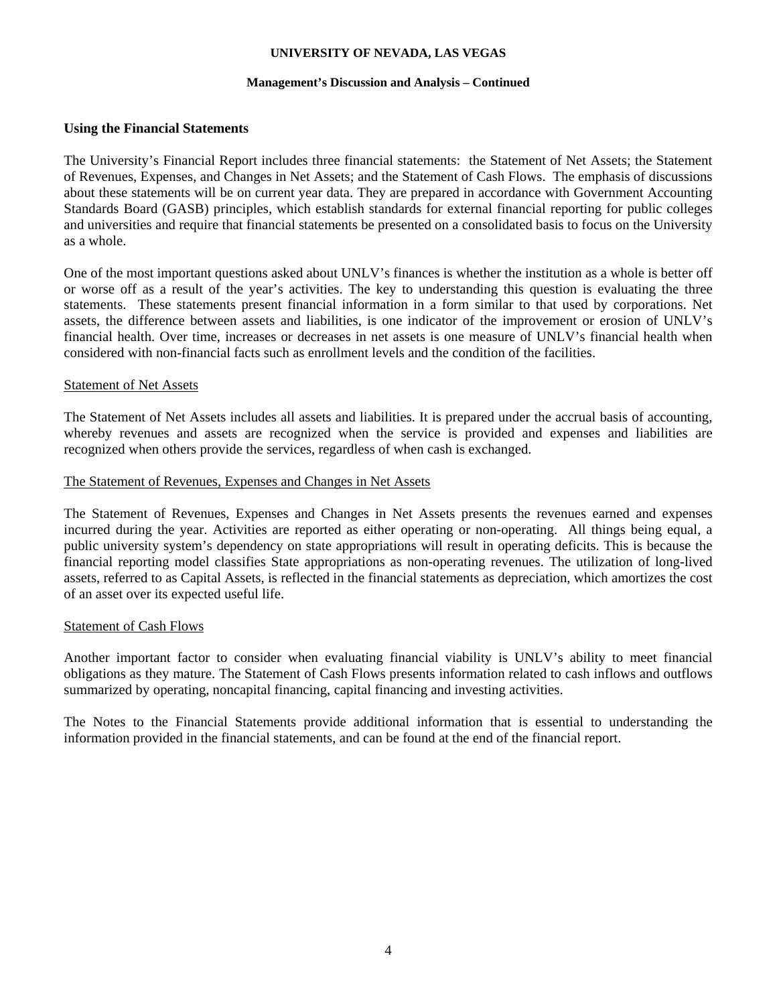## **Management's Discussion and Analysis – Continued**

## **Using the Financial Statements**

The University's Financial Report includes three financial statements: the Statement of Net Assets; the Statement of Revenues, Expenses, and Changes in Net Assets; and the Statement of Cash Flows. The emphasis of discussions about these statements will be on current year data. They are prepared in accordance with Government Accounting Standards Board (GASB) principles, which establish standards for external financial reporting for public colleges and universities and require that financial statements be presented on a consolidated basis to focus on the University as a whole.

One of the most important questions asked about UNLV's finances is whether the institution as a whole is better off or worse off as a result of the year's activities. The key to understanding this question is evaluating the three statements. These statements present financial information in a form similar to that used by corporations. Net assets, the difference between assets and liabilities, is one indicator of the improvement or erosion of UNLV's financial health. Over time, increases or decreases in net assets is one measure of UNLV's financial health when considered with non-financial facts such as enrollment levels and the condition of the facilities.

## Statement of Net Assets

The Statement of Net Assets includes all assets and liabilities. It is prepared under the accrual basis of accounting, whereby revenues and assets are recognized when the service is provided and expenses and liabilities are recognized when others provide the services, regardless of when cash is exchanged.

## The Statement of Revenues, Expenses and Changes in Net Assets

The Statement of Revenues, Expenses and Changes in Net Assets presents the revenues earned and expenses incurred during the year. Activities are reported as either operating or non-operating. All things being equal, a public university system's dependency on state appropriations will result in operating deficits. This is because the financial reporting model classifies State appropriations as non-operating revenues. The utilization of long-lived assets, referred to as Capital Assets, is reflected in the financial statements as depreciation, which amortizes the cost of an asset over its expected useful life.

## Statement of Cash Flows

Another important factor to consider when evaluating financial viability is UNLV's ability to meet financial obligations as they mature. The Statement of Cash Flows presents information related to cash inflows and outflows summarized by operating, noncapital financing, capital financing and investing activities.

The Notes to the Financial Statements provide additional information that is essential to understanding the information provided in the financial statements, and can be found at the end of the financial report.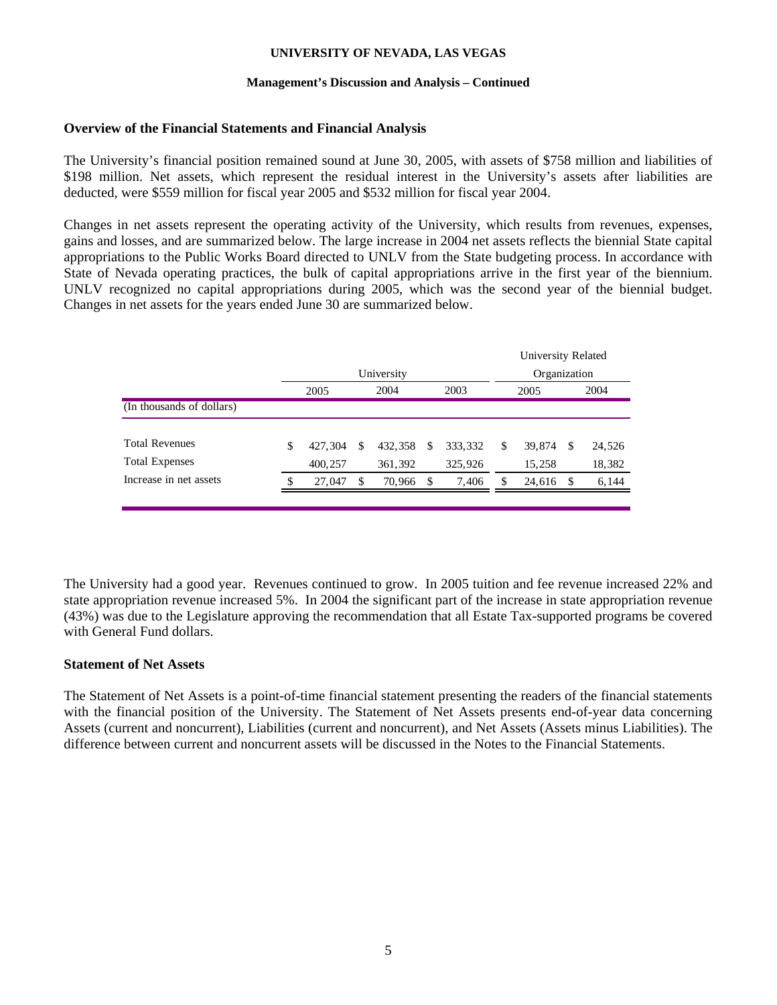## **Management's Discussion and Analysis – Continued**

## **Overview of the Financial Statements and Financial Analysis**

The University's financial position remained sound at June 30, 2005, with assets of \$758 million and liabilities of \$198 million. Net assets, which represent the residual interest in the University's assets after liabilities are deducted, were \$559 million for fiscal year 2005 and \$532 million for fiscal year 2004.

Changes in net assets represent the operating activity of the University, which results from revenues, expenses, gains and losses, and are summarized below. The large increase in 2004 net assets reflects the biennial State capital appropriations to the Public Works Board directed to UNLV from the State budgeting process. In accordance with State of Nevada operating practices, the bulk of capital appropriations arrive in the first year of the biennium. UNLV recognized no capital appropriations during 2005, which was the second year of the biennial budget. Changes in net assets for the years ended June 30 are summarized below.

|                           |               |            |              |    |         | University Related |     |        |
|---------------------------|---------------|------------|--------------|----|---------|--------------------|-----|--------|
|                           |               | University | Organization |    |         |                    |     |        |
|                           | 2005          |            | 2004         |    | 2003    | 2005               |     | 2004   |
| (In thousands of dollars) |               |            |              |    |         |                    |     |        |
|                           |               |            |              |    |         |                    |     |        |
| <b>Total Revenues</b>     | \$<br>427,304 | S          | 432,358      | S  | 333,332 | \$<br>39,874       | -S  | 24,526 |
| <b>Total Expenses</b>     | 400,257       |            | 361,392      |    | 325,926 | 15,258             |     | 18,382 |
| Increase in net assets    | \$<br>27,047  | S          | 70,966       | -S | 7,406   | \$<br>24,616       | -\$ | 6,144  |
|                           |               |            |              |    |         |                    |     |        |

The University had a good year. Revenues continued to grow. In 2005 tuition and fee revenue increased 22% and state appropriation revenue increased 5%. In 2004 the significant part of the increase in state appropriation revenue (43%) was due to the Legislature approving the recommendation that all Estate Tax-supported programs be covered with General Fund dollars.

# **Statement of Net Assets**

The Statement of Net Assets is a point-of-time financial statement presenting the readers of the financial statements with the financial position of the University. The Statement of Net Assets presents end-of-year data concerning Assets (current and noncurrent), Liabilities (current and noncurrent), and Net Assets (Assets minus Liabilities). The difference between current and noncurrent assets will be discussed in the Notes to the Financial Statements.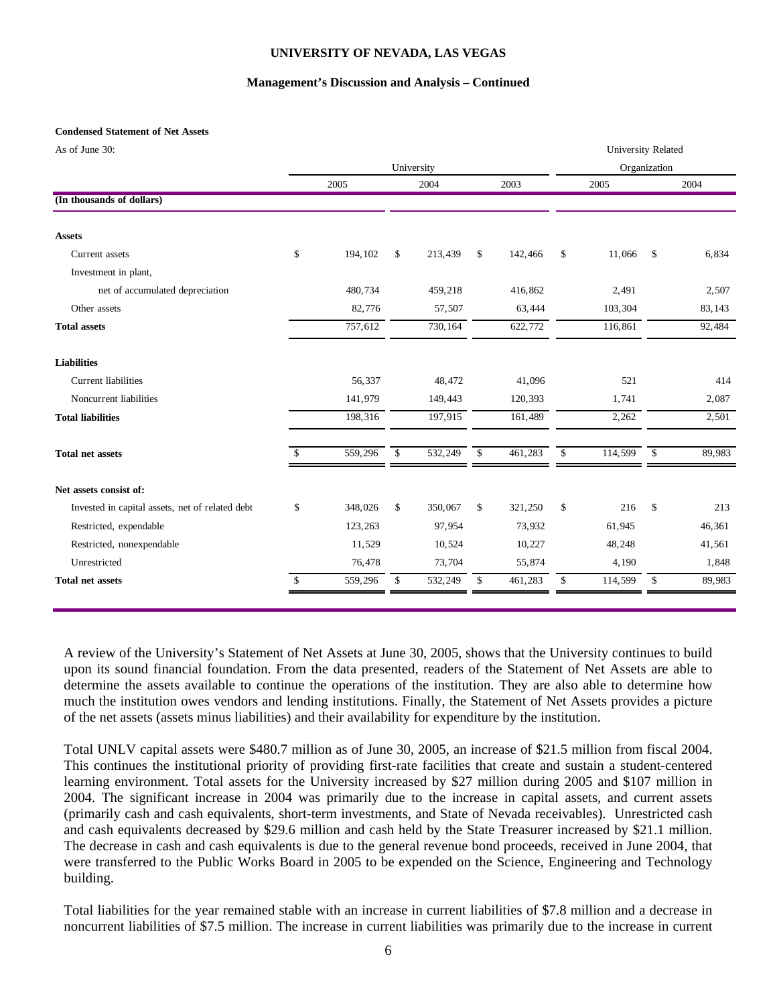## **Management's Discussion and Analysis – Continued**

## **Condensed Statement of Net Assets**

|  | As of June 30: |  |
|--|----------------|--|
|  |                |  |

| As of June 30:                                  |               |               |              |         |              | <b>University Related</b> |              |        |
|-------------------------------------------------|---------------|---------------|--------------|---------|--------------|---------------------------|--------------|--------|
|                                                 |               | University    |              |         |              |                           | Organization |        |
|                                                 | 2005          | 2004          |              | 2003    |              | 2005                      |              | 2004   |
| (In thousands of dollars)                       |               |               |              |         |              |                           |              |        |
| <b>Assets</b>                                   |               |               |              |         |              |                           |              |        |
| Current assets                                  | \$<br>194,102 | \$<br>213,439 | \$           | 142,466 | $\mathbb{S}$ | 11,066                    | $\mathbb{S}$ | 6,834  |
| Investment in plant,                            |               |               |              |         |              |                           |              |        |
| net of accumulated depreciation                 | 480,734       | 459,218       |              | 416,862 |              | 2,491                     |              | 2,507  |
| Other assets                                    | 82,776        | 57,507        |              | 63,444  |              | 103,304                   |              | 83,143 |
| <b>Total assets</b>                             | 757,612       | 730,164       |              | 622,772 |              | 116,861                   |              | 92,484 |
| <b>Liabilities</b>                              |               |               |              |         |              |                           |              |        |
| <b>Current liabilities</b>                      | 56,337        | 48,472        |              | 41,096  |              | 521                       |              | 414    |
| Noncurrent liabilities                          | 141,979       | 149,443       |              | 120,393 |              | 1,741                     |              | 2,087  |
| <b>Total liabilities</b>                        | 198,316       | 197,915       |              | 161,489 |              | 2,262                     |              | 2,501  |
| <b>Total net assets</b>                         | 559,296       | \$<br>532,249 | $\mathbb{S}$ | 461,283 | \$           | 114,599                   | \$           | 89,983 |
| Net assets consist of:                          |               |               |              |         |              |                           |              |        |
| Invested in capital assets, net of related debt | \$<br>348,026 | \$<br>350,067 | \$           | 321,250 | \$           | 216                       | \$           | 213    |
| Restricted, expendable                          | 123,263       | 97,954        |              | 73,932  |              | 61,945                    |              | 46,361 |
| Restricted, nonexpendable                       | 11,529        | 10,524        |              | 10,227  |              | 48,248                    |              | 41,561 |
| Unrestricted                                    | 76,478        | 73,704        |              | 55,874  |              | 4,190                     |              | 1,848  |
| <b>Total net assets</b>                         | \$<br>559,296 | \$<br>532,249 | \$           | 461,283 | \$           | 114,599                   | \$           | 89,983 |
|                                                 |               |               |              |         |              |                           |              |        |

A review of the University's Statement of Net Assets at June 30, 2005, shows that the University continues to build upon its sound financial foundation. From the data presented, readers of the Statement of Net Assets are able to determine the assets available to continue the operations of the institution. They are also able to determine how much the institution owes vendors and lending institutions. Finally, the Statement of Net Assets provides a picture of the net assets (assets minus liabilities) and their availability for expenditure by the institution.

Total UNLV capital assets were \$480.7 million as of June 30, 2005, an increase of \$21.5 million from fiscal 2004. This continues the institutional priority of providing first-rate facilities that create and sustain a student-centered learning environment. Total assets for the University increased by \$27 million during 2005 and \$107 million in 2004. The significant increase in 2004 was primarily due to the increase in capital assets, and current assets (primarily cash and cash equivalents, short-term investments, and State of Nevada receivables). Unrestricted cash and cash equivalents decreased by \$29.6 million and cash held by the State Treasurer increased by \$21.1 million. The decrease in cash and cash equivalents is due to the general revenue bond proceeds, received in June 2004, that were transferred to the Public Works Board in 2005 to be expended on the Science, Engineering and Technology building.

Total liabilities for the year remained stable with an increase in current liabilities of \$7.8 million and a decrease in noncurrent liabilities of \$7.5 million. The increase in current liabilities was primarily due to the increase in current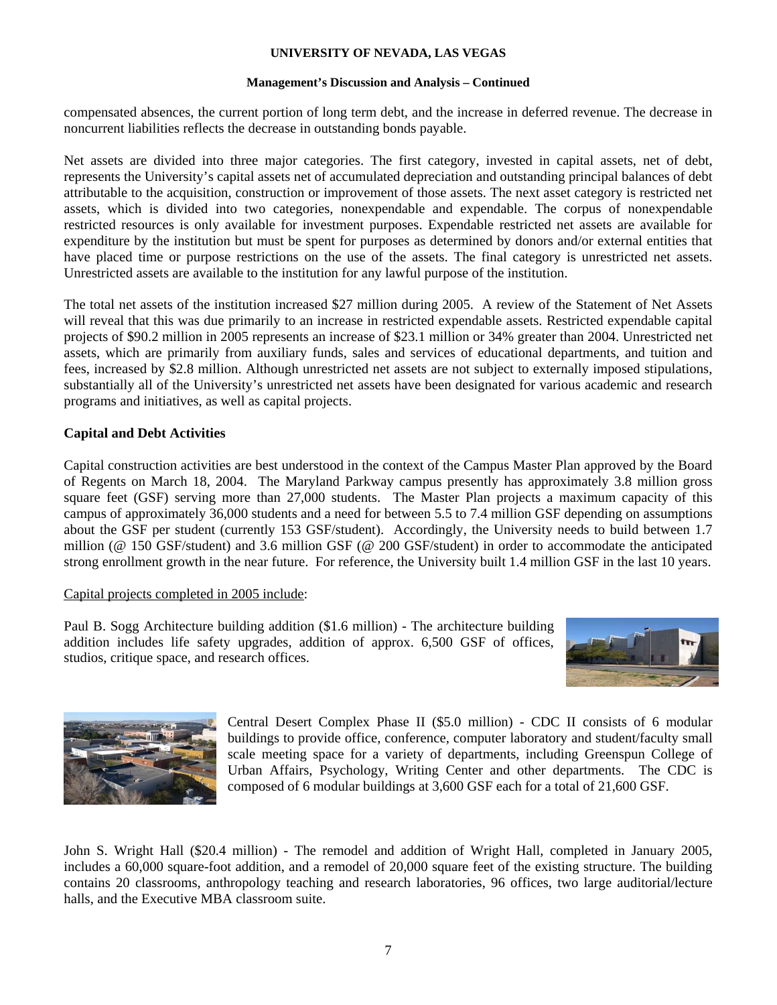## **Management's Discussion and Analysis – Continued**

compensated absences, the current portion of long term debt, and the increase in deferred revenue. The decrease in noncurrent liabilities reflects the decrease in outstanding bonds payable.

Net assets are divided into three major categories. The first category, invested in capital assets, net of debt, represents the University's capital assets net of accumulated depreciation and outstanding principal balances of debt attributable to the acquisition, construction or improvement of those assets. The next asset category is restricted net assets, which is divided into two categories, nonexpendable and expendable. The corpus of nonexpendable restricted resources is only available for investment purposes. Expendable restricted net assets are available for expenditure by the institution but must be spent for purposes as determined by donors and/or external entities that have placed time or purpose restrictions on the use of the assets. The final category is unrestricted net assets. Unrestricted assets are available to the institution for any lawful purpose of the institution.

The total net assets of the institution increased \$27 million during 2005. A review of the Statement of Net Assets will reveal that this was due primarily to an increase in restricted expendable assets. Restricted expendable capital projects of \$90.2 million in 2005 represents an increase of \$23.1 million or 34% greater than 2004. Unrestricted net assets, which are primarily from auxiliary funds, sales and services of educational departments, and tuition and fees, increased by \$2.8 million. Although unrestricted net assets are not subject to externally imposed stipulations, substantially all of the University's unrestricted net assets have been designated for various academic and research programs and initiatives, as well as capital projects.

# **Capital and Debt Activities**

Capital construction activities are best understood in the context of the Campus Master Plan approved by the Board of Regents on March 18, 2004. The Maryland Parkway campus presently has approximately 3.8 million gross square feet (GSF) serving more than 27,000 students. The Master Plan projects a maximum capacity of this campus of approximately 36,000 students and a need for between 5.5 to 7.4 million GSF depending on assumptions about the GSF per student (currently 153 GSF/student). Accordingly, the University needs to build between 1.7 million (@ 150 GSF/student) and 3.6 million GSF (@ 200 GSF/student) in order to accommodate the anticipated strong enrollment growth in the near future. For reference, the University built 1.4 million GSF in the last 10 years.

# Capital projects completed in 2005 include:

Paul B. Sogg Architecture building addition (\$1.6 million) - The architecture building addition includes life safety upgrades, addition of approx. 6,500 GSF of offices, studios, critique space, and research offices.





Central Desert Complex Phase II (\$5.0 million) - CDC II consists of 6 modular buildings to provide office, conference, computer laboratory and student/faculty small scale meeting space for a variety of departments, including Greenspun College of Urban Affairs, Psychology, Writing Center and other departments. The CDC is composed of 6 modular buildings at 3,600 GSF each for a total of 21,600 GSF.

John S. Wright Hall (\$20.4 million) - The remodel and addition of Wright Hall, completed in January 2005, includes a 60,000 square-foot addition, and a remodel of 20,000 square feet of the existing structure. The building contains 20 classrooms, anthropology teaching and research laboratories, 96 offices, two large auditorial/lecture halls, and the Executive MBA classroom suite.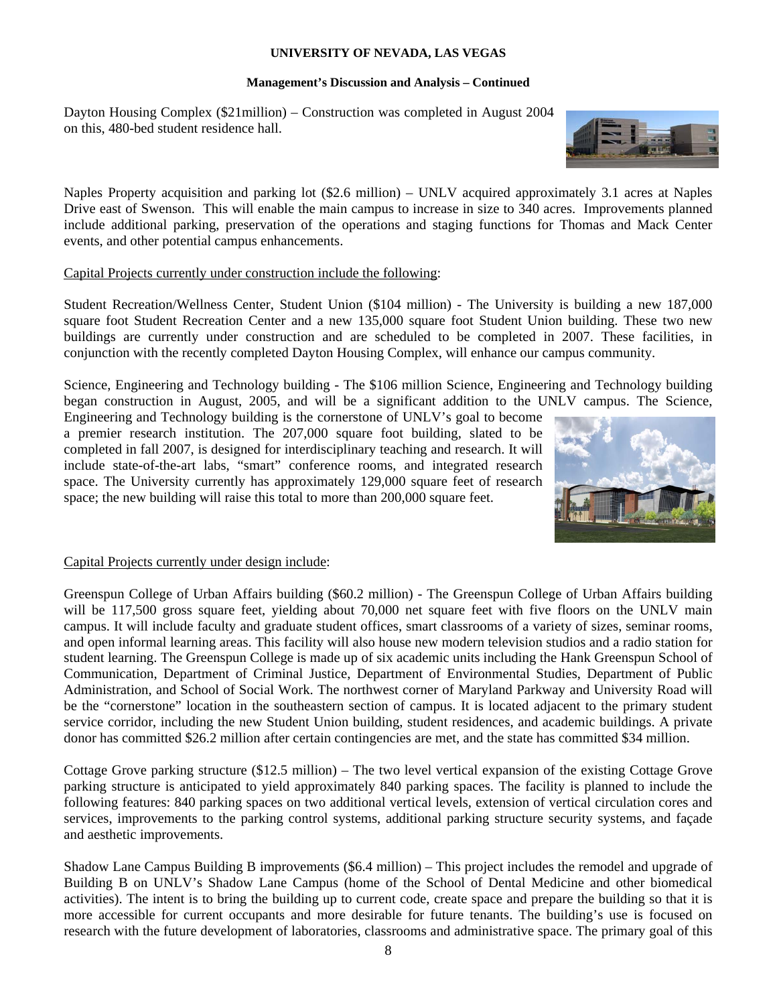## **Management's Discussion and Analysis – Continued**

Dayton Housing Complex (\$21million) – Construction was completed in August 2004 on this, 480-bed student residence hall.

Naples Property acquisition and parking lot (\$2.6 million) – UNLV acquired approximately 3.1 acres at Naples Drive east of Swenson. This will enable the main campus to increase in size to 340 acres. Improvements planned include additional parking, preservation of the operations and staging functions for Thomas and Mack Center events, and other potential campus enhancements.

# Capital Projects currently under construction include the following:

Student Recreation/Wellness Center, Student Union (\$104 million) - The University is building a new 187,000 square foot Student Recreation Center and a new 135,000 square foot Student Union building. These two new buildings are currently under construction and are scheduled to be completed in 2007. These facilities, in conjunction with the recently completed Dayton Housing Complex, will enhance our campus community.

Science, Engineering and Technology building - The \$106 million Science, Engineering and Technology building began construction in August, 2005, and will be a significant addition to the UNLV campus. The Science,

Engineering and Technology building is the cornerstone of UNLV's goal to become a premier research institution. The 207,000 square foot building, slated to be completed in fall 2007, is designed for interdisciplinary teaching and research. It will include state-of-the-art labs, "smart" conference rooms, and integrated research space. The University currently has approximately 129,000 square feet of research space; the new building will raise this total to more than 200,000 square feet.



# Capital Projects currently under design include:

Greenspun College of Urban Affairs building (\$60.2 million) - The Greenspun College of Urban Affairs building will be 117,500 gross square feet, yielding about 70,000 net square feet with five floors on the UNLV main campus. It will include faculty and graduate student offices, smart classrooms of a variety of sizes, seminar rooms, and open informal learning areas. This facility will also house new modern television studios and a radio station for student learning. The Greenspun College is made up of six academic units including the Hank Greenspun School of Communication, Department of Criminal Justice, Department of Environmental Studies, Department of Public Administration, and School of Social Work. The northwest corner of Maryland Parkway and University Road will be the "cornerstone" location in the southeastern section of campus. It is located adjacent to the primary student service corridor, including the new Student Union building, student residences, and academic buildings. A private donor has committed \$26.2 million after certain contingencies are met, and the state has committed \$34 million.

Cottage Grove parking structure (\$12.5 million) – The two level vertical expansion of the existing Cottage Grove parking structure is anticipated to yield approximately 840 parking spaces. The facility is planned to include the following features: 840 parking spaces on two additional vertical levels, extension of vertical circulation cores and services, improvements to the parking control systems, additional parking structure security systems, and façade and aesthetic improvements.

Shadow Lane Campus Building B improvements (\$6.4 million) – This project includes the remodel and upgrade of Building B on UNLV's Shadow Lane Campus (home of the School of Dental Medicine and other biomedical activities). The intent is to bring the building up to current code, create space and prepare the building so that it is more accessible for current occupants and more desirable for future tenants. The building's use is focused on research with the future development of laboratories, classrooms and administrative space. The primary goal of this

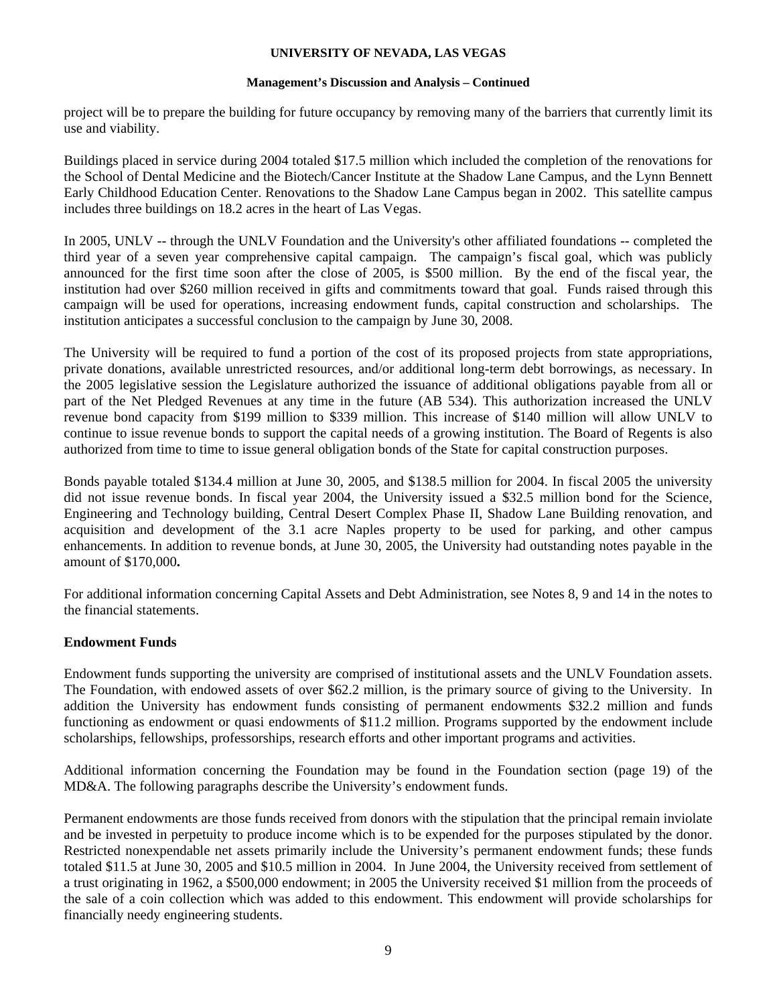## **Management's Discussion and Analysis – Continued**

project will be to prepare the building for future occupancy by removing many of the barriers that currently limit its use and viability.

Buildings placed in service during 2004 totaled \$17.5 million which included the completion of the renovations for the School of Dental Medicine and the Biotech/Cancer Institute at the Shadow Lane Campus, and the Lynn Bennett Early Childhood Education Center. Renovations to the Shadow Lane Campus began in 2002. This satellite campus includes three buildings on 18.2 acres in the heart of Las Vegas.

In 2005, UNLV -- through the UNLV Foundation and the University's other affiliated foundations -- completed the third year of a seven year comprehensive capital campaign. The campaign's fiscal goal, which was publicly announced for the first time soon after the close of 2005, is \$500 million. By the end of the fiscal year, the institution had over \$260 million received in gifts and commitments toward that goal. Funds raised through this campaign will be used for operations, increasing endowment funds, capital construction and scholarships. The institution anticipates a successful conclusion to the campaign by June 30, 2008.

The University will be required to fund a portion of the cost of its proposed projects from state appropriations, private donations, available unrestricted resources, and/or additional long-term debt borrowings, as necessary. In the 2005 legislative session the Legislature authorized the issuance of additional obligations payable from all or part of the Net Pledged Revenues at any time in the future (AB 534). This authorization increased the UNLV revenue bond capacity from \$199 million to \$339 million. This increase of \$140 million will allow UNLV to continue to issue revenue bonds to support the capital needs of a growing institution. The Board of Regents is also authorized from time to time to issue general obligation bonds of the State for capital construction purposes.

Bonds payable totaled \$134.4 million at June 30, 2005, and \$138.5 million for 2004. In fiscal 2005 the university did not issue revenue bonds. In fiscal year 2004, the University issued a \$32.5 million bond for the Science, Engineering and Technology building, Central Desert Complex Phase II, Shadow Lane Building renovation, and acquisition and development of the 3.1 acre Naples property to be used for parking, and other campus enhancements. In addition to revenue bonds, at June 30, 2005, the University had outstanding notes payable in the amount of \$170,000**.** 

For additional information concerning Capital Assets and Debt Administration, see Notes 8, 9 and 14 in the notes to the financial statements.

# **Endowment Funds**

Endowment funds supporting the university are comprised of institutional assets and the UNLV Foundation assets. The Foundation, with endowed assets of over \$62.2 million, is the primary source of giving to the University. In addition the University has endowment funds consisting of permanent endowments \$32.2 million and funds functioning as endowment or quasi endowments of \$11.2 million. Programs supported by the endowment include scholarships, fellowships, professorships, research efforts and other important programs and activities.

Additional information concerning the Foundation may be found in the Foundation section (page 19) of the MD&A. The following paragraphs describe the University's endowment funds.

Permanent endowments are those funds received from donors with the stipulation that the principal remain inviolate and be invested in perpetuity to produce income which is to be expended for the purposes stipulated by the donor. Restricted nonexpendable net assets primarily include the University's permanent endowment funds; these funds totaled \$11.5 at June 30, 2005 and \$10.5 million in 2004. In June 2004, the University received from settlement of a trust originating in 1962, a \$500,000 endowment; in 2005 the University received \$1 million from the proceeds of the sale of a coin collection which was added to this endowment. This endowment will provide scholarships for financially needy engineering students.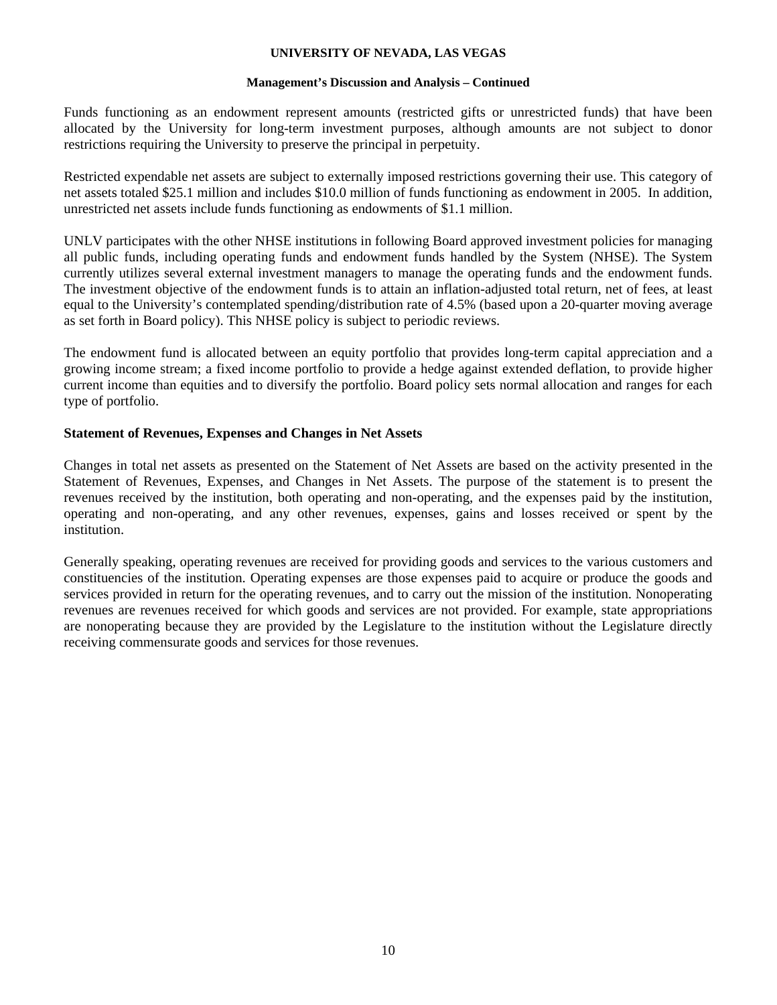## **Management's Discussion and Analysis – Continued**

Funds functioning as an endowment represent amounts (restricted gifts or unrestricted funds) that have been allocated by the University for long-term investment purposes, although amounts are not subject to donor restrictions requiring the University to preserve the principal in perpetuity.

Restricted expendable net assets are subject to externally imposed restrictions governing their use. This category of net assets totaled \$25.1 million and includes \$10.0 million of funds functioning as endowment in 2005. In addition, unrestricted net assets include funds functioning as endowments of \$1.1 million.

UNLV participates with the other NHSE institutions in following Board approved investment policies for managing all public funds, including operating funds and endowment funds handled by the System (NHSE). The System currently utilizes several external investment managers to manage the operating funds and the endowment funds. The investment objective of the endowment funds is to attain an inflation-adjusted total return, net of fees, at least equal to the University's contemplated spending/distribution rate of 4.5% (based upon a 20-quarter moving average as set forth in Board policy). This NHSE policy is subject to periodic reviews.

The endowment fund is allocated between an equity portfolio that provides long-term capital appreciation and a growing income stream; a fixed income portfolio to provide a hedge against extended deflation, to provide higher current income than equities and to diversify the portfolio. Board policy sets normal allocation and ranges for each type of portfolio.

# **Statement of Revenues, Expenses and Changes in Net Assets**

Changes in total net assets as presented on the Statement of Net Assets are based on the activity presented in the Statement of Revenues, Expenses, and Changes in Net Assets. The purpose of the statement is to present the revenues received by the institution, both operating and non-operating, and the expenses paid by the institution, operating and non-operating, and any other revenues, expenses, gains and losses received or spent by the institution.

Generally speaking, operating revenues are received for providing goods and services to the various customers and constituencies of the institution. Operating expenses are those expenses paid to acquire or produce the goods and services provided in return for the operating revenues, and to carry out the mission of the institution. Nonoperating revenues are revenues received for which goods and services are not provided. For example, state appropriations are nonoperating because they are provided by the Legislature to the institution without the Legislature directly receiving commensurate goods and services for those revenues.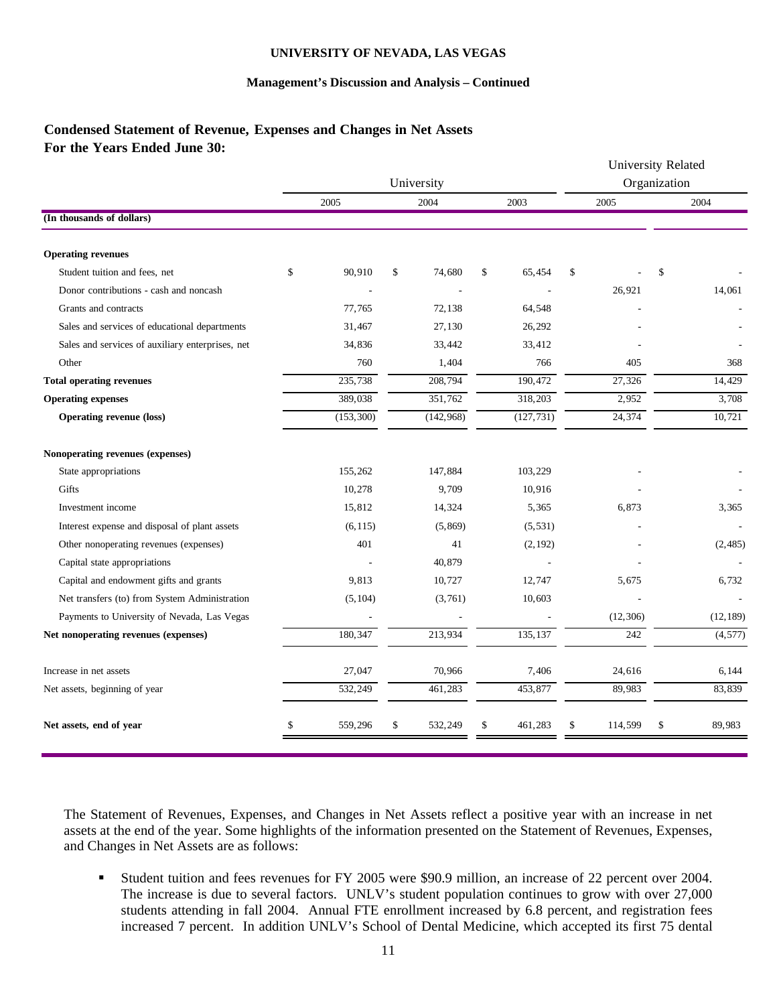## **Management's Discussion and Analysis – Continued**

# **Condensed Statement of Revenue, Expenses and Changes in Net Assets For the Years Ended June 30:**

|                                                  |    |            |    |            |    |            | University Related<br>Organization |    |           |
|--------------------------------------------------|----|------------|----|------------|----|------------|------------------------------------|----|-----------|
|                                                  |    |            |    | University |    |            |                                    |    |           |
|                                                  |    | 2005       |    | 2004       |    | 2003       | 2005                               |    | 2004      |
| (In thousands of dollars)                        |    |            |    |            |    |            |                                    |    |           |
| <b>Operating revenues</b>                        |    |            |    |            |    |            |                                    |    |           |
| Student tuition and fees, net                    | \$ | 90,910     | \$ | 74,680     | \$ | 65,454     | \$                                 | \$ |           |
| Donor contributions - cash and noncash           |    |            |    |            |    |            | 26,921                             |    | 14.061    |
| Grants and contracts                             |    | 77,765     |    | 72,138     |    | 64,548     |                                    |    |           |
| Sales and services of educational departments    |    | 31,467     |    | 27,130     |    | 26,292     |                                    |    |           |
| Sales and services of auxiliary enterprises, net |    | 34,836     |    | 33,442     |    | 33,412     |                                    |    |           |
| Other                                            |    | 760        |    | 1,404      |    | 766        | 405                                |    | 368       |
| <b>Total operating revenues</b>                  |    | 235,738    |    | 208,794    |    | 190,472    | 27,326                             |    | 14,429    |
| <b>Operating expenses</b>                        |    | 389,038    |    | 351,762    |    | 318,203    | 2,952                              |    | 3,708     |
| <b>Operating revenue (loss)</b>                  |    | (153, 300) |    | (142, 968) |    | (127, 731) | 24,374                             |    | 10,721    |
| Nonoperating revenues (expenses)                 |    |            |    |            |    |            |                                    |    |           |
| State appropriations                             |    | 155,262    |    | 147,884    |    | 103,229    |                                    |    |           |
| Gifts                                            |    | 10,278     |    | 9,709      |    | 10,916     |                                    |    |           |
| Investment income                                |    | 15,812     |    | 14,324     |    | 5,365      | 6,873                              |    | 3,365     |
| Interest expense and disposal of plant assets    |    | (6, 115)   |    | (5, 869)   |    | (5, 531)   |                                    |    |           |
| Other nonoperating revenues (expenses)           |    | 401        |    | 41         |    | (2, 192)   |                                    |    | (2,485)   |
| Capital state appropriations                     |    |            |    | 40,879     |    |            |                                    |    |           |
| Capital and endowment gifts and grants           |    | 9,813      |    | 10,727     |    | 12,747     | 5,675                              |    | 6,732     |
| Net transfers (to) from System Administration    |    | (5, 104)   |    | (3,761)    |    | 10,603     |                                    |    |           |
| Payments to University of Nevada, Las Vegas      |    |            |    |            |    |            | (12, 306)                          |    | (12, 189) |
| Net nonoperating revenues (expenses)             |    | 180,347    |    | 213,934    |    | 135,137    | 242                                |    | (4, 577)  |
| Increase in net assets                           |    | 27,047     |    | 70,966     |    | 7,406      | 24,616                             |    | 6,144     |
| Net assets, beginning of year                    |    | 532,249    |    | 461,283    |    | 453,877    | 89,983                             |    | 83,839    |
| Net assets, end of year                          | S  | 559,296    | \$ | 532,249    | \$ | 461,283    | \$<br>114,599                      | \$ | 89,983    |

The Statement of Revenues, Expenses, and Changes in Net Assets reflect a positive year with an increase in net assets at the end of the year. Some highlights of the information presented on the Statement of Revenues, Expenses, and Changes in Net Assets are as follows:

 Student tuition and fees revenues for FY 2005 were \$90.9 million, an increase of 22 percent over 2004. The increase is due to several factors. UNLV's student population continues to grow with over 27,000 students attending in fall 2004. Annual FTE enrollment increased by 6.8 percent, and registration fees increased 7 percent. In addition UNLV's School of Dental Medicine, which accepted its first 75 dental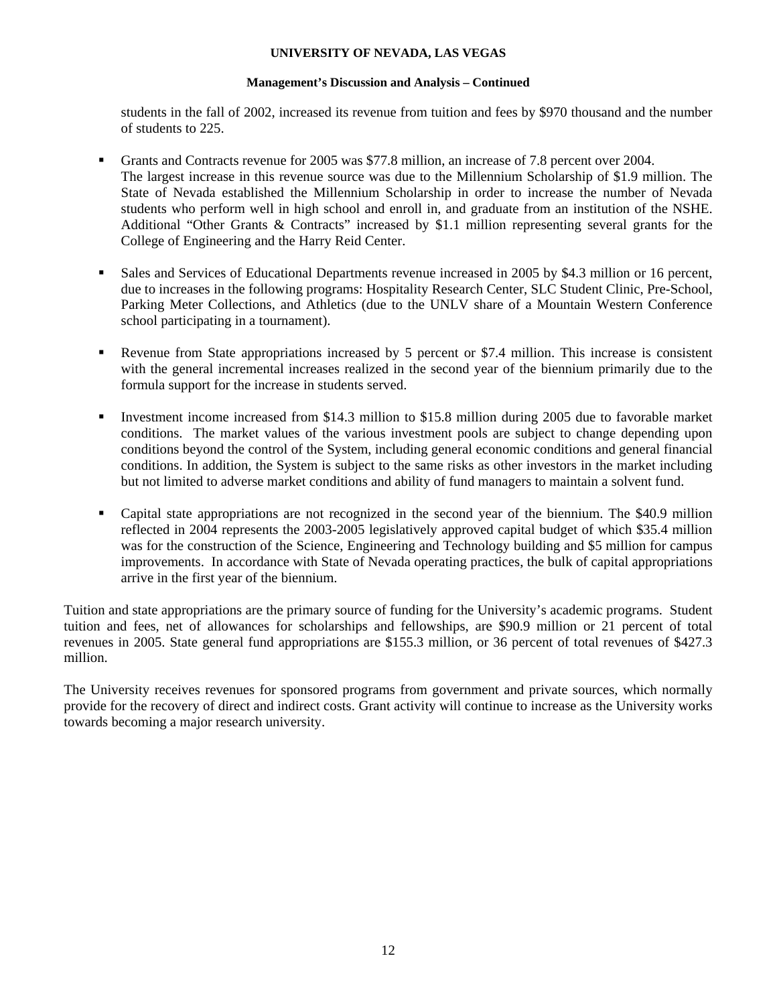## **Management's Discussion and Analysis – Continued**

students in the fall of 2002, increased its revenue from tuition and fees by \$970 thousand and the number of students to 225.

- Grants and Contracts revenue for 2005 was \$77.8 million, an increase of 7.8 percent over 2004. The largest increase in this revenue source was due to the Millennium Scholarship of \$1.9 million. The State of Nevada established the Millennium Scholarship in order to increase the number of Nevada students who perform well in high school and enroll in, and graduate from an institution of the NSHE. Additional "Other Grants & Contracts" increased by \$1.1 million representing several grants for the College of Engineering and the Harry Reid Center.
- Sales and Services of Educational Departments revenue increased in 2005 by \$4.3 million or 16 percent, due to increases in the following programs: Hospitality Research Center, SLC Student Clinic, Pre-School, Parking Meter Collections, and Athletics (due to the UNLV share of a Mountain Western Conference school participating in a tournament).
- Revenue from State appropriations increased by 5 percent or \$7.4 million. This increase is consistent with the general incremental increases realized in the second year of the biennium primarily due to the formula support for the increase in students served.
- Investment income increased from \$14.3 million to \$15.8 million during 2005 due to favorable market conditions. The market values of the various investment pools are subject to change depending upon conditions beyond the control of the System, including general economic conditions and general financial conditions. In addition, the System is subject to the same risks as other investors in the market including but not limited to adverse market conditions and ability of fund managers to maintain a solvent fund.
- Capital state appropriations are not recognized in the second year of the biennium. The \$40.9 million reflected in 2004 represents the 2003-2005 legislatively approved capital budget of which \$35.4 million was for the construction of the Science, Engineering and Technology building and \$5 million for campus improvements. In accordance with State of Nevada operating practices, the bulk of capital appropriations arrive in the first year of the biennium.

Tuition and state appropriations are the primary source of funding for the University's academic programs. Student tuition and fees, net of allowances for scholarships and fellowships, are \$90.9 million or 21 percent of total revenues in 2005. State general fund appropriations are \$155.3 million, or 36 percent of total revenues of \$427.3 million.

The University receives revenues for sponsored programs from government and private sources, which normally provide for the recovery of direct and indirect costs. Grant activity will continue to increase as the University works towards becoming a major research university.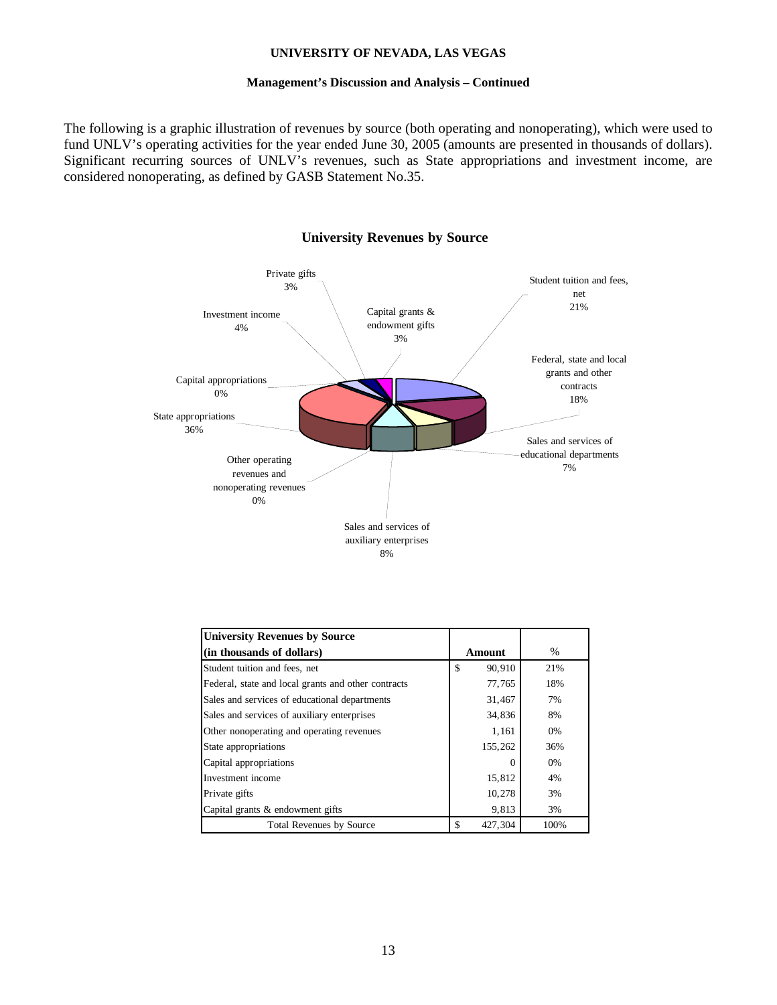## **Management's Discussion and Analysis – Continued**

The following is a graphic illustration of revenues by source (both operating and nonoperating), which were used to fund UNLV's operating activities for the year ended June 30, 2005 (amounts are presented in thousands of dollars). Significant recurring sources of UNLV's revenues, such as State appropriations and investment income, are considered nonoperating, as defined by GASB Statement No.35.



## **University Revenues by Source**

| <b>University Revenues by Source</b>                |               |      |
|-----------------------------------------------------|---------------|------|
| (in thousands of dollars)                           | Amount        | %    |
| Student tuition and fees, net                       | \$<br>90,910  | 21%  |
| Federal, state and local grants and other contracts | 77,765        | 18%  |
| Sales and services of educational departments       | 31,467        | 7%   |
| Sales and services of auxiliary enterprises         | 34,836        | 8%   |
| Other nonoperating and operating revenues           | 1,161         | 0%   |
| State appropriations                                | 155,262       | 36%  |
| Capital appropriations                              | $\mathbf{0}$  | 0%   |
| Investment income                                   | 15,812        | 4%   |
| Private gifts                                       | 10,278        | 3%   |
| Capital grants & endowment gifts                    | 9,813         | 3%   |
| <b>Total Revenues by Source</b>                     | \$<br>427.304 | 100% |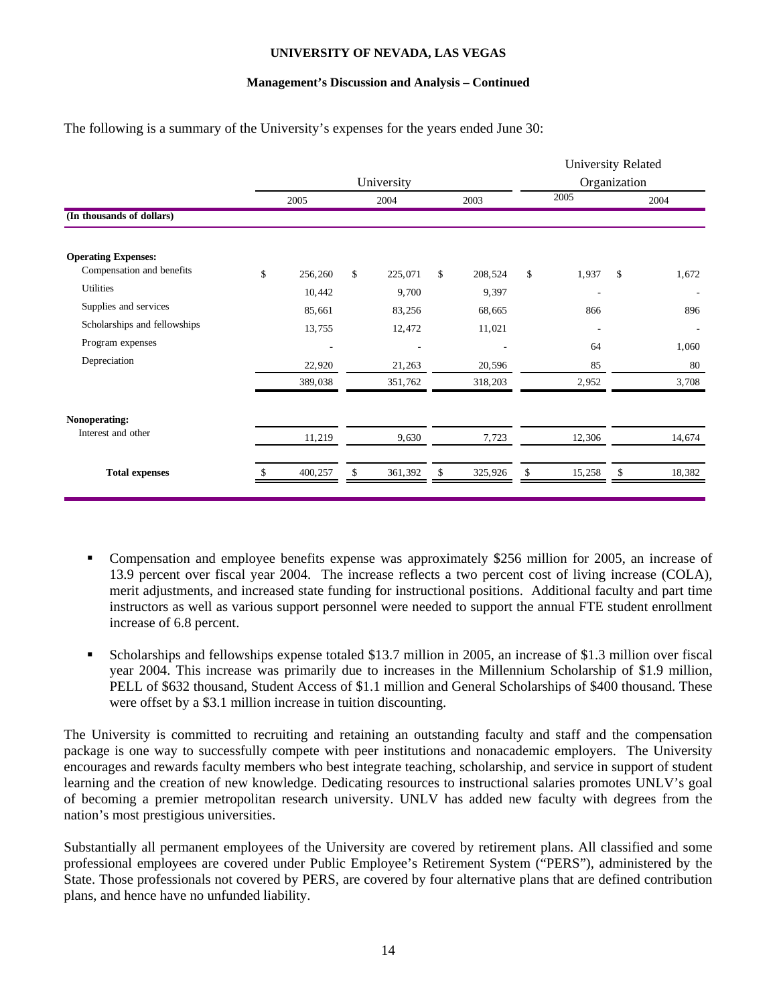## **Management's Discussion and Analysis – Continued**

The following is a summary of the University's expenses for the years ended June 30:

|                              |               |    |         |    |         |    | University Related |              |                          |
|------------------------------|---------------|----|---------|----|---------|----|--------------------|--------------|--------------------------|
|                              | University    |    |         |    |         |    |                    | Organization |                          |
|                              | 2005          |    | 2004    |    | 2003    |    | 2005               |              | 2004                     |
| (In thousands of dollars)    |               |    |         |    |         |    |                    |              |                          |
| <b>Operating Expenses:</b>   |               |    |         |    |         |    |                    |              |                          |
| Compensation and benefits    | \$<br>256,260 | \$ | 225,071 | \$ | 208,524 | \$ | 1,937              | \$           | 1,672                    |
| <b>Utilities</b>             | 10,442        |    | 9,700   |    | 9,397   |    | ٠                  |              |                          |
| Supplies and services        | 85,661        |    | 83,256  |    | 68,665  |    | 866                |              | 896                      |
| Scholarships and fellowships | 13,755        |    | 12,472  |    | 11,021  |    |                    |              | $\overline{\phantom{a}}$ |
| Program expenses             | ٠             |    | ٠       |    |         |    | 64                 |              | 1,060                    |
| Depreciation                 | 22,920        |    | 21,263  |    | 20,596  |    | 85                 |              | 80                       |
|                              | 389,038       |    | 351,762 |    | 318,203 |    | 2,952              |              | 3,708                    |
| Nonoperating:                |               |    |         |    |         |    |                    |              |                          |
| Interest and other           | 11,219        |    | 9,630   |    | 7,723   |    | 12,306             |              | 14,674                   |
| <b>Total expenses</b>        | 400,257       |    | 361,392 |    | 325,926 |    | 15,258             |              | 18,382                   |
|                              |               |    |         |    |         |    |                    |              |                          |

- Compensation and employee benefits expense was approximately \$256 million for 2005, an increase of 13.9 percent over fiscal year 2004. The increase reflects a two percent cost of living increase (COLA), merit adjustments, and increased state funding for instructional positions. Additional faculty and part time instructors as well as various support personnel were needed to support the annual FTE student enrollment increase of 6.8 percent.
- Scholarships and fellowships expense totaled \$13.7 million in 2005, an increase of \$1.3 million over fiscal year 2004. This increase was primarily due to increases in the Millennium Scholarship of \$1.9 million, PELL of \$632 thousand, Student Access of \$1.1 million and General Scholarships of \$400 thousand. These were offset by a \$3.1 million increase in tuition discounting.

The University is committed to recruiting and retaining an outstanding faculty and staff and the compensation package is one way to successfully compete with peer institutions and nonacademic employers. The University encourages and rewards faculty members who best integrate teaching, scholarship, and service in support of student learning and the creation of new knowledge. Dedicating resources to instructional salaries promotes UNLV's goal of becoming a premier metropolitan research university. UNLV has added new faculty with degrees from the nation's most prestigious universities.

Substantially all permanent employees of the University are covered by retirement plans. All classified and some professional employees are covered under Public Employee's Retirement System ("PERS"), administered by the State. Those professionals not covered by PERS, are covered by four alternative plans that are defined contribution plans, and hence have no unfunded liability.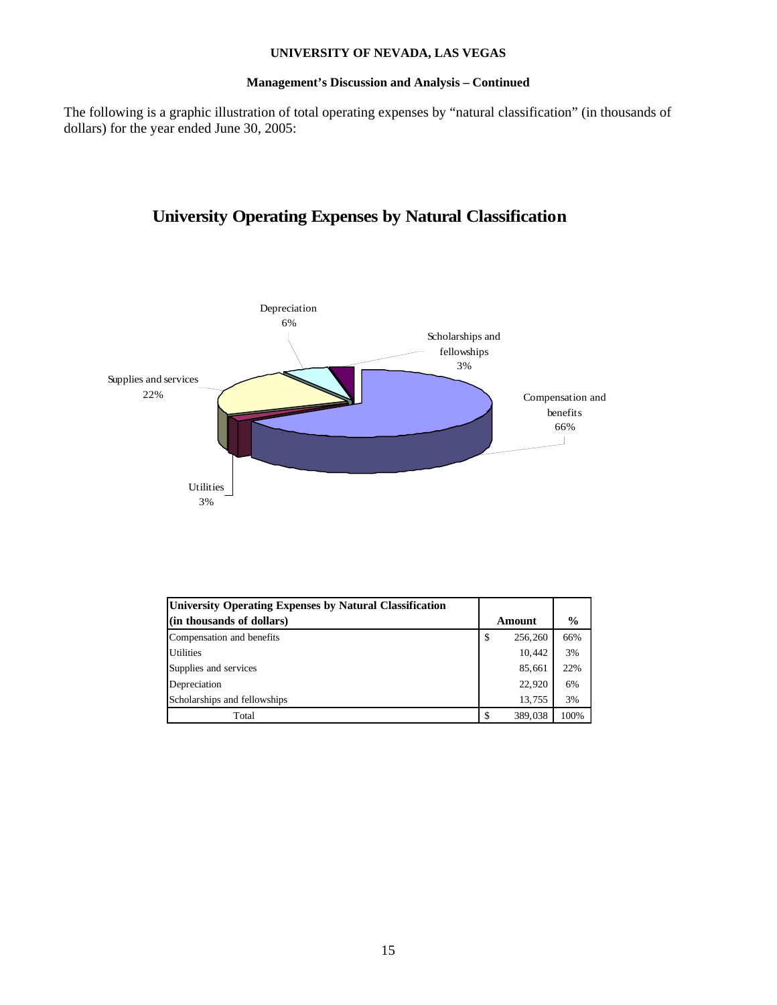## **Management's Discussion and Analysis – Continued**

The following is a graphic illustration of total operating expenses by "natural classification" (in thousands of dollars) for the year ended June 30, 2005:

# **University Operating Expenses by Natural Classification**



| University Operating Expenses by Natural Classification |    |         |               |
|---------------------------------------------------------|----|---------|---------------|
| (in thousands of dollars)                               |    | Amount  | $\frac{0}{0}$ |
| Compensation and benefits                               | \$ | 256,260 | 66%           |
| <b>Utilities</b>                                        |    | 10,442  | 3%            |
| Supplies and services                                   |    | 85,661  | 22%           |
| Depreciation                                            |    | 22,920  | 6%            |
| Scholarships and fellowships                            |    | 13,755  | 3%            |
| Total                                                   | S  | 389,038 | 100%          |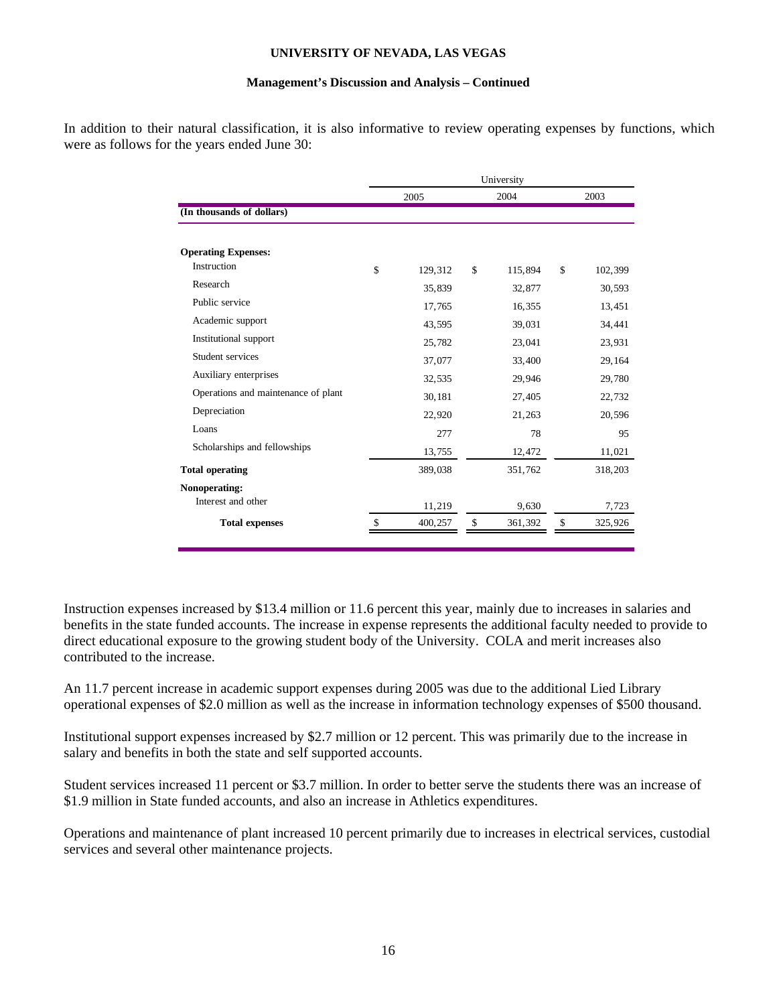## **Management's Discussion and Analysis – Continued**

In addition to their natural classification, it is also informative to review operating expenses by functions, which were as follows for the years ended June 30:

|                                     |               | University    |               |
|-------------------------------------|---------------|---------------|---------------|
|                                     | 2005          | 2004          | 2003          |
| (In thousands of dollars)           |               |               |               |
|                                     |               |               |               |
| <b>Operating Expenses:</b>          |               |               |               |
| Instruction                         | \$<br>129,312 | \$<br>115,894 | \$<br>102,399 |
| Research                            | 35,839        | 32,877        | 30,593        |
| Public service                      | 17,765        | 16,355        | 13,451        |
| Academic support                    | 43,595        | 39,031        | 34,441        |
| Institutional support               | 25,782        | 23,041        | 23,931        |
| Student services                    | 37,077        | 33,400        | 29,164        |
| Auxiliary enterprises               | 32,535        | 29,946        | 29,780        |
| Operations and maintenance of plant | 30,181        | 27,405        | 22,732        |
| Depreciation                        | 22,920        | 21,263        | 20,596        |
| Loans                               | 277           | 78            | 95            |
| Scholarships and fellowships        | 13,755        | 12,472        | 11,021        |
| <b>Total operating</b>              | 389,038       | 351,762       | 318,203       |
| Nonoperating:                       |               |               |               |
| Interest and other                  | 11,219        | 9,630         | 7,723         |
| <b>Total expenses</b>               | \$<br>400,257 | \$<br>361,392 | \$<br>325,926 |
|                                     |               |               |               |

Instruction expenses increased by \$13.4 million or 11.6 percent this year, mainly due to increases in salaries and benefits in the state funded accounts. The increase in expense represents the additional faculty needed to provide to direct educational exposure to the growing student body of the University. COLA and merit increases also contributed to the increase.

An 11.7 percent increase in academic support expenses during 2005 was due to the additional Lied Library operational expenses of \$2.0 million as well as the increase in information technology expenses of \$500 thousand.

Institutional support expenses increased by \$2.7 million or 12 percent. This was primarily due to the increase in salary and benefits in both the state and self supported accounts.

Student services increased 11 percent or \$3.7 million. In order to better serve the students there was an increase of \$1.9 million in State funded accounts, and also an increase in Athletics expenditures.

Operations and maintenance of plant increased 10 percent primarily due to increases in electrical services, custodial services and several other maintenance projects.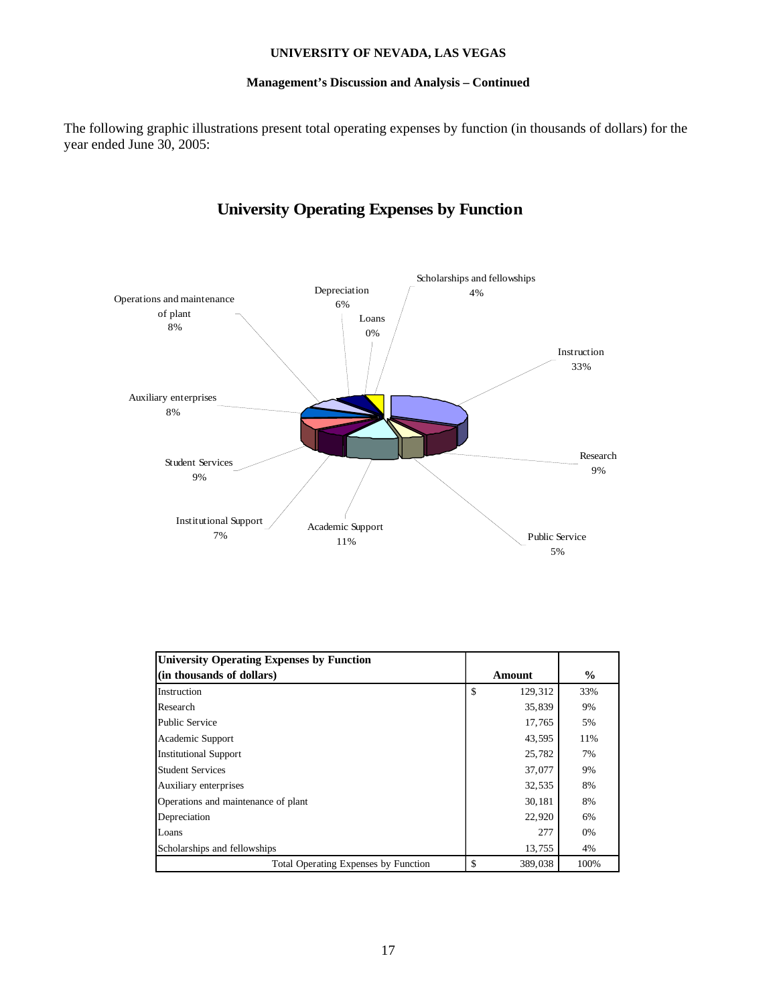## **Management's Discussion and Analysis – Continued**

The following graphic illustrations present total operating expenses by function (in thousands of dollars) for the year ended June 30, 2005:



# **University Operating Expenses by Function**

| <b>University Operating Expenses by Function</b> |               |               |
|--------------------------------------------------|---------------|---------------|
| (in thousands of dollars)                        | Amount        | $\frac{0}{0}$ |
| Instruction                                      | \$<br>129,312 | 33%           |
| Research                                         | 35,839        | 9%            |
| <b>Public Service</b>                            | 17,765        | 5%            |
| Academic Support                                 | 43,595        | 11%           |
| <b>Institutional Support</b>                     | 25.782        | 7%            |
| <b>Student Services</b>                          | 37,077        | 9%            |
| Auxiliary enterprises                            | 32,535        | 8%            |
| Operations and maintenance of plant              | 30,181        | 8%            |
| Depreciation                                     | 22,920        | 6%            |
| Loans                                            | 277           | 0%            |
| Scholarships and fellowships                     | 13,755        | 4%            |
| <b>Total Operating Expenses by Function</b>      | 389,038       | 100%          |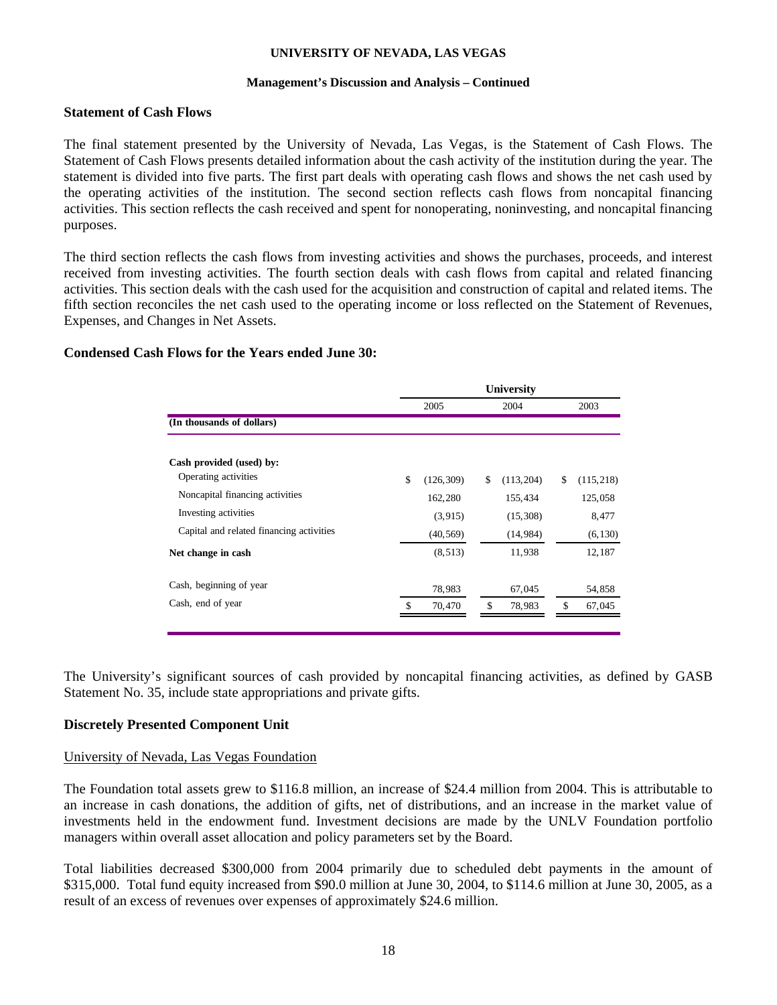## **Management's Discussion and Analysis – Continued**

## **Statement of Cash Flows**

The final statement presented by the University of Nevada, Las Vegas, is the Statement of Cash Flows. The Statement of Cash Flows presents detailed information about the cash activity of the institution during the year. The statement is divided into five parts. The first part deals with operating cash flows and shows the net cash used by the operating activities of the institution. The second section reflects cash flows from noncapital financing activities. This section reflects the cash received and spent for nonoperating, noninvesting, and noncapital financing purposes.

The third section reflects the cash flows from investing activities and shows the purchases, proceeds, and interest received from investing activities. The fourth section deals with cash flows from capital and related financing activities. This section deals with the cash used for the acquisition and construction of capital and related items. The fifth section reconciles the net cash used to the operating income or loss reflected on the Statement of Revenues, Expenses, and Changes in Net Assets.

# **Condensed Cash Flows for the Years ended June 30:**

|                                          |                  | <b>University</b> |                  |
|------------------------------------------|------------------|-------------------|------------------|
|                                          | 2005             | 2004              | 2003             |
| (In thousands of dollars)                |                  |                   |                  |
| Cash provided (used) by:                 |                  |                   |                  |
| Operating activities                     | \$<br>(126, 309) | (113, 204)<br>\$  | (115, 218)<br>\$ |
| Noncapital financing activities          | 162,280          | 155,434           | 125,058          |
| Investing activities                     | (3,915)          | (15,308)          | 8,477            |
| Capital and related financing activities | (40, 569)        | (14, 984)         | (6, 130)         |
| Net change in cash                       | (8, 513)         | 11,938            | 12,187           |
| Cash, beginning of year                  | 78,983           | 67,045            | 54,858           |
| Cash, end of year                        | \$<br>70,470     | \$<br>78,983      | \$<br>67,045     |
|                                          |                  |                   |                  |

The University's significant sources of cash provided by noncapital financing activities, as defined by GASB Statement No. 35, include state appropriations and private gifts.

# **Discretely Presented Component Unit**

## University of Nevada, Las Vegas Foundation

The Foundation total assets grew to \$116.8 million, an increase of \$24.4 million from 2004. This is attributable to an increase in cash donations, the addition of gifts, net of distributions, and an increase in the market value of investments held in the endowment fund. Investment decisions are made by the UNLV Foundation portfolio managers within overall asset allocation and policy parameters set by the Board.

Total liabilities decreased \$300,000 from 2004 primarily due to scheduled debt payments in the amount of \$315,000. Total fund equity increased from \$90.0 million at June 30, 2004, to \$114.6 million at June 30, 2005, as a result of an excess of revenues over expenses of approximately \$24.6 million.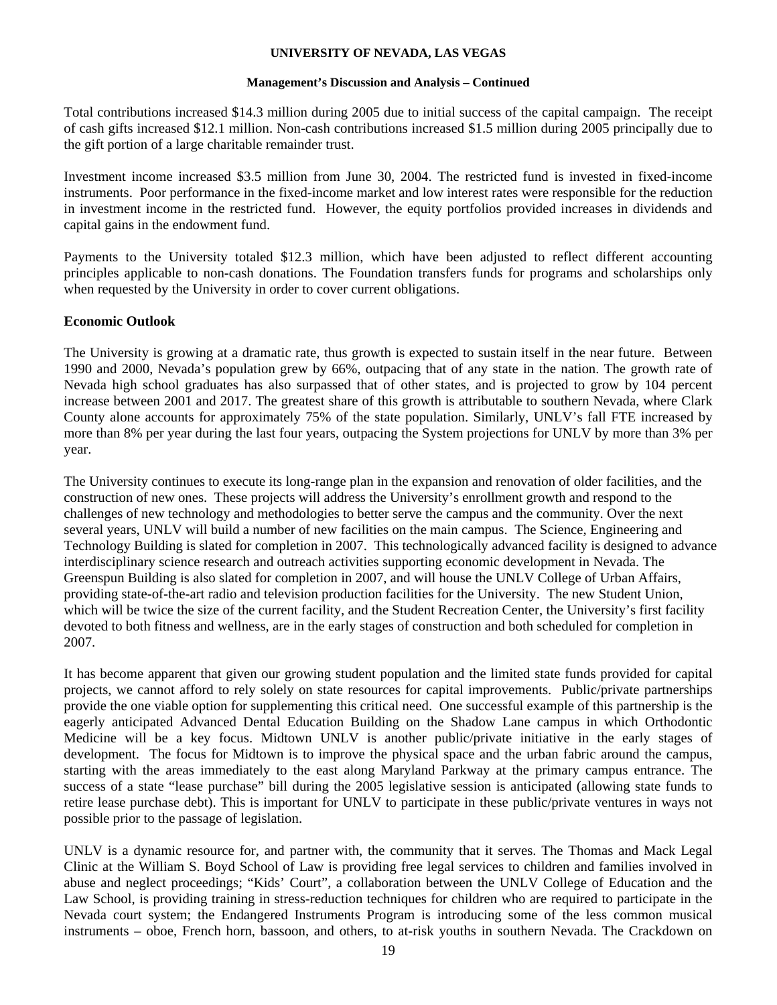## **Management's Discussion and Analysis – Continued**

Total contributions increased \$14.3 million during 2005 due to initial success of the capital campaign. The receipt of cash gifts increased \$12.1 million. Non-cash contributions increased \$1.5 million during 2005 principally due to the gift portion of a large charitable remainder trust.

Investment income increased \$3.5 million from June 30, 2004. The restricted fund is invested in fixed-income instruments. Poor performance in the fixed-income market and low interest rates were responsible for the reduction in investment income in the restricted fund. However, the equity portfolios provided increases in dividends and capital gains in the endowment fund.

Payments to the University totaled \$12.3 million, which have been adjusted to reflect different accounting principles applicable to non-cash donations. The Foundation transfers funds for programs and scholarships only when requested by the University in order to cover current obligations.

# **Economic Outlook**

The University is growing at a dramatic rate, thus growth is expected to sustain itself in the near future. Between 1990 and 2000, Nevada's population grew by 66%, outpacing that of any state in the nation. The growth rate of Nevada high school graduates has also surpassed that of other states, and is projected to grow by 104 percent increase between 2001 and 2017. The greatest share of this growth is attributable to southern Nevada, where Clark County alone accounts for approximately 75% of the state population. Similarly, UNLV's fall FTE increased by more than 8% per year during the last four years, outpacing the System projections for UNLV by more than 3% per year.

The University continues to execute its long-range plan in the expansion and renovation of older facilities, and the construction of new ones. These projects will address the University's enrollment growth and respond to the challenges of new technology and methodologies to better serve the campus and the community. Over the next several years, UNLV will build a number of new facilities on the main campus. The Science, Engineering and Technology Building is slated for completion in 2007. This technologically advanced facility is designed to advance interdisciplinary science research and outreach activities supporting economic development in Nevada. The Greenspun Building is also slated for completion in 2007, and will house the UNLV College of Urban Affairs, providing state-of-the-art radio and television production facilities for the University. The new Student Union, which will be twice the size of the current facility, and the Student Recreation Center, the University's first facility devoted to both fitness and wellness, are in the early stages of construction and both scheduled for completion in 2007.

It has become apparent that given our growing student population and the limited state funds provided for capital projects, we cannot afford to rely solely on state resources for capital improvements. Public/private partnerships provide the one viable option for supplementing this critical need. One successful example of this partnership is the eagerly anticipated Advanced Dental Education Building on the Shadow Lane campus in which Orthodontic Medicine will be a key focus. Midtown UNLV is another public/private initiative in the early stages of development. The focus for Midtown is to improve the physical space and the urban fabric around the campus, starting with the areas immediately to the east along Maryland Parkway at the primary campus entrance. The success of a state "lease purchase" bill during the 2005 legislative session is anticipated (allowing state funds to retire lease purchase debt). This is important for UNLV to participate in these public/private ventures in ways not possible prior to the passage of legislation.

UNLV is a dynamic resource for, and partner with, the community that it serves. The Thomas and Mack Legal Clinic at the William S. Boyd School of Law is providing free legal services to children and families involved in abuse and neglect proceedings; "Kids' Court", a collaboration between the UNLV College of Education and the Law School, is providing training in stress-reduction techniques for children who are required to participate in the Nevada court system; the Endangered Instruments Program is introducing some of the less common musical instruments – oboe, French horn, bassoon, and others, to at-risk youths in southern Nevada. The Crackdown on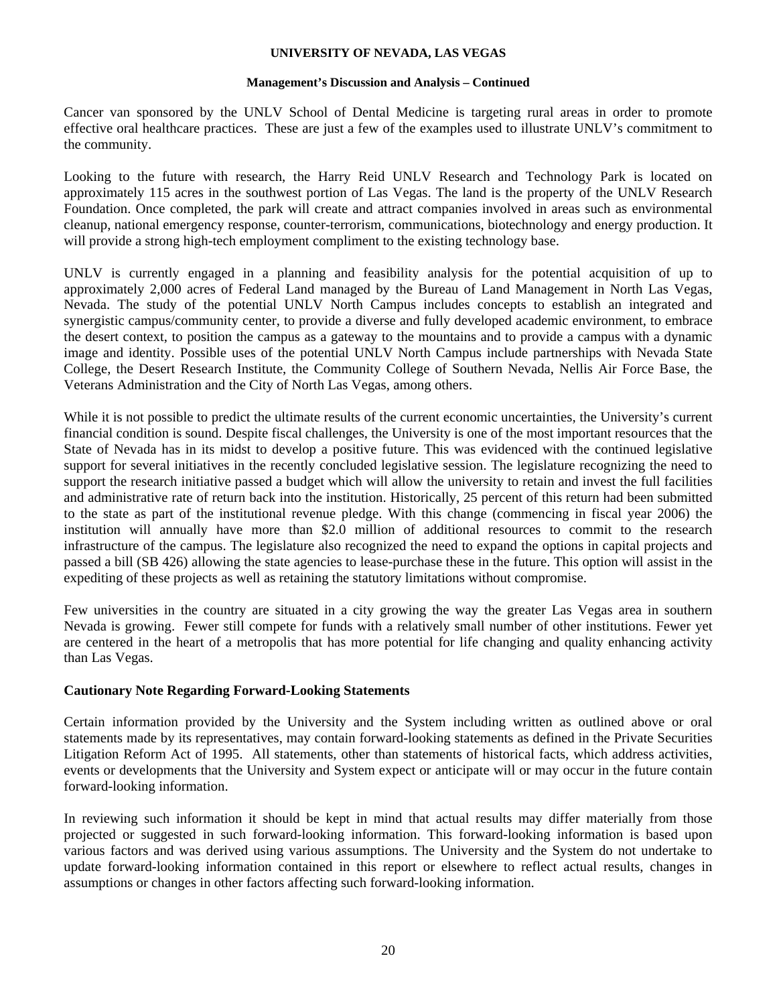## **Management's Discussion and Analysis – Continued**

Cancer van sponsored by the UNLV School of Dental Medicine is targeting rural areas in order to promote effective oral healthcare practices. These are just a few of the examples used to illustrate UNLV's commitment to the community.

Looking to the future with research, the Harry Reid UNLV Research and Technology Park is located on approximately 115 acres in the southwest portion of Las Vegas. The land is the property of the UNLV Research Foundation. Once completed, the park will create and attract companies involved in areas such as environmental cleanup, national emergency response, counter-terrorism, communications, biotechnology and energy production. It will provide a strong high-tech employment compliment to the existing technology base.

UNLV is currently engaged in a planning and feasibility analysis for the potential acquisition of up to approximately 2,000 acres of Federal Land managed by the Bureau of Land Management in North Las Vegas, Nevada. The study of the potential UNLV North Campus includes concepts to establish an integrated and synergistic campus/community center, to provide a diverse and fully developed academic environment, to embrace the desert context, to position the campus as a gateway to the mountains and to provide a campus with a dynamic image and identity. Possible uses of the potential UNLV North Campus include partnerships with Nevada State College, the Desert Research Institute, the Community College of Southern Nevada, Nellis Air Force Base, the Veterans Administration and the City of North Las Vegas, among others.

While it is not possible to predict the ultimate results of the current economic uncertainties, the University's current financial condition is sound. Despite fiscal challenges, the University is one of the most important resources that the State of Nevada has in its midst to develop a positive future. This was evidenced with the continued legislative support for several initiatives in the recently concluded legislative session. The legislature recognizing the need to support the research initiative passed a budget which will allow the university to retain and invest the full facilities and administrative rate of return back into the institution. Historically, 25 percent of this return had been submitted to the state as part of the institutional revenue pledge. With this change (commencing in fiscal year 2006) the institution will annually have more than \$2.0 million of additional resources to commit to the research infrastructure of the campus. The legislature also recognized the need to expand the options in capital projects and passed a bill (SB 426) allowing the state agencies to lease-purchase these in the future. This option will assist in the expediting of these projects as well as retaining the statutory limitations without compromise.

Few universities in the country are situated in a city growing the way the greater Las Vegas area in southern Nevada is growing. Fewer still compete for funds with a relatively small number of other institutions. Fewer yet are centered in the heart of a metropolis that has more potential for life changing and quality enhancing activity than Las Vegas.

# **Cautionary Note Regarding Forward-Looking Statements**

Certain information provided by the University and the System including written as outlined above or oral statements made by its representatives, may contain forward-looking statements as defined in the Private Securities Litigation Reform Act of 1995. All statements, other than statements of historical facts, which address activities, events or developments that the University and System expect or anticipate will or may occur in the future contain forward-looking information.

In reviewing such information it should be kept in mind that actual results may differ materially from those projected or suggested in such forward-looking information. This forward-looking information is based upon various factors and was derived using various assumptions. The University and the System do not undertake to update forward-looking information contained in this report or elsewhere to reflect actual results, changes in assumptions or changes in other factors affecting such forward-looking information.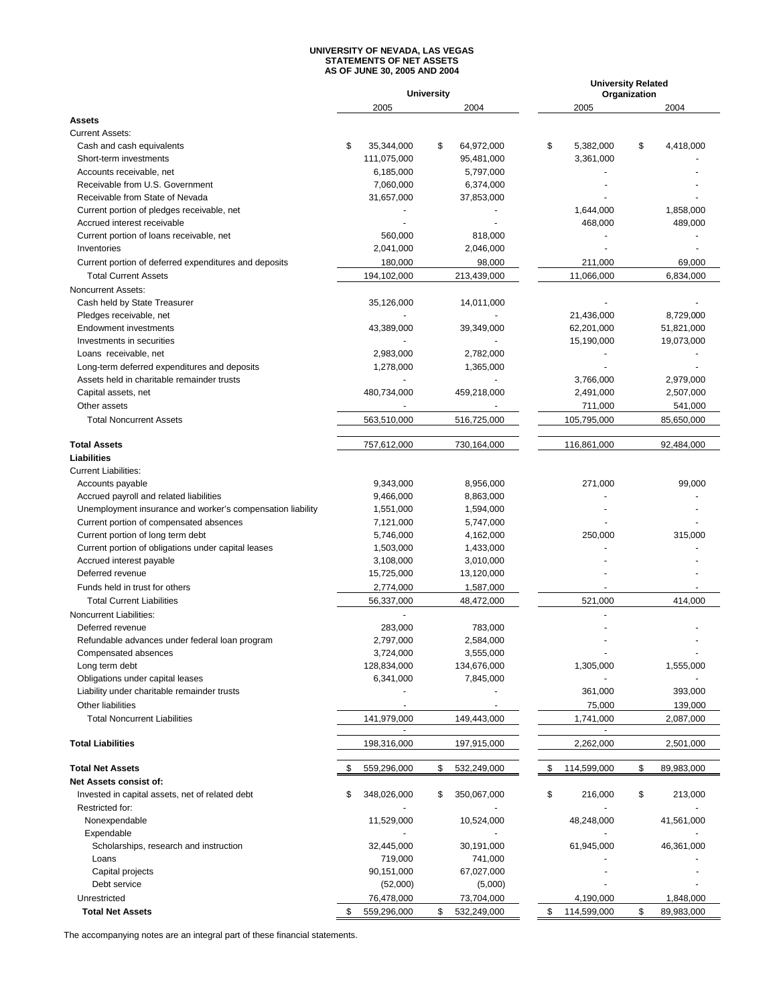#### **UNIVERSITY OF NEVADA, LAS VEGAS STATEMENTS OF NET ASSETS AS OF JUNE 30, 2005 AND 2004**

|                                                            |                   | <b>University</b> |                             | <b>University Related</b><br>Organization |
|------------------------------------------------------------|-------------------|-------------------|-----------------------------|-------------------------------------------|
|                                                            | 2005              | 2004              | 2005                        | 2004                                      |
| <b>Assets</b>                                              |                   |                   |                             |                                           |
| <b>Current Assets:</b>                                     |                   |                   |                             |                                           |
| Cash and cash equivalents                                  | \$<br>35,344,000  | \$<br>64,972,000  | \$<br>5,382,000             | \$<br>4,418,000                           |
| Short-term investments                                     | 111,075,000       | 95,481,000        | 3,361,000                   |                                           |
| Accounts receivable, net                                   | 6,185,000         | 5,797,000         |                             |                                           |
| Receivable from U.S. Government                            | 7,060,000         | 6,374,000         |                             |                                           |
| Receivable from State of Nevada                            | 31,657,000        | 37,853,000        |                             |                                           |
| Current portion of pledges receivable, net                 |                   |                   | 1,644,000                   | 1,858,000                                 |
| Accrued interest receivable                                |                   |                   | 468,000                     | 489,000                                   |
| Current portion of loans receivable, net                   | 560,000           | 818,000           |                             |                                           |
| Inventories                                                | 2,041,000         | 2,046,000         |                             |                                           |
| Current portion of deferred expenditures and deposits      | 180,000           | 98,000            | 211,000                     | 69,000                                    |
| <b>Total Current Assets</b>                                | 194,102,000       | 213,439,000       | 11,066,000                  | 6,834,000                                 |
| Noncurrent Assets:                                         |                   |                   |                             |                                           |
| Cash held by State Treasurer                               | 35,126,000        | 14,011,000        |                             |                                           |
| Pledges receivable, net                                    |                   |                   | 21,436,000                  | 8,729,000                                 |
| Endowment investments                                      | 43,389,000        | 39,349,000        | 62,201,000                  | 51,821,000                                |
| Investments in securities                                  |                   |                   | 15,190,000                  | 19,073,000                                |
| Loans receivable, net                                      | 2,983,000         | 2,782,000         |                             |                                           |
| Long-term deferred expenditures and deposits               | 1,278,000         | 1,365,000         |                             |                                           |
| Assets held in charitable remainder trusts                 |                   |                   | 3,766,000                   | 2,979,000                                 |
| Capital assets, net                                        | 480,734,000       | 459,218,000       | 2,491,000                   | 2,507,000                                 |
| Other assets                                               |                   |                   | 711,000                     | 541,000                                   |
| <b>Total Noncurrent Assets</b>                             | 563,510,000       | 516,725,000       | 105,795,000                 | 85,650,000                                |
|                                                            |                   |                   |                             |                                           |
| <b>Total Assets</b>                                        | 757,612,000       | 730,164,000       | 116,861,000                 | 92,484,000                                |
| Liabilities                                                |                   |                   |                             |                                           |
| <b>Current Liabilities:</b>                                |                   |                   |                             |                                           |
| Accounts payable                                           | 9,343,000         | 8,956,000         | 271,000                     | 99,000                                    |
| Accrued payroll and related liabilities                    | 9,466,000         | 8,863,000         |                             |                                           |
| Unemployment insurance and worker's compensation liability | 1,551,000         | 1,594,000         |                             |                                           |
| Current portion of compensated absences                    | 7,121,000         | 5,747,000         |                             |                                           |
| Current portion of long term debt                          | 5,746,000         | 4,162,000         | 250,000                     | 315,000                                   |
| Current portion of obligations under capital leases        | 1,503,000         | 1,433,000         |                             |                                           |
| Accrued interest payable                                   | 3,108,000         | 3,010,000         |                             |                                           |
| Deferred revenue                                           | 15,725,000        | 13,120,000        |                             |                                           |
| Funds held in trust for others                             | 2,774,000         | 1,587,000         |                             |                                           |
| <b>Total Current Liabilities</b>                           | 56,337,000        | 48,472,000        | 521,000                     | 414,000                                   |
| Noncurrent Liabilities:                                    |                   |                   |                             |                                           |
|                                                            |                   |                   |                             |                                           |
| Deferred revenue                                           | 283,000           | 783,000           |                             |                                           |
| Refundable advances under federal loan program             | 2,797,000         | 2,584,000         |                             |                                           |
| Compensated absences                                       | 3,724,000         | 3,555,000         |                             |                                           |
| Long term debt                                             | 128,834,000       | 134,676,000       | 1,305,000                   | 1,555,000                                 |
| Obligations under capital leases                           | 6,341,000         | 7,845,000         |                             |                                           |
| Liability under charitable remainder trusts                |                   |                   | 361,000                     | 393,000                                   |
| Other liabilities                                          |                   |                   | 75,000                      | 139,000                                   |
| <b>Total Noncurrent Liabilities</b>                        | 141,979,000       | 149,443,000       | 1,741,000                   | 2,087,000                                 |
| <b>Total Liabilities</b>                                   | 198,316,000       | 197,915,000       | $\blacksquare$<br>2,262,000 | 2,501,000                                 |
| <b>Total Net Assets</b>                                    | 559,296,000<br>\$ | \$<br>532,249,000 | \$<br>114,599,000           | \$<br>89,983,000                          |
| Net Assets consist of:                                     |                   |                   |                             |                                           |
| Invested in capital assets, net of related debt            | \$<br>348,026,000 |                   | \$                          |                                           |
| Restricted for:                                            |                   | \$<br>350,067,000 | 216,000                     | \$<br>213,000                             |
|                                                            |                   |                   |                             |                                           |
| Nonexpendable<br>Expendable                                | 11,529,000        | 10,524,000        | 48,248,000                  | 41,561,000                                |
|                                                            |                   |                   |                             |                                           |
| Scholarships, research and instruction                     | 32,445,000        | 30,191,000        | 61,945,000                  | 46,361,000                                |
| Loans                                                      | 719,000           | 741,000           |                             |                                           |
| Capital projects<br>Debt service                           | 90,151,000        | 67,027,000        |                             |                                           |
|                                                            | (52,000)          | (5,000)           |                             |                                           |
| Unrestricted                                               | 76,478,000        | 73,704,000        | 4,190,000                   | 1,848,000                                 |
| <b>Total Net Assets</b>                                    | \$<br>559,296,000 | \$<br>532,249,000 | \$<br>114,599,000           | \$<br>89,983,000                          |

The accompanying notes are an integral part of these financial statements.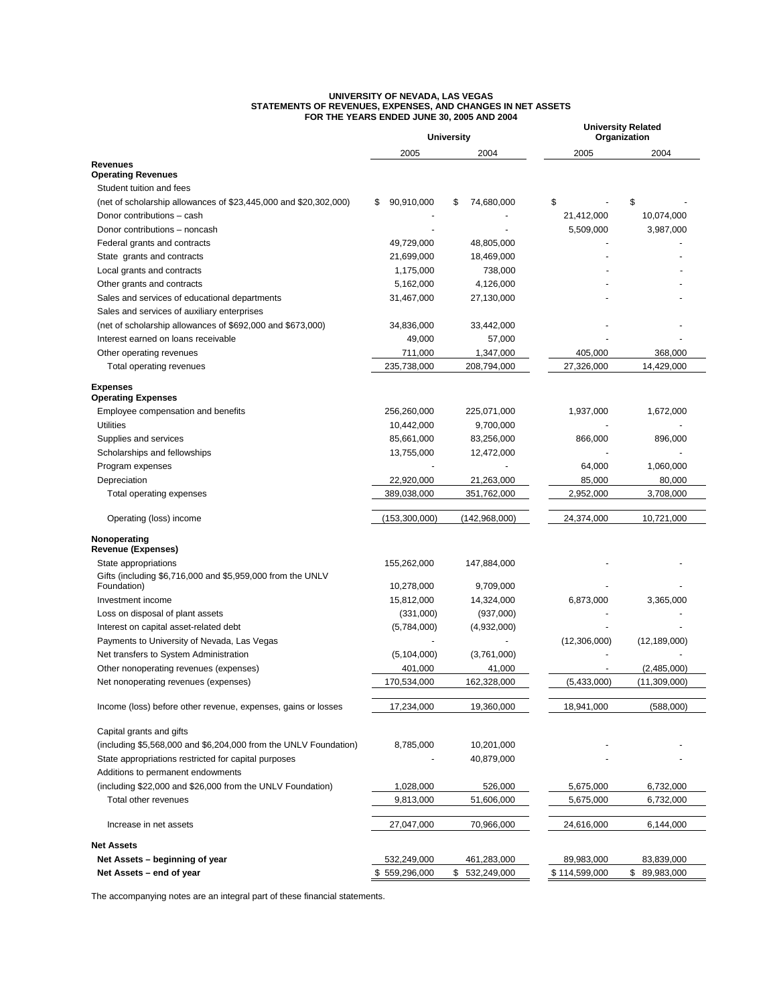#### **UNIVERSITY OF NEVADA, LAS VEGAS STATEMENTS OF REVENUES, EXPENSES, AND CHANGES IN NET ASSETS FOR THE YEARS ENDED JUNE 30, 2005 AND 2004**

|                                                                  | <b>University</b> |                   | <b>University Related</b><br>Organization |                |  |
|------------------------------------------------------------------|-------------------|-------------------|-------------------------------------------|----------------|--|
|                                                                  | 2005              | 2004              | 2005                                      | 2004           |  |
| <b>Revenues</b><br><b>Operating Revenues</b>                     |                   |                   |                                           |                |  |
| Student tuition and fees                                         |                   |                   |                                           |                |  |
| (net of scholarship allowances of \$23,445,000 and \$20,302,000) | 90,910,000<br>\$  | \$<br>74,680,000  | \$                                        | \$             |  |
| Donor contributions - cash                                       |                   |                   | 21,412,000                                | 10,074,000     |  |
| Donor contributions - noncash                                    |                   |                   | 5,509,000                                 | 3,987,000      |  |
| Federal grants and contracts                                     | 49,729,000        | 48,805,000        |                                           |                |  |
| State grants and contracts                                       | 21,699,000        | 18,469,000        |                                           |                |  |
| Local grants and contracts                                       | 1,175,000         | 738,000           |                                           |                |  |
| Other grants and contracts                                       | 5,162,000         | 4,126,000         |                                           |                |  |
| Sales and services of educational departments                    | 31,467,000        | 27,130,000        |                                           |                |  |
| Sales and services of auxiliary enterprises                      |                   |                   |                                           |                |  |
| (net of scholarship allowances of \$692,000 and \$673,000)       | 34,836,000        | 33,442,000        |                                           |                |  |
| Interest earned on loans receivable                              | 49,000            | 57,000            |                                           |                |  |
| Other operating revenues                                         | 711,000           | 1,347,000         | 405,000                                   | 368,000        |  |
| Total operating revenues                                         | 235,738,000       | 208,794,000       | 27,326,000                                | 14,429,000     |  |
| <b>Expenses</b>                                                  |                   |                   |                                           |                |  |
| <b>Operating Expenses</b>                                        |                   |                   |                                           |                |  |
| Employee compensation and benefits                               | 256,260,000       | 225,071,000       | 1,937,000                                 | 1,672,000      |  |
| Utilities                                                        | 10,442,000        | 9,700,000         |                                           |                |  |
| Supplies and services                                            | 85,661,000        | 83,256,000        | 866,000                                   | 896,000        |  |
| Scholarships and fellowships<br>Program expenses                 | 13,755,000        | 12,472,000        | 64,000                                    | 1,060,000      |  |
| Depreciation                                                     | 22,920,000        | 21,263,000        | 85,000                                    | 80,000         |  |
| Total operating expenses                                         | 389,038,000       | 351,762,000       | 2,952,000                                 | 3,708,000      |  |
|                                                                  |                   |                   |                                           |                |  |
| Operating (loss) income                                          | (153,300,000)     | (142, 968, 000)   | 24,374,000                                | 10,721,000     |  |
| Nonoperating<br><b>Revenue (Expenses)</b>                        |                   |                   |                                           |                |  |
| State appropriations                                             | 155,262,000       | 147,884,000       |                                           |                |  |
| Gifts (including \$6,716,000 and \$5,959,000 from the UNLV       |                   |                   |                                           |                |  |
| Foundation)                                                      | 10,278,000        | 9,709,000         |                                           |                |  |
| Investment income                                                | 15,812,000        | 14,324,000        | 6,873,000                                 | 3,365,000      |  |
| Loss on disposal of plant assets                                 | (331,000)         | (937,000)         |                                           |                |  |
| Interest on capital asset-related debt                           | (5,784,000)       | (4,932,000)       |                                           |                |  |
| Payments to University of Nevada, Las Vegas                      |                   |                   | (12,306,000)                              | (12, 189, 000) |  |
| Net transfers to System Administration                           | (5, 104, 000)     | (3,761,000)       |                                           |                |  |
| Other nonoperating revenues (expenses)                           | 401,000           | 41,000            |                                           | (2,485,000)    |  |
| Net nonoperating revenues (expenses)                             | 170,534,000       | 162,328,000       | (5,433,000)                               | (11,309,000)   |  |
| Income (loss) before other revenue, expenses, gains or losses    | 17,234,000        | 19,360,000        | 18,941,000                                | (588,000)      |  |
| Capital grants and gifts                                         |                   |                   |                                           |                |  |
| (including \$5,568,000 and \$6,204,000 from the UNLV Foundation) | 8,785,000         | 10,201,000        |                                           |                |  |
| State appropriations restricted for capital purposes             |                   | 40,879,000        |                                           |                |  |
| Additions to permanent endowments                                |                   |                   |                                           |                |  |
| (including \$22,000 and \$26,000 from the UNLV Foundation)       | 1,028,000         | 526,000           | 5,675,000                                 | 6,732,000      |  |
| Total other revenues                                             | 9,813,000         | 51,606,000        | 5,675,000                                 | 6,732,000      |  |
| Increase in net assets                                           | 27,047,000        | 70,966,000        | 24,616,000                                | 6,144,000      |  |
|                                                                  |                   |                   |                                           |                |  |
| <b>Net Assets</b>                                                |                   |                   |                                           |                |  |
| Net Assets - beginning of year                                   | 532,249,000       | 461,283,000       | 89,983,000                                | 83,839,000     |  |
| Net Assets - end of year                                         | \$559,296,000     | \$<br>532,249,000 | \$114,599,000                             | \$89,983,000   |  |

The accompanying notes are an integral part of these financial statements.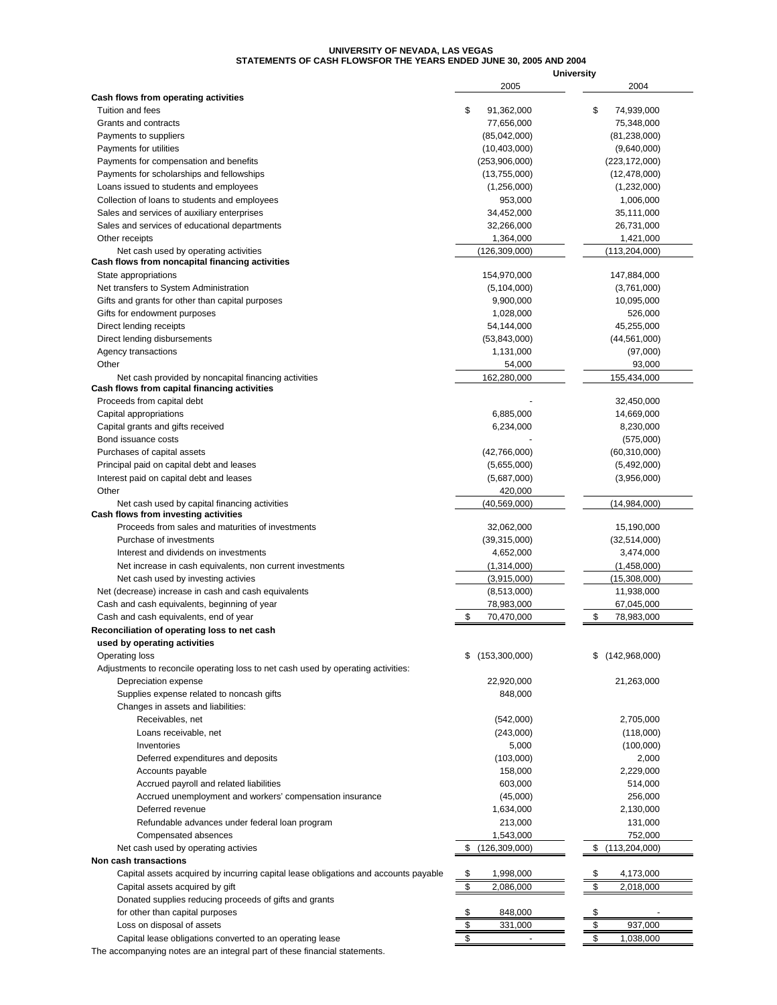#### **UNIVERSITY OF NEVADA, LAS VEGAS STATEMENTS OF CASH FLOWSFOR THE YEARS ENDED JUNE 30, 2005 AND 2004**

|                                                                                     |                                | <b>University</b>     |
|-------------------------------------------------------------------------------------|--------------------------------|-----------------------|
| Cash flows from operating activities                                                | 2005                           | 2004                  |
| Tuition and fees                                                                    | \$<br>91,362,000               | \$<br>74,939,000      |
| Grants and contracts                                                                | 77,656,000                     | 75,348,000            |
| Payments to suppliers                                                               | (85,042,000)                   | (81, 238, 000)        |
| Payments for utilities                                                              | (10, 403, 000)                 | (9,640,000)           |
| Payments for compensation and benefits                                              | (253,906,000)                  | (223, 172, 000)       |
| Payments for scholarships and fellowships                                           | (13,755,000)                   | (12, 478, 000)        |
| Loans issued to students and employees                                              | (1,256,000)                    | (1,232,000)           |
| Collection of loans to students and employees                                       | 953,000                        | 1,006,000             |
| Sales and services of auxiliary enterprises                                         | 34,452,000                     | 35,111,000            |
| Sales and services of educational departments                                       | 32,266,000                     | 26,731,000            |
| Other receipts                                                                      | 1,364,000                      | 1,421,000             |
| Net cash used by operating activities                                               | (126, 309, 000)                | (113, 204, 000)       |
| Cash flows from noncapital financing activities                                     |                                |                       |
| State appropriations                                                                | 154,970,000                    | 147,884,000           |
| Net transfers to System Administration                                              | (5, 104, 000)                  | (3,761,000)           |
| Gifts and grants for other than capital purposes                                    | 9,900,000                      | 10,095,000            |
| Gifts for endowment purposes                                                        | 1,028,000                      | 526,000               |
| Direct lending receipts                                                             | 54,144,000                     | 45,255,000            |
| Direct lending disbursements                                                        | (53,843,000)                   | (44, 561, 000)        |
| Agency transactions                                                                 | 1,131,000                      | (97,000)              |
| Other                                                                               | 54,000                         | 93,000                |
| Net cash provided by noncapital financing activities                                | 162,280,000                    | 155,434,000           |
| Cash flows from capital financing activities<br>Proceeds from capital debt          |                                | 32,450,000            |
| Capital appropriations                                                              | 6,885,000                      | 14,669,000            |
| Capital grants and gifts received                                                   | 6,234,000                      | 8,230,000             |
| Bond issuance costs                                                                 |                                | (575,000)             |
| Purchases of capital assets                                                         | (42,766,000)                   | (60, 310, 000)        |
| Principal paid on capital debt and leases                                           | (5,655,000)                    | (5,492,000)           |
| Interest paid on capital debt and leases                                            | (5,687,000)                    | (3,956,000)           |
| Other                                                                               | 420,000                        |                       |
| Net cash used by capital financing activities                                       | (40, 569, 000)                 | (14,984,000)          |
| Cash flows from investing activities                                                |                                |                       |
| Proceeds from sales and maturities of investments                                   | 32,062,000                     | 15,190,000            |
| Purchase of investments                                                             | (39,315,000)                   | (32,514,000)          |
| Interest and dividends on investments                                               | 4,652,000                      | 3,474,000             |
| Net increase in cash equivalents, non current investments                           | (1,314,000)                    | (1,458,000)           |
| Net cash used by investing activies                                                 | (3,915,000)                    | (15,308,000)          |
| Net (decrease) increase in cash and cash equivalents                                | (8,513,000)                    | 11,938,000            |
| Cash and cash equivalents, beginning of year                                        | 78,983,000                     | 67,045,000            |
| Cash and cash equivalents, end of year                                              | 70,470,000<br>\$               | \$<br>78,983,000      |
| Reconciliation of operating loss to net cash                                        |                                |                       |
| used by operating activities                                                        |                                |                       |
| Operating loss                                                                      | (153,300,000)<br>\$            | (142,968,000)<br>S    |
| Adjustments to reconcile operating loss to net cash used by operating activities:   |                                |                       |
| Depreciation expense                                                                | 22,920,000                     | 21,263,000            |
| Supplies expense related to noncash gifts                                           | 848,000                        |                       |
| Changes in assets and liabilities:                                                  |                                |                       |
| Receivables, net                                                                    | (542,000)                      | 2,705,000             |
| Loans receivable, net                                                               | (243,000)                      | (118,000)             |
| Inventories                                                                         | 5,000                          | (100,000)             |
| Deferred expenditures and deposits                                                  | (103,000)                      | 2,000                 |
| Accounts payable                                                                    | 158,000                        | 2,229,000             |
| Accrued payroll and related liabilities                                             | 603,000                        | 514,000               |
| Accrued unemployment and workers' compensation insurance                            | (45,000)                       | 256,000               |
| Deferred revenue                                                                    | 1,634,000                      | 2,130,000             |
| Refundable advances under federal loan program                                      | 213,000                        | 131,000               |
| Compensated absences                                                                | 1,543,000                      | 752,000               |
| Net cash used by operating activies                                                 | \$<br>(126, 309, 000)          | \$<br>(113, 204, 000) |
| Non cash transactions                                                               |                                |                       |
| Capital assets acquired by incurring capital lease obligations and accounts payable | 1,998,000<br>\$                | \$<br>4,173,000       |
| Capital assets acquired by gift                                                     | \$<br>2,086,000                | \$<br>2,018,000       |
| Donated supplies reducing proceeds of gifts and grants                              |                                |                       |
| for other than capital purposes                                                     | 848,000<br>S                   | \$                    |
| Loss on disposal of assets                                                          | \$<br>331,000                  | \$<br>937,000         |
| Capital lease obligations converted to an operating lease                           | \$<br>$\overline{\phantom{a}}$ | \$<br>1,038,000       |
| The accompanying notes are an integral part of these financial statements.          |                                |                       |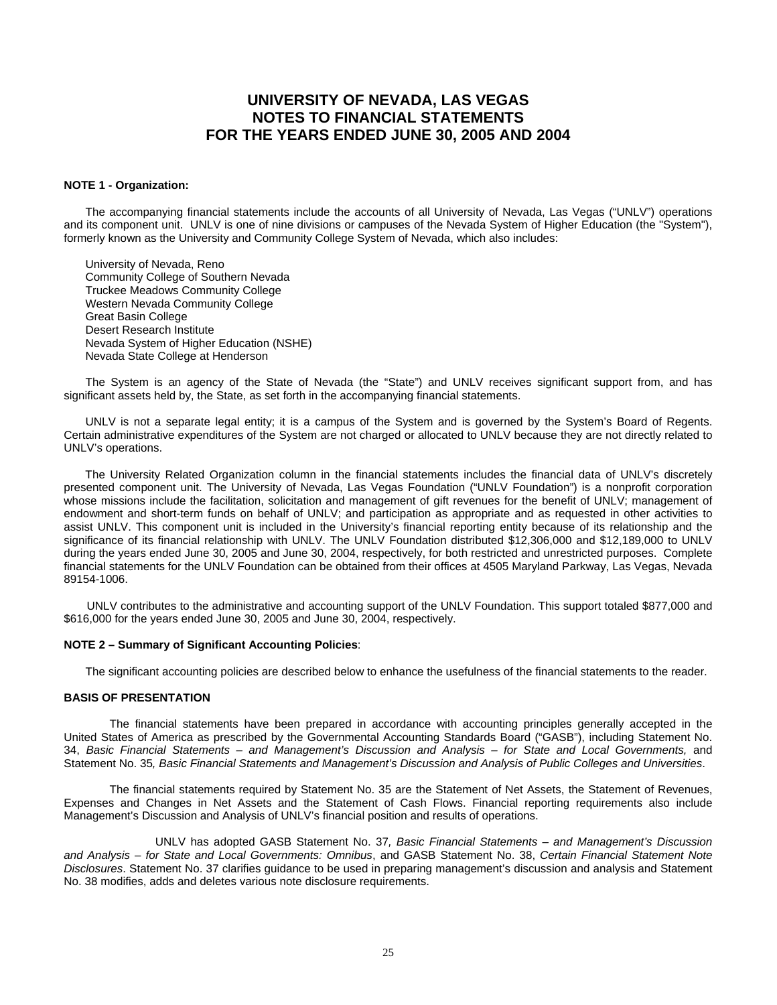#### **NOTE 1 - Organization:**

 The accompanying financial statements include the accounts of all University of Nevada, Las Vegas ("UNLV") operations and its component unit. UNLV is one of nine divisions or campuses of the Nevada System of Higher Education (the "System"), formerly known as the University and Community College System of Nevada, which also includes:

 University of Nevada, Reno Community College of Southern Nevada Truckee Meadows Community College Western Nevada Community College Great Basin College Desert Research Institute Nevada System of Higher Education (NSHE) Nevada State College at Henderson

 The System is an agency of the State of Nevada (the "State") and UNLV receives significant support from, and has significant assets held by, the State, as set forth in the accompanying financial statements.

 UNLV is not a separate legal entity; it is a campus of the System and is governed by the System's Board of Regents. Certain administrative expenditures of the System are not charged or allocated to UNLV because they are not directly related to UNLV's operations.

The University Related Organization column in the financial statements includes the financial data of UNLV's discretely presented component unit. The University of Nevada, Las Vegas Foundation ("UNLV Foundation") is a nonprofit corporation whose missions include the facilitation, solicitation and management of gift revenues for the benefit of UNLV; management of endowment and short-term funds on behalf of UNLV; and participation as appropriate and as requested in other activities to assist UNLV. This component unit is included in the University's financial reporting entity because of its relationship and the significance of its financial relationship with UNLV. The UNLV Foundation distributed \$12,306,000 and \$12,189,000 to UNLV during the years ended June 30, 2005 and June 30, 2004, respectively, for both restricted and unrestricted purposes. Complete financial statements for the UNLV Foundation can be obtained from their offices at 4505 Maryland Parkway, Las Vegas, Nevada 89154-1006.

 UNLV contributes to the administrative and accounting support of the UNLV Foundation. This support totaled \$877,000 and \$616,000 for the years ended June 30, 2005 and June 30, 2004, respectively.

#### **NOTE 2 – Summary of Significant Accounting Policies**:

The significant accounting policies are described below to enhance the usefulness of the financial statements to the reader.

### **BASIS OF PRESENTATION**

 The financial statements have been prepared in accordance with accounting principles generally accepted in the United States of America as prescribed by the Governmental Accounting Standards Board ("GASB"), including Statement No. 34, *Basic Financial Statements – and Management's Discussion and Analysis – for State and Local Governments*, and Statement No. 35*, Basic Financial Statements and Management's Discussion and Analysis of Public Colleges and Universities*.

 The financial statements required by Statement No. 35 are the Statement of Net Assets, the Statement of Revenues, Expenses and Changes in Net Assets and the Statement of Cash Flows. Financial reporting requirements also include Management's Discussion and Analysis of UNLV's financial position and results of operations.

 UNLV has adopted GASB Statement No. 37*, Basic Financial Statements – and Management's Discussion and Analysis* – *for State and Local Governments: Omnibus*, and GASB Statement No. 38, *Certain Financial Statement Note Disclosures*. Statement No. 37 clarifies guidance to be used in preparing management's discussion and analysis and Statement No. 38 modifies, adds and deletes various note disclosure requirements.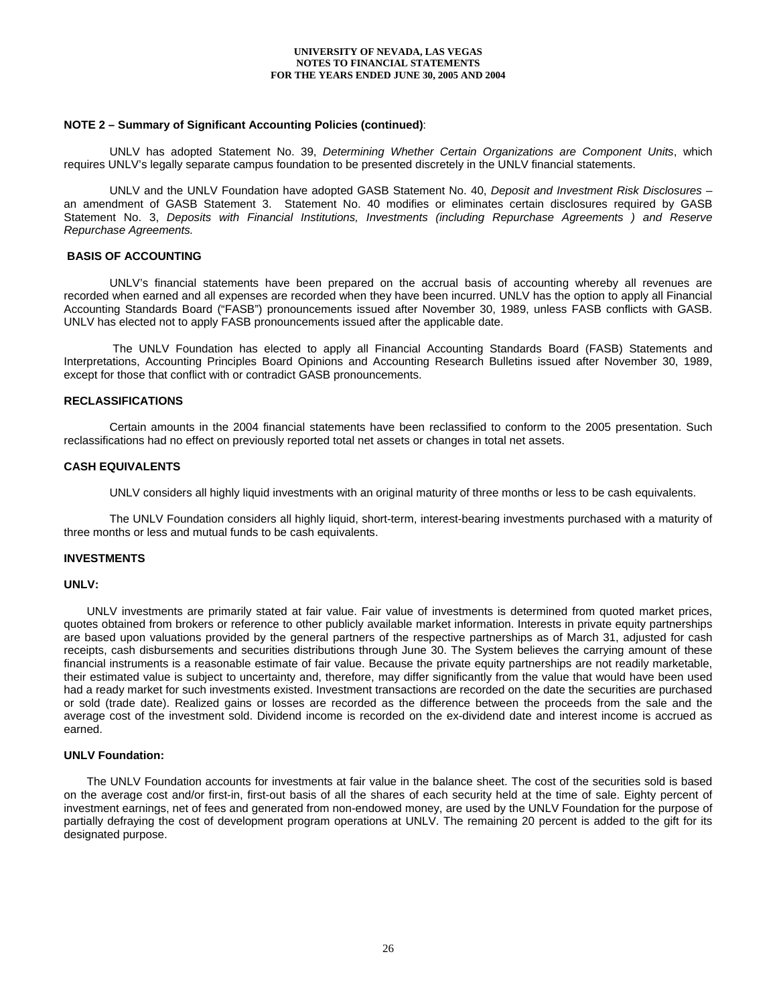### **NOTE 2 – Summary of Significant Accounting Policies (continued)**:

 UNLV has adopted Statement No. 39, *Determining Whether Certain Organizations are Component Units*, which requires UNLV's legally separate campus foundation to be presented discretely in the UNLV financial statements.

 UNLV and the UNLV Foundation have adopted GASB Statement No. 40, *Deposit and Investment Risk Disclosures* – an amendment of GASB Statement 3. Statement No. 40 modifies or eliminates certain disclosures required by GASB Statement No. 3, *Deposits with Financial Institutions, Investments (including Repurchase Agreements ) and Reserve Repurchase Agreements.*

#### **BASIS OF ACCOUNTING**

 UNLV's financial statements have been prepared on the accrual basis of accounting whereby all revenues are recorded when earned and all expenses are recorded when they have been incurred. UNLV has the option to apply all Financial Accounting Standards Board ("FASB") pronouncements issued after November 30, 1989, unless FASB conflicts with GASB. UNLV has elected not to apply FASB pronouncements issued after the applicable date.

 The UNLV Foundation has elected to apply all Financial Accounting Standards Board (FASB) Statements and Interpretations, Accounting Principles Board Opinions and Accounting Research Bulletins issued after November 30, 1989, except for those that conflict with or contradict GASB pronouncements.

### **RECLASSIFICATIONS**

 Certain amounts in the 2004 financial statements have been reclassified to conform to the 2005 presentation. Such reclassifications had no effect on previously reported total net assets or changes in total net assets.

#### **CASH EQUIVALENTS**

UNLV considers all highly liquid investments with an original maturity of three months or less to be cash equivalents.

 The UNLV Foundation considers all highly liquid, short-term, interest-bearing investments purchased with a maturity of three months or less and mutual funds to be cash equivalents.

#### **INVESTMENTS**

#### **UNLV:**

 UNLV investments are primarily stated at fair value. Fair value of investments is determined from quoted market prices, quotes obtained from brokers or reference to other publicly available market information. Interests in private equity partnerships are based upon valuations provided by the general partners of the respective partnerships as of March 31, adjusted for cash receipts, cash disbursements and securities distributions through June 30. The System believes the carrying amount of these financial instruments is a reasonable estimate of fair value. Because the private equity partnerships are not readily marketable, their estimated value is subject to uncertainty and, therefore, may differ significantly from the value that would have been used had a ready market for such investments existed. Investment transactions are recorded on the date the securities are purchased or sold (trade date). Realized gains or losses are recorded as the difference between the proceeds from the sale and the average cost of the investment sold. Dividend income is recorded on the ex-dividend date and interest income is accrued as earned.

## **UNLV Foundation:**

 The UNLV Foundation accounts for investments at fair value in the balance sheet. The cost of the securities sold is based on the average cost and/or first-in, first-out basis of all the shares of each security held at the time of sale. Eighty percent of investment earnings, net of fees and generated from non-endowed money, are used by the UNLV Foundation for the purpose of partially defraying the cost of development program operations at UNLV. The remaining 20 percent is added to the gift for its designated purpose.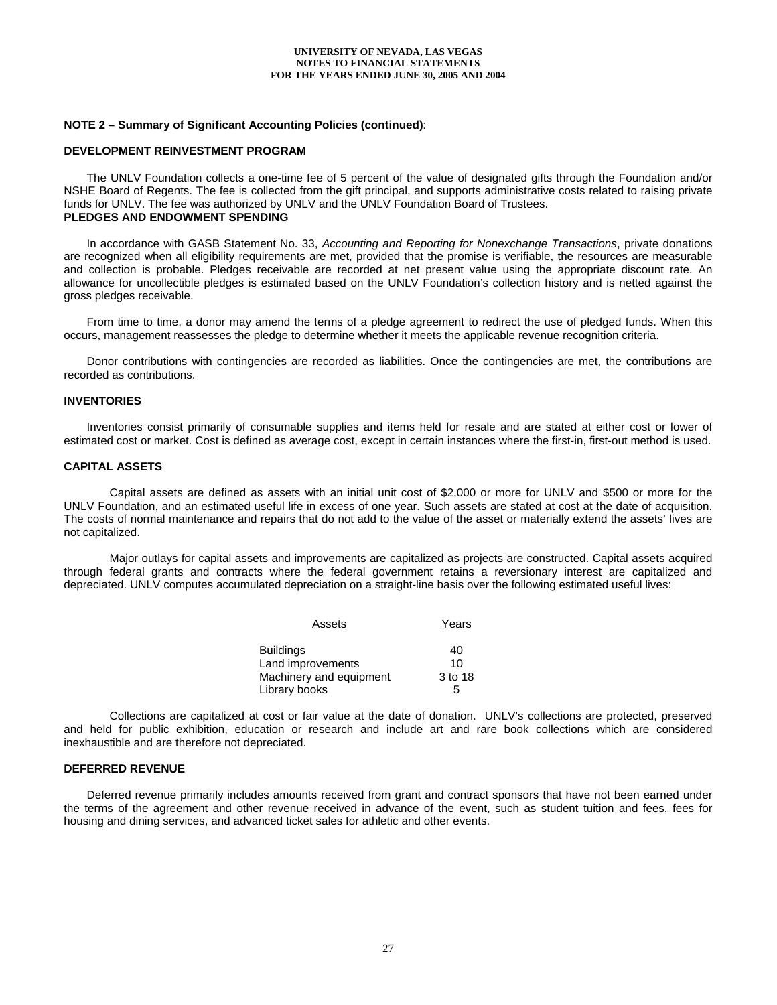### **NOTE 2 – Summary of Significant Accounting Policies (continued)**:

#### **DEVELOPMENT REINVESTMENT PROGRAM**

 The UNLV Foundation collects a one-time fee of 5 percent of the value of designated gifts through the Foundation and/or NSHE Board of Regents. The fee is collected from the gift principal, and supports administrative costs related to raising private funds for UNLV. The fee was authorized by UNLV and the UNLV Foundation Board of Trustees. **PLEDGES AND ENDOWMENT SPENDING** 

 In accordance with GASB Statement No. 33, *Accounting and Reporting for Nonexchange Transactions*, private donations are recognized when all eligibility requirements are met, provided that the promise is verifiable, the resources are measurable and collection is probable. Pledges receivable are recorded at net present value using the appropriate discount rate. An allowance for uncollectible pledges is estimated based on the UNLV Foundation's collection history and is netted against the gross pledges receivable.

 From time to time, a donor may amend the terms of a pledge agreement to redirect the use of pledged funds. When this occurs, management reassesses the pledge to determine whether it meets the applicable revenue recognition criteria.

 Donor contributions with contingencies are recorded as liabilities. Once the contingencies are met, the contributions are recorded as contributions.

#### **INVENTORIES**

 Inventories consist primarily of consumable supplies and items held for resale and are stated at either cost or lower of estimated cost or market. Cost is defined as average cost, except in certain instances where the first-in, first-out method is used.

#### **CAPITAL ASSETS**

 Capital assets are defined as assets with an initial unit cost of \$2,000 or more for UNLV and \$500 or more for the UNLV Foundation, and an estimated useful life in excess of one year. Such assets are stated at cost at the date of acquisition. The costs of normal maintenance and repairs that do not add to the value of the asset or materially extend the assets' lives are not capitalized.

 Major outlays for capital assets and improvements are capitalized as projects are constructed. Capital assets acquired through federal grants and contracts where the federal government retains a reversionary interest are capitalized and depreciated. UNLV computes accumulated depreciation on a straight-line basis over the following estimated useful lives:

| Assets                  | Years   |
|-------------------------|---------|
| <b>Buildings</b>        | 40      |
| Land improvements       | 10      |
| Machinery and equipment | 3 to 18 |
| Library books           | 5       |

 Collections are capitalized at cost or fair value at the date of donation. UNLV's collections are protected, preserved and held for public exhibition, education or research and include art and rare book collections which are considered inexhaustible and are therefore not depreciated.

## **DEFERRED REVENUE**

 Deferred revenue primarily includes amounts received from grant and contract sponsors that have not been earned under the terms of the agreement and other revenue received in advance of the event, such as student tuition and fees, fees for housing and dining services, and advanced ticket sales for athletic and other events.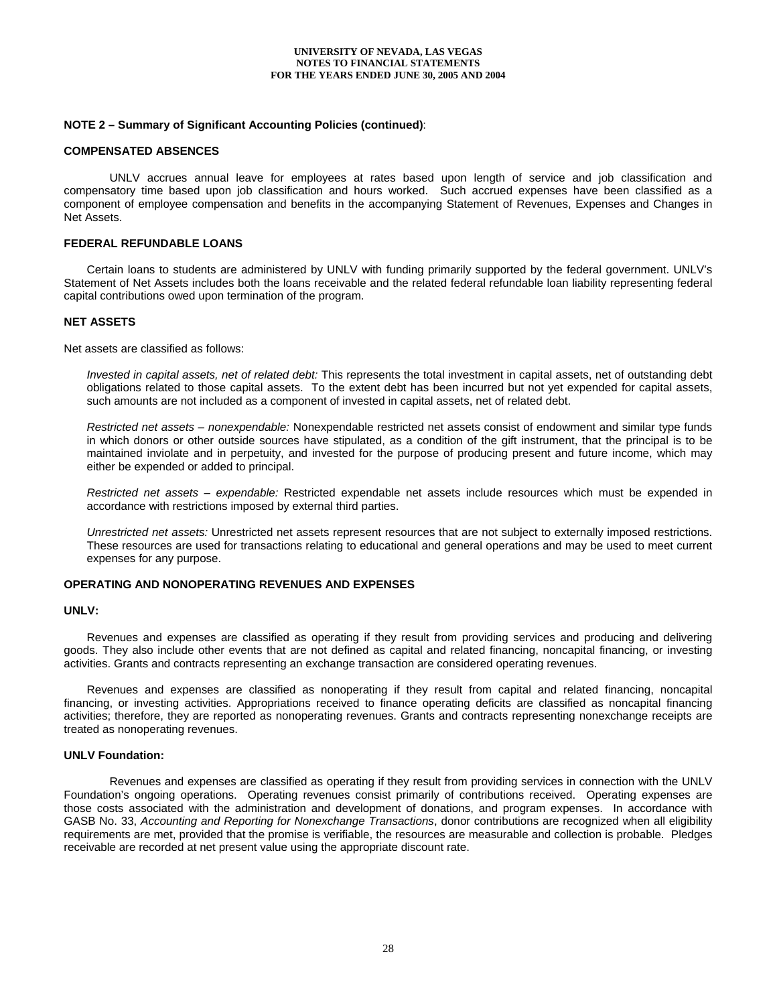### **NOTE 2 – Summary of Significant Accounting Policies (continued)**:

#### **COMPENSATED ABSENCES**

 UNLV accrues annual leave for employees at rates based upon length of service and job classification and compensatory time based upon job classification and hours worked. Such accrued expenses have been classified as a component of employee compensation and benefits in the accompanying Statement of Revenues, Expenses and Changes in Net Assets.

### **FEDERAL REFUNDABLE LOANS**

 Certain loans to students are administered by UNLV with funding primarily supported by the federal government. UNLV's Statement of Net Assets includes both the loans receivable and the related federal refundable loan liability representing federal capital contributions owed upon termination of the program.

### **NET ASSETS**

Net assets are classified as follows:

*Invested in capital assets, net of related debt:* This represents the total investment in capital assets, net of outstanding debt obligations related to those capital assets. To the extent debt has been incurred but not yet expended for capital assets, such amounts are not included as a component of invested in capital assets, net of related debt.

*Restricted net assets – nonexpendable:* Nonexpendable restricted net assets consist of endowment and similar type funds in which donors or other outside sources have stipulated, as a condition of the gift instrument, that the principal is to be maintained inviolate and in perpetuity, and invested for the purpose of producing present and future income, which may either be expended or added to principal.

*Restricted net assets – expendable:* Restricted expendable net assets include resources which must be expended in accordance with restrictions imposed by external third parties.

*Unrestricted net assets:* Unrestricted net assets represent resources that are not subject to externally imposed restrictions. These resources are used for transactions relating to educational and general operations and may be used to meet current expenses for any purpose.

## **OPERATING AND NONOPERATING REVENUES AND EXPENSES**

#### **UNLV:**

 Revenues and expenses are classified as operating if they result from providing services and producing and delivering goods. They also include other events that are not defined as capital and related financing, noncapital financing, or investing activities. Grants and contracts representing an exchange transaction are considered operating revenues.

 Revenues and expenses are classified as nonoperating if they result from capital and related financing, noncapital financing, or investing activities. Appropriations received to finance operating deficits are classified as noncapital financing activities; therefore, they are reported as nonoperating revenues. Grants and contracts representing nonexchange receipts are treated as nonoperating revenues.

#### **UNLV Foundation:**

 Revenues and expenses are classified as operating if they result from providing services in connection with the UNLV Foundation's ongoing operations. Operating revenues consist primarily of contributions received. Operating expenses are those costs associated with the administration and development of donations, and program expenses. In accordance with GASB No. 33, *Accounting and Reporting for Nonexchange Transactions*, donor contributions are recognized when all eligibility requirements are met, provided that the promise is verifiable, the resources are measurable and collection is probable. Pledges receivable are recorded at net present value using the appropriate discount rate.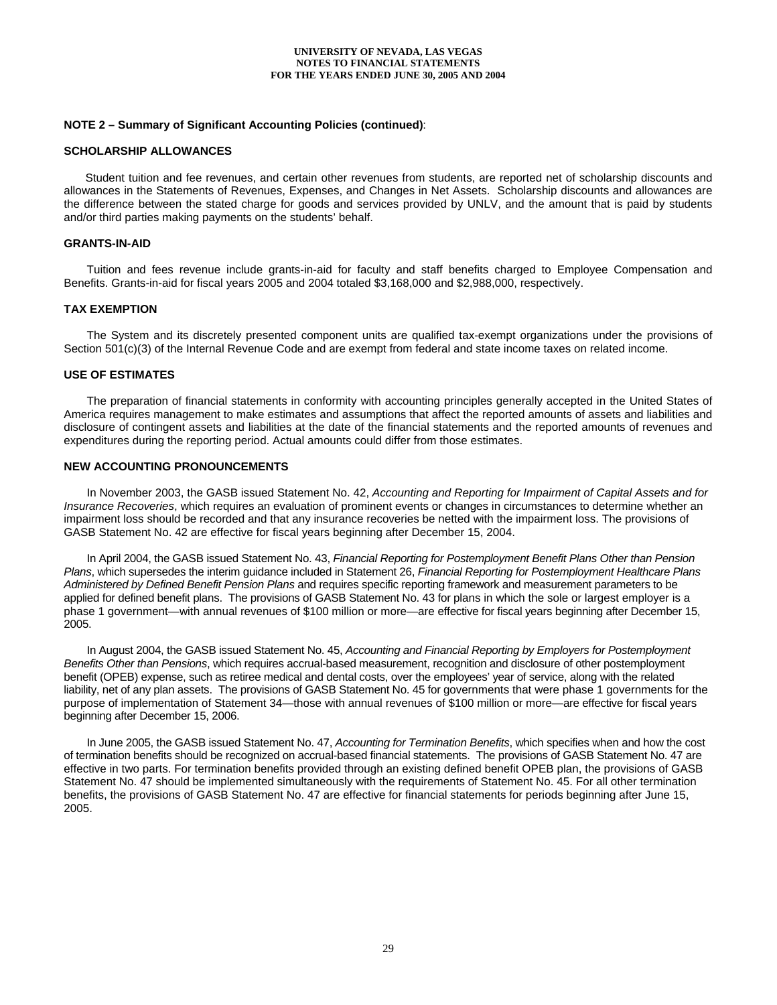### **NOTE 2 – Summary of Significant Accounting Policies (continued)**:

#### **SCHOLARSHIP ALLOWANCES**

 Student tuition and fee revenues, and certain other revenues from students, are reported net of scholarship discounts and allowances in the Statements of Revenues, Expenses, and Changes in Net Assets. Scholarship discounts and allowances are the difference between the stated charge for goods and services provided by UNLV, and the amount that is paid by students and/or third parties making payments on the students' behalf.

### **GRANTS-IN-AID**

 Tuition and fees revenue include grants-in-aid for faculty and staff benefits charged to Employee Compensation and Benefits. Grants-in-aid for fiscal years 2005 and 2004 totaled \$3,168,000 and \$2,988,000, respectively.

#### **TAX EXEMPTION**

 The System and its discretely presented component units are qualified tax-exempt organizations under the provisions of Section 501(c)(3) of the Internal Revenue Code and are exempt from federal and state income taxes on related income.

#### **USE OF ESTIMATES**

 The preparation of financial statements in conformity with accounting principles generally accepted in the United States of America requires management to make estimates and assumptions that affect the reported amounts of assets and liabilities and disclosure of contingent assets and liabilities at the date of the financial statements and the reported amounts of revenues and expenditures during the reporting period. Actual amounts could differ from those estimates.

#### **NEW ACCOUNTING PRONOUNCEMENTS**

In November 2003, the GASB issued Statement No. 42, *Accounting and Reporting for Impairment of Capital Assets and for Insurance Recoveries*, which requires an evaluation of prominent events or changes in circumstances to determine whether an impairment loss should be recorded and that any insurance recoveries be netted with the impairment loss. The provisions of GASB Statement No. 42 are effective for fiscal years beginning after December 15, 2004.

In April 2004, the GASB issued Statement No. 43, *Financial Reporting for Postemployment Benefit Plans Other than Pension Plans*, which supersedes the interim guidance included in Statement 26, *Financial Reporting for Postemployment Healthcare Plans Administered by Defined Benefit Pension Plans* and requires specific reporting framework and measurement parameters to be applied for defined benefit plans. The provisions of GASB Statement No. 43 for plans in which the sole or largest employer is a phase 1 government—with annual revenues of \$100 million or more—are effective for fiscal years beginning after December 15, 2005.

In August 2004, the GASB issued Statement No. 45, *Accounting and Financial Reporting by Employers for Postemployment Benefits Other than Pensions*, which requires accrual-based measurement, recognition and disclosure of other postemployment benefit (OPEB) expense, such as retiree medical and dental costs, over the employees' year of service, along with the related liability, net of any plan assets. The provisions of GASB Statement No. 45 for governments that were phase 1 governments for the purpose of implementation of Statement 34—those with annual revenues of \$100 million or more—are effective for fiscal years beginning after December 15, 2006.

In June 2005, the GASB issued Statement No. 47, *Accounting for Termination Benefits*, which specifies when and how the cost of termination benefits should be recognized on accrual-based financial statements. The provisions of GASB Statement No. 47 are effective in two parts. For termination benefits provided through an existing defined benefit OPEB plan, the provisions of GASB Statement No. 47 should be implemented simultaneously with the requirements of Statement No. 45. For all other termination benefits, the provisions of GASB Statement No. 47 are effective for financial statements for periods beginning after June 15, 2005.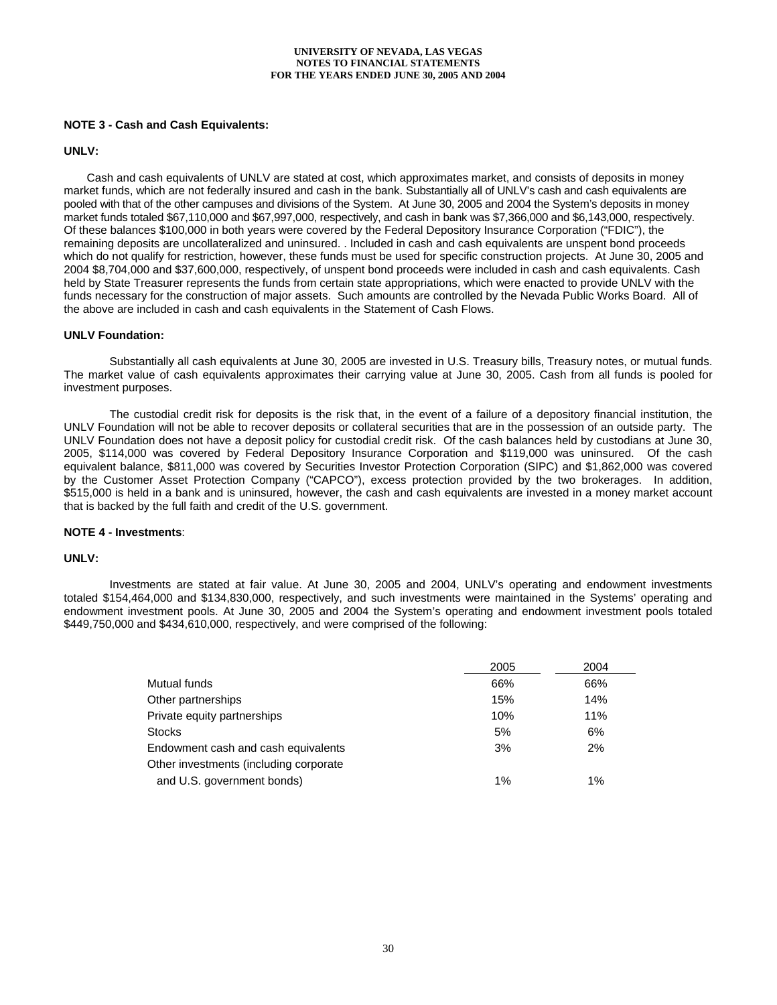## **NOTE 3 - Cash and Cash Equivalents:**

#### **UNLV:**

Cash and cash equivalents of UNLV are stated at cost, which approximates market, and consists of deposits in money market funds, which are not federally insured and cash in the bank. Substantially all of UNLV's cash and cash equivalents are pooled with that of the other campuses and divisions of the System. At June 30, 2005 and 2004 the System's deposits in money market funds totaled \$67,110,000 and \$67,997,000, respectively, and cash in bank was \$7,366,000 and \$6,143,000, respectively. Of these balances \$100,000 in both years were covered by the Federal Depository Insurance Corporation ("FDIC"), the remaining deposits are uncollateralized and uninsured. . Included in cash and cash equivalents are unspent bond proceeds which do not qualify for restriction, however, these funds must be used for specific construction projects. At June 30, 2005 and 2004 \$8,704,000 and \$37,600,000, respectively, of unspent bond proceeds were included in cash and cash equivalents. Cash held by State Treasurer represents the funds from certain state appropriations, which were enacted to provide UNLV with the funds necessary for the construction of major assets. Such amounts are controlled by the Nevada Public Works Board. All of the above are included in cash and cash equivalents in the Statement of Cash Flows.

#### **UNLV Foundation:**

 Substantially all cash equivalents at June 30, 2005 are invested in U.S. Treasury bills, Treasury notes, or mutual funds. The market value of cash equivalents approximates their carrying value at June 30, 2005. Cash from all funds is pooled for investment purposes.

The custodial credit risk for deposits is the risk that, in the event of a failure of a depository financial institution, the UNLV Foundation will not be able to recover deposits or collateral securities that are in the possession of an outside party. The UNLV Foundation does not have a deposit policy for custodial credit risk. Of the cash balances held by custodians at June 30, 2005, \$114,000 was covered by Federal Depository Insurance Corporation and \$119,000 was uninsured. Of the cash equivalent balance, \$811,000 was covered by Securities Investor Protection Corporation (SIPC) and \$1,862,000 was covered by the Customer Asset Protection Company ("CAPCO"), excess protection provided by the two brokerages. In addition, \$515,000 is held in a bank and is uninsured, however, the cash and cash equivalents are invested in a money market account that is backed by the full faith and credit of the U.S. government.

#### **NOTE 4 - Investments**:

## **UNLV:**

 Investments are stated at fair value. At June 30, 2005 and 2004, UNLV's operating and endowment investments totaled \$154,464,000 and \$134,830,000, respectively, and such investments were maintained in the Systems' operating and endowment investment pools. At June 30, 2005 and 2004 the System's operating and endowment investment pools totaled \$449,750,000 and \$434,610,000, respectively, and were comprised of the following:

|                                        | 2005  | 2004  |
|----------------------------------------|-------|-------|
| Mutual funds                           | 66%   | 66%   |
| Other partnerships                     | 15%   | 14%   |
| Private equity partnerships            | 10%   | 11%   |
| <b>Stocks</b>                          | 5%    | 6%    |
| Endowment cash and cash equivalents    | 3%    | 2%    |
| Other investments (including corporate |       |       |
| and U.S. government bonds)             | $1\%$ | $1\%$ |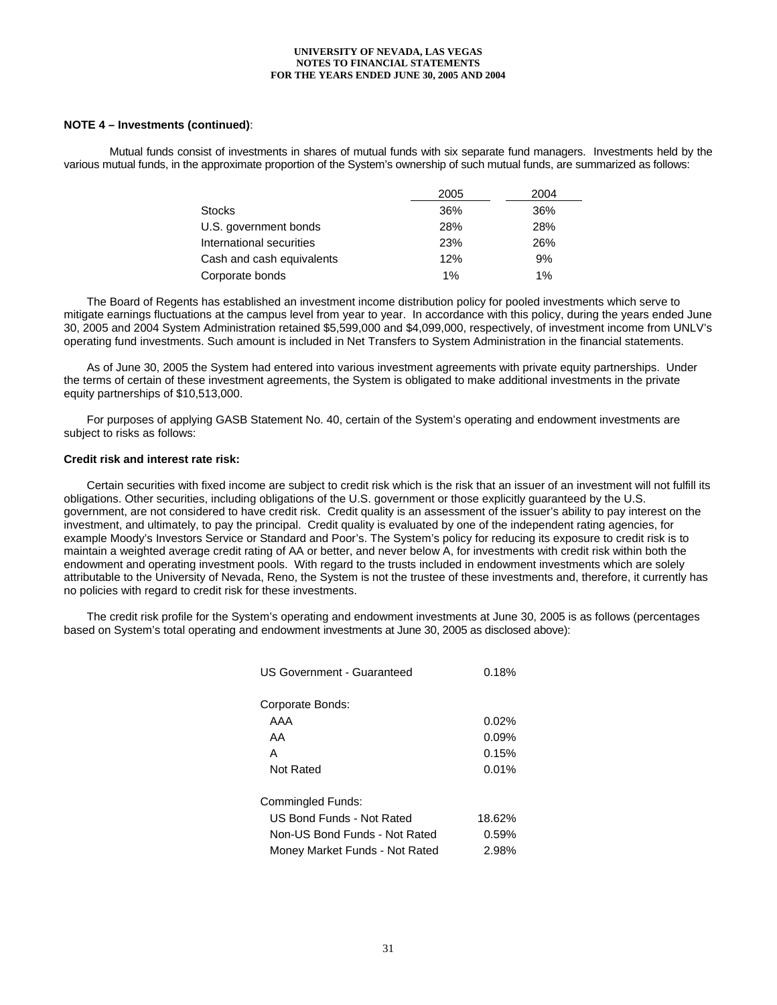## **NOTE 4 – Investments (continued)**:

 Mutual funds consist of investments in shares of mutual funds with six separate fund managers. Investments held by the various mutual funds, in the approximate proportion of the System's ownership of such mutual funds, are summarized as follows:

|                           | 2005 | 2004  |
|---------------------------|------|-------|
| <b>Stocks</b>             | 36%  | 36%   |
| U.S. government bonds     | 28%  | 28%   |
| International securities  | 23%  | 26%   |
| Cash and cash equivalents | 12%  | 9%    |
| Corporate bonds           | 1%   | $1\%$ |

The Board of Regents has established an investment income distribution policy for pooled investments which serve to mitigate earnings fluctuations at the campus level from year to year. In accordance with this policy, during the years ended June 30, 2005 and 2004 System Administration retained \$5,599,000 and \$4,099,000, respectively, of investment income from UNLV's operating fund investments. Such amount is included in Net Transfers to System Administration in the financial statements.

As of June 30, 2005 the System had entered into various investment agreements with private equity partnerships. Under the terms of certain of these investment agreements, the System is obligated to make additional investments in the private equity partnerships of \$10,513,000.

For purposes of applying GASB Statement No. 40, certain of the System's operating and endowment investments are subject to risks as follows:

#### **Credit risk and interest rate risk:**

Certain securities with fixed income are subject to credit risk which is the risk that an issuer of an investment will not fulfill its obligations. Other securities, including obligations of the U.S. government or those explicitly guaranteed by the U.S. government, are not considered to have credit risk. Credit quality is an assessment of the issuer's ability to pay interest on the investment, and ultimately, to pay the principal. Credit quality is evaluated by one of the independent rating agencies, for example Moody's Investors Service or Standard and Poor's. The System's policy for reducing its exposure to credit risk is to maintain a weighted average credit rating of AA or better, and never below A, for investments with credit risk within both the endowment and operating investment pools. With regard to the trusts included in endowment investments which are solely attributable to the University of Nevada, Reno, the System is not the trustee of these investments and, therefore, it currently has no policies with regard to credit risk for these investments.

The credit risk profile for the System's operating and endowment investments at June 30, 2005 is as follows (percentages based on System's total operating and endowment investments at June 30, 2005 as disclosed above):

| <b>US Government - Guaranteed</b> | 0.18%    |
|-----------------------------------|----------|
| Corporate Bonds:                  |          |
| AAA                               | $0.02\%$ |
| AA                                | 0.09%    |
| А                                 | 0.15%    |
| Not Rated                         | 0.01%    |
| Commingled Funds:                 |          |
| US Bond Funds - Not Rated         | 18.62%   |
| Non-US Bond Funds - Not Rated     | 0.59%    |
| Money Market Funds - Not Rated    | 2.98%    |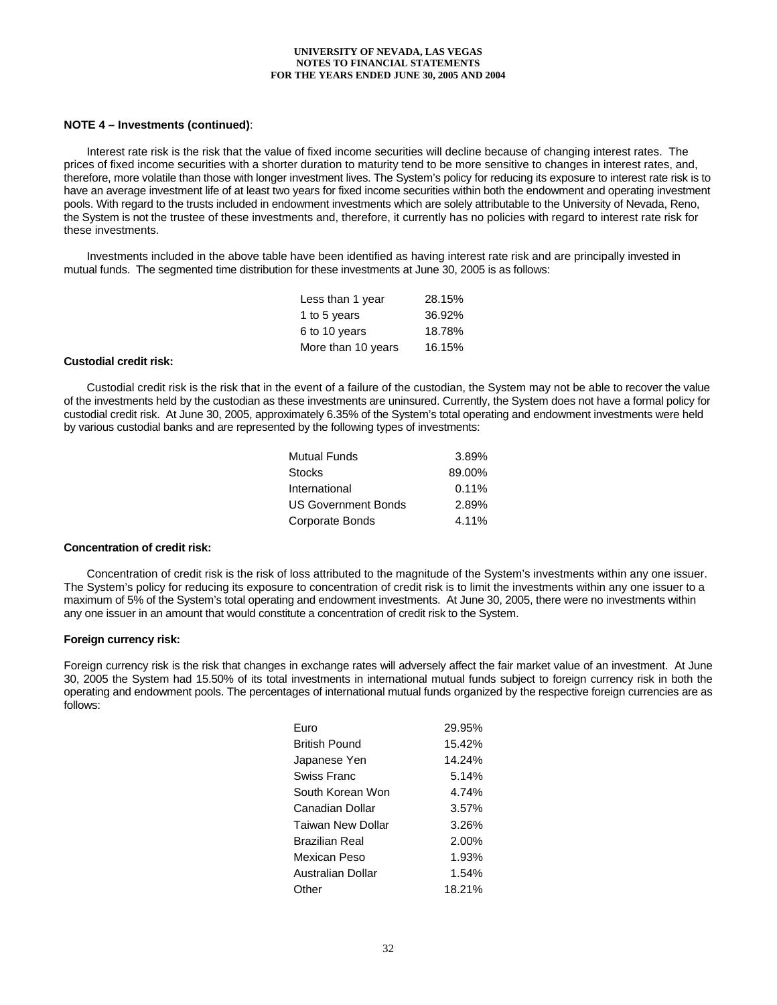## **NOTE 4 – Investments (continued)**:

Interest rate risk is the risk that the value of fixed income securities will decline because of changing interest rates. The prices of fixed income securities with a shorter duration to maturity tend to be more sensitive to changes in interest rates, and, therefore, more volatile than those with longer investment lives. The System's policy for reducing its exposure to interest rate risk is to have an average investment life of at least two years for fixed income securities within both the endowment and operating investment pools. With regard to the trusts included in endowment investments which are solely attributable to the University of Nevada, Reno, the System is not the trustee of these investments and, therefore, it currently has no policies with regard to interest rate risk for these investments.

Investments included in the above table have been identified as having interest rate risk and are principally invested in mutual funds. The segmented time distribution for these investments at June 30, 2005 is as follows:

| Less than 1 year   | 28.15% |
|--------------------|--------|
| 1 to 5 years       | 36.92% |
| 6 to 10 years      | 18.78% |
| More than 10 years | 16.15% |

#### **Custodial credit risk:**

Custodial credit risk is the risk that in the event of a failure of the custodian, the System may not be able to recover the value of the investments held by the custodian as these investments are uninsured. Currently, the System does not have a formal policy for custodial credit risk. At June 30, 2005, approximately 6.35% of the System's total operating and endowment investments were held by various custodial banks and are represented by the following types of investments:

| <b>Mutual Funds</b>        | 3.89%  |
|----------------------------|--------|
| <b>Stocks</b>              | 89.00% |
| International              | 0.11%  |
| <b>US Government Bonds</b> | 2.89%  |
| Corporate Bonds            | 4.11%  |

#### **Concentration of credit risk:**

Concentration of credit risk is the risk of loss attributed to the magnitude of the System's investments within any one issuer. The System's policy for reducing its exposure to concentration of credit risk is to limit the investments within any one issuer to a maximum of 5% of the System's total operating and endowment investments. At June 30, 2005, there were no investments within any one issuer in an amount that would constitute a concentration of credit risk to the System.

#### **Foreign currency risk:**

Foreign currency risk is the risk that changes in exchange rates will adversely affect the fair market value of an investment. At June 30, 2005 the System had 15.50% of its total investments in international mutual funds subject to foreign currency risk in both the operating and endowment pools. The percentages of international mutual funds organized by the respective foreign currencies are as follows:

| Euro                 | 29.95% |
|----------------------|--------|
| <b>British Pound</b> | 15.42% |
| Japanese Yen         | 14.24% |
| Swiss Franc          | 5.14%  |
| South Korean Won     | 4.74%  |
| Canadian Dollar      | 3.57%  |
| Taiwan New Dollar    | 3.26%  |
| Brazilian Real       | 2.00%  |
| Mexican Peso         | 1.93%  |
| Australian Dollar    | 1.54%  |
| Other                | 18.21% |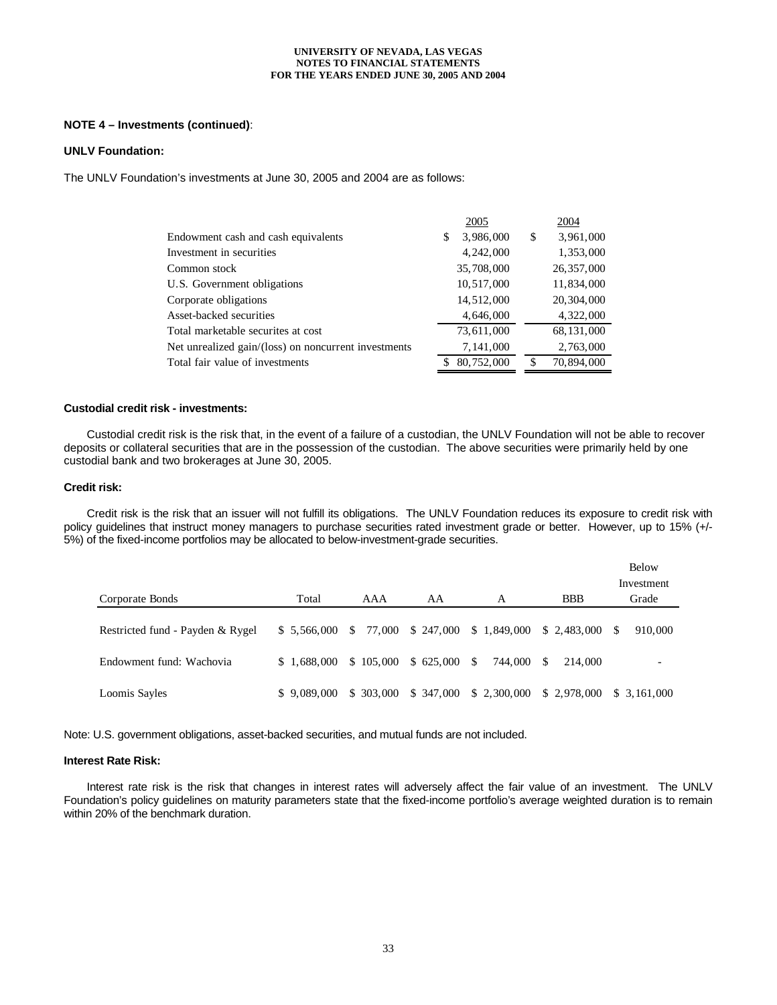### **NOTE 4 – Investments (continued)**:

#### **UNLV Foundation:**

The UNLV Foundation's investments at June 30, 2005 and 2004 are as follows:

|                                                      | 2005            | 2004            |
|------------------------------------------------------|-----------------|-----------------|
| Endowment cash and cash equivalents                  | 3,986,000<br>\$ | 3,961,000<br>\$ |
| Investment in securities                             | 4, 242, 000     | 1,353,000       |
| Common stock                                         | 35,708,000      | 26,357,000      |
| U.S. Government obligations                          | 10,517,000      | 11,834,000      |
| Corporate obligations                                | 14,512,000      | 20, 304, 000    |
| Asset-backed securities                              | 4,646,000       | 4,322,000       |
| Total marketable securites at cost                   | 73,611,000      | 68, 131, 000    |
| Net unrealized gain/(loss) on noncurrent investments | 7,141,000       | 2,763,000       |
| Total fair value of investments                      | 80,752,000      | 70,894,000<br>S |

## **Custodial credit risk - investments:**

Custodial credit risk is the risk that, in the event of a failure of a custodian, the UNLV Foundation will not be able to recover deposits or collateral securities that are in the possession of the custodian. The above securities were primarily held by one custodial bank and two brokerages at June 30, 2005.

#### **Credit risk:**

Credit risk is the risk that an issuer will not fulfill its obligations. The UNLV Foundation reduces its exposure to credit risk with policy guidelines that instruct money managers to purchase securities rated investment grade or better. However, up to 15% (+/-5%) of the fixed-income portfolios may be allocated to below-investment-grade securities.

|                                  |             |            |                 |                                 |                                                               | <b>Below</b>             |
|----------------------------------|-------------|------------|-----------------|---------------------------------|---------------------------------------------------------------|--------------------------|
|                                  |             |            |                 |                                 |                                                               | Investment               |
| Corporate Bonds                  | Total       | AAA        | AA              | А                               | <b>BBB</b>                                                    | Grade                    |
|                                  |             |            |                 |                                 |                                                               |                          |
| Restricted fund - Payden & Rygel | \$5,566,000 |            |                 | $$77,000 \$247,000 \$1,849,000$ | $$2,483,000$ \ \$                                             | 910,000                  |
| Endowment fund: Wachovia         | \$1.688.000 | \$105,000  | $$625,000$ \ \$ | 744,000                         | -S<br>214,000                                                 | $\overline{\phantom{0}}$ |
| Loomis Sayles                    | \$9.089,000 | \$ 303,000 |                 |                                 | $$347,000 \quad $2,300,000 \quad $2,978,000 \quad $3,161,000$ |                          |

Note: U.S. government obligations, asset-backed securities, and mutual funds are not included.

#### **Interest Rate Risk:**

 Interest rate risk is the risk that changes in interest rates will adversely affect the fair value of an investment. The UNLV Foundation's policy guidelines on maturity parameters state that the fixed-income portfolio's average weighted duration is to remain within 20% of the benchmark duration.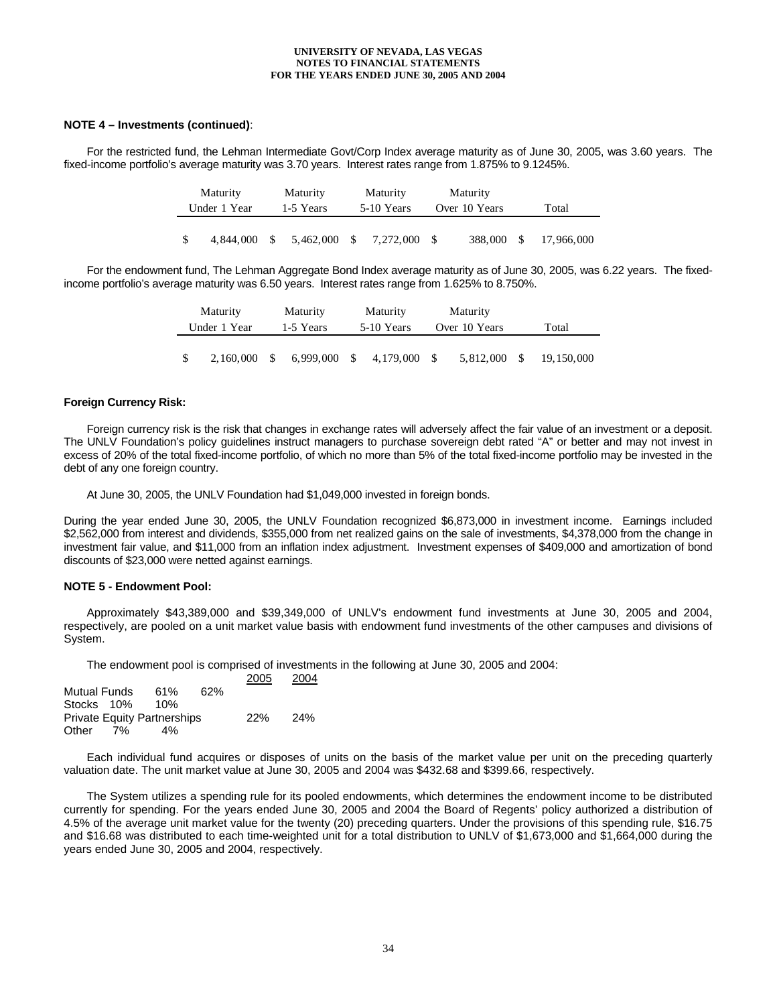#### **NOTE 4 – Investments (continued)**:

 For the restricted fund, the Lehman Intermediate Govt/Corp Index average maturity as of June 30, 2005, was 3.60 years. The fixed-income portfolio's average maturity was 3.70 years. Interest rates range from 1.875% to 9.1245%.

| Maturity     |    | Maturity  |              | Maturity   |            | Maturity      |    |            |  |
|--------------|----|-----------|--------------|------------|------------|---------------|----|------------|--|
| Under 1 Year |    | 1-5 Years |              | 5-10 Years |            | Over 10 Years |    | Total      |  |
|              |    |           |              |            |            |               |    |            |  |
| 4.844.000    | -S | 5.462,000 | $\mathbf{s}$ | 7.272.000  | $^{\circ}$ | 388,000       | -S | 17,966,000 |  |

 For the endowment fund, The Lehman Aggregate Bond Index average maturity as of June 30, 2005, was 6.22 years. The fixedincome portfolio's average maturity was 6.50 years. Interest rates range from 1.625% to 8.750%.

| Maturity     |           | Maturity  |           |              | Maturity     | Maturity      |     |            |  |  |  |
|--------------|-----------|-----------|-----------|--------------|--------------|---------------|-----|------------|--|--|--|
| Under 1 Year |           | 1-5 Years |           | 5-10 Years   |              | Over 10 Years |     | Total      |  |  |  |
|              |           |           |           |              |              |               |     |            |  |  |  |
|              | 2.160.000 | - \$      | 6.999.000 | $\mathbb{S}$ | 4,179,000 \$ | 5.812.000     | -SS | 19.150.000 |  |  |  |

#### **Foreign Currency Risk:**

 Foreign currency risk is the risk that changes in exchange rates will adversely affect the fair value of an investment or a deposit. The UNLV Foundation's policy guidelines instruct managers to purchase sovereign debt rated "A" or better and may not invest in excess of 20% of the total fixed-income portfolio, of which no more than 5% of the total fixed-income portfolio may be invested in the debt of any one foreign country.

At June 30, 2005, the UNLV Foundation had \$1,049,000 invested in foreign bonds.

During the year ended June 30, 2005, the UNLV Foundation recognized \$6,873,000 in investment income. Earnings included \$2,562,000 from interest and dividends, \$355,000 from net realized gains on the sale of investments, \$4,378,000 from the change in investment fair value, and \$11,000 from an inflation index adjustment. Investment expenses of \$409,000 and amortization of bond discounts of \$23,000 were netted against earnings.

### **NOTE 5 - Endowment Pool:**

Approximately \$43,389,000 and \$39,349,000 of UNLV's endowment fund investments at June 30, 2005 and 2004, respectively, are pooled on a unit market value basis with endowment fund investments of the other campuses and divisions of System.

The endowment pool is comprised of investments in the following at June 30, 2005 and 2004:

|                     |    |                                    |     | 2005 | 2004 |
|---------------------|----|------------------------------------|-----|------|------|
| <b>Mutual Funds</b> |    | 61%                                | 62% |      |      |
| Stocks 10%          |    | 10%                                |     |      |      |
|                     |    | <b>Private Equity Partnerships</b> |     | 22%  | 24%  |
| Other               | 7% | 4%                                 |     |      |      |

 Each individual fund acquires or disposes of units on the basis of the market value per unit on the preceding quarterly valuation date. The unit market value at June 30, 2005 and 2004 was \$432.68 and \$399.66, respectively.

 The System utilizes a spending rule for its pooled endowments, which determines the endowment income to be distributed currently for spending. For the years ended June 30, 2005 and 2004 the Board of Regents' policy authorized a distribution of 4.5% of the average unit market value for the twenty (20) preceding quarters. Under the provisions of this spending rule, \$16.75 and \$16.68 was distributed to each time-weighted unit for a total distribution to UNLV of \$1,673,000 and \$1,664,000 during the years ended June 30, 2005 and 2004, respectively.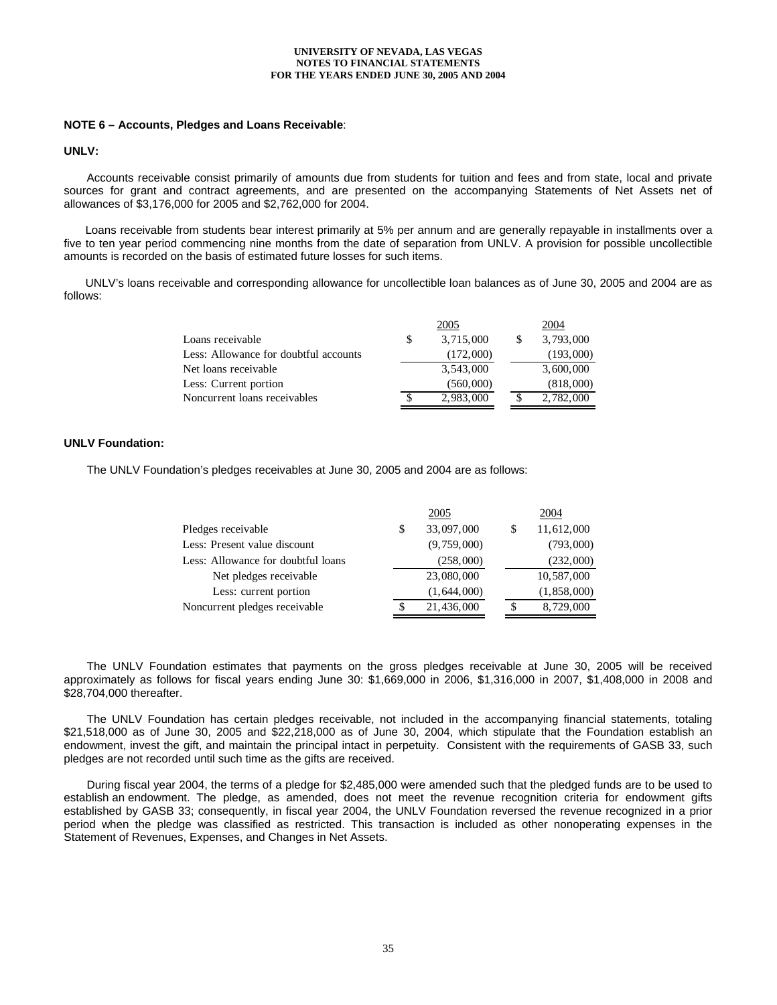#### **NOTE 6 – Accounts, Pledges and Loans Receivable**:

#### **UNLV:**

 Accounts receivable consist primarily of amounts due from students for tuition and fees and from state, local and private sources for grant and contract agreements, and are presented on the accompanying Statements of Net Assets net of allowances of \$3,176,000 for 2005 and \$2,762,000 for 2004.

 Loans receivable from students bear interest primarily at 5% per annum and are generally repayable in installments over a five to ten year period commencing nine months from the date of separation from UNLV. A provision for possible uncollectible amounts is recorded on the basis of estimated future losses for such items.

 UNLV's loans receivable and corresponding allowance for uncollectible loan balances as of June 30, 2005 and 2004 are as follows:

|                                       |          | 2005      | 2004      |
|---------------------------------------|----------|-----------|-----------|
| Loans receivable                      | <b>S</b> | 3,715,000 | 3,793,000 |
| Less: Allowance for doubtful accounts |          | (172,000) | (193,000) |
| Net loans receivable                  |          | 3,543,000 | 3,600,000 |
| Less: Current portion                 |          | (560,000) | (818,000) |
| Noncurrent loans receivables          |          | 2,983,000 | 2,782,000 |

## **UNLV Foundation:**

The UNLV Foundation's pledges receivables at June 30, 2005 and 2004 are as follows:

|                                    | 2005             |    | 2004          |
|------------------------------------|------------------|----|---------------|
| Pledges receivable                 | \$<br>33,097,000 | \$ | 11,612,000    |
| Less: Present value discount       | (9,759,000)      |    | (793,000)     |
| Less: Allowance for doubtful loans | (258,000)        |    | (232,000)     |
| Net pledges receivable             | 23,080,000       |    | 10,587,000    |
| Less: current portion              | (1,644,000)      |    | (1, 858, 000) |
| Noncurrent pledges receivable      | 21,436,000       |    | 8,729,000     |

 The UNLV Foundation estimates that payments on the gross pledges receivable at June 30, 2005 will be received approximately as follows for fiscal years ending June 30: \$1,669,000 in 2006, \$1,316,000 in 2007, \$1,408,000 in 2008 and \$28,704,000 thereafter.

 The UNLV Foundation has certain pledges receivable, not included in the accompanying financial statements, totaling \$21,518,000 as of June 30, 2005 and \$22,218,000 as of June 30, 2004, which stipulate that the Foundation establish an endowment, invest the gift, and maintain the principal intact in perpetuity. Consistent with the requirements of GASB 33, such pledges are not recorded until such time as the gifts are received.

 During fiscal year 2004, the terms of a pledge for \$2,485,000 were amended such that the pledged funds are to be used to establish an endowment. The pledge, as amended, does not meet the revenue recognition criteria for endowment gifts established by GASB 33; consequently, in fiscal year 2004, the UNLV Foundation reversed the revenue recognized in a prior period when the pledge was classified as restricted. This transaction is included as other nonoperating expenses in the Statement of Revenues, Expenses, and Changes in Net Assets.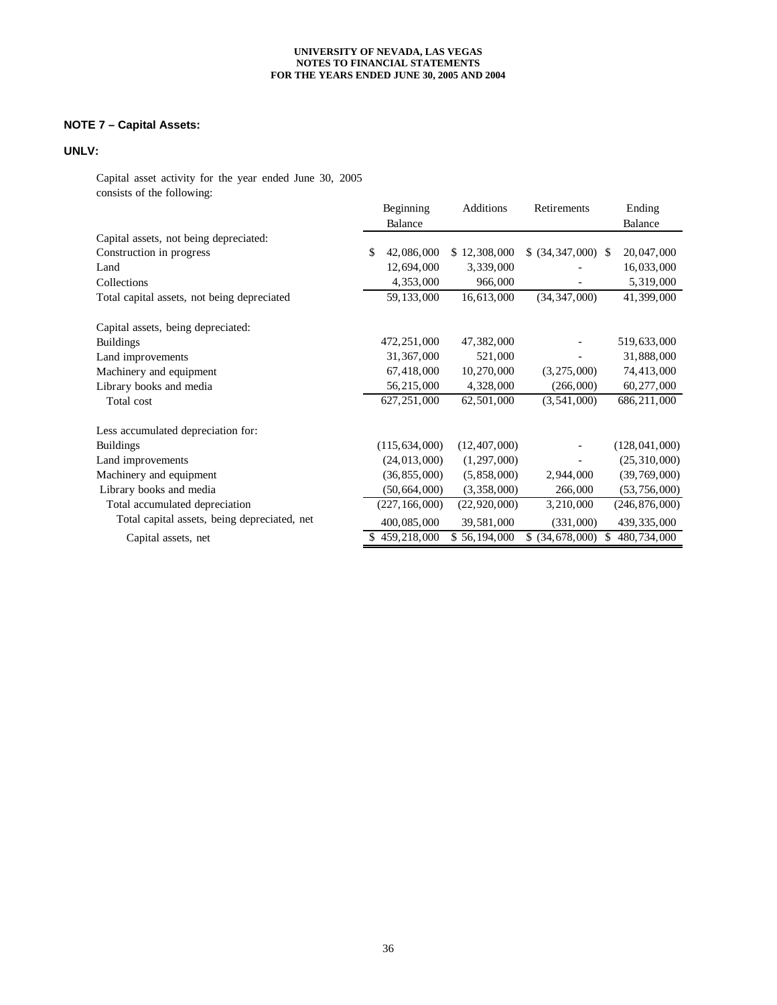# **NOTE 7 – Capital Assets:**

# **UNLV:**

Capital asset activity for the year ended June 30, 2005 consists of the following:

|                                              |     | Beginning       | Additions        | Retirements           |     | Ending          |
|----------------------------------------------|-----|-----------------|------------------|-----------------------|-----|-----------------|
|                                              |     | Balance         |                  |                       |     | <b>Balance</b>  |
| Capital assets, not being depreciated:       |     |                 |                  |                       |     |                 |
| Construction in progress                     | \$. | 42,086,000      | 12,308,000<br>S. | $$$ (34, 347, 000) \, |     | 20,047,000      |
| Land                                         |     | 12,694,000      | 3,339,000        |                       |     | 16,033,000      |
| Collections                                  |     | 4,353,000       | 966,000          |                       |     | 5,319,000       |
| Total capital assets, not being depreciated  |     | 59, 133, 000    | 16,613,000       | (34, 347, 000)        |     | 41,399,000      |
| Capital assets, being depreciated:           |     |                 |                  |                       |     |                 |
| <b>Buildings</b>                             |     | 472, 251, 000   | 47,382,000       |                       |     | 519,633,000     |
| Land improvements                            |     | 31, 367, 000    | 521,000          |                       |     | 31,888,000      |
| Machinery and equipment                      |     | 67,418,000      | 10,270,000       | (3,275,000)           |     | 74,413,000      |
| Library books and media                      |     | 56,215,000      | 4,328,000        | (266,000)             |     | 60,277,000      |
| Total cost                                   |     | 627, 251, 000   | 62,501,000       | (3, 541, 000)         |     | 686,211,000     |
| Less accumulated depreciation for:           |     |                 |                  |                       |     |                 |
| <b>Buildings</b>                             |     | (115, 634, 000) | (12, 407, 000)   |                       |     | (128, 041, 000) |
| Land improvements                            |     | (24, 013, 000)  | (1, 297, 000)    |                       |     | (25,310,000)    |
| Machinery and equipment                      |     | (36, 855, 000)  | (5,858,000)      | 2,944,000             |     | (39, 769, 000)  |
| Library books and media                      |     | (50, 664, 000)  | (3,358,000)      | 266,000               |     | (53, 756, 000)  |
| Total accumulated depreciation               |     | (227, 166, 000) | (22, 920, 000)   | 3,210,000             |     | (246, 876, 000) |
| Total capital assets, being depreciated, net |     | 400,085,000     | 39,581,000       | (331,000)             |     | 439, 335, 000   |
| Capital assets, net                          |     | \$459,218,000   | \$56,194,000     | (34, 678, 000)<br>\$. | \$. | 480,734,000     |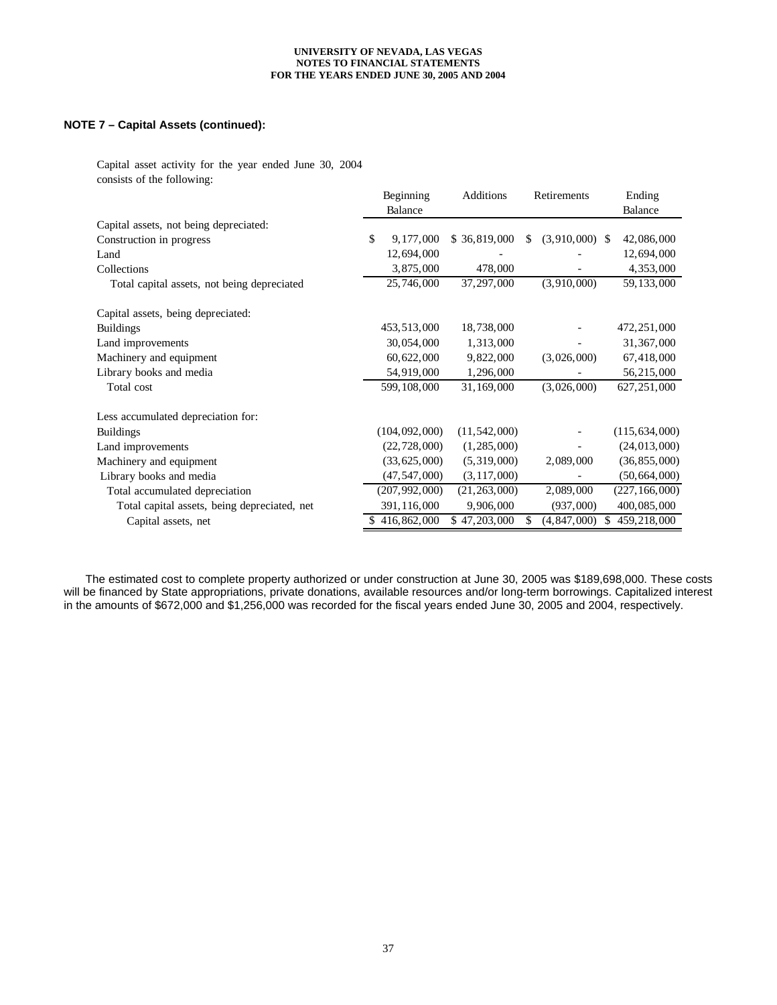## **NOTE 7 – Capital Assets (continued):**

Capital asset activity for the year ended June 30, 2004 consists of the following:

|                                              | Beginning         | Additions      |     | Retirements      |    | Ending          |
|----------------------------------------------|-------------------|----------------|-----|------------------|----|-----------------|
|                                              | Balance           |                |     |                  |    | Balance         |
| Capital assets, not being depreciated:       |                   |                |     |                  |    |                 |
| Construction in progress                     | \$<br>9, 177, 000 | \$36,819,000   | \$. | $(3,910,000)$ \$ |    | 42,086,000      |
| Land                                         | 12,694,000        |                |     |                  |    | 12,694,000      |
| Collections                                  | 3,875,000         | 478,000        |     |                  |    | 4,353,000       |
| Total capital assets, not being depreciated  | 25,746,000        | 37, 297, 000   |     | (3,910,000)      |    | 59, 133, 000    |
| Capital assets, being depreciated:           |                   |                |     |                  |    |                 |
| <b>Buildings</b>                             | 453,513,000       | 18,738,000     |     |                  |    | 472, 251, 000   |
| Land improvements                            | 30,054,000        | 1,313,000      |     |                  |    | 31, 367, 000    |
| Machinery and equipment                      | 60,622,000        | 9,822,000      |     | (3,026,000)      |    | 67,418,000      |
| Library books and media                      | 54,919,000        | 1,296,000      |     |                  |    | 56,215,000      |
| Total cost                                   | 599, 108, 000     | 31,169,000     |     | (3,026,000)      |    | 627, 251, 000   |
| Less accumulated depreciation for:           |                   |                |     |                  |    |                 |
| <b>Buildings</b>                             | (104, 092, 000)   | (11, 542, 000) |     |                  |    | (115, 634, 000) |
| Land improvements                            | (22, 728, 000)    | (1, 285, 000)  |     |                  |    | (24, 013, 000)  |
| Machinery and equipment                      | (33, 625, 000)    | (5,319,000)    |     | 2,089,000        |    | (36, 855, 000)  |
| Library books and media                      | (47, 547, 000)    | (3, 117, 000)  |     |                  |    | (50, 664, 000)  |
| Total accumulated depreciation               | (207, 992, 000)   | (21, 263, 000) |     | 2,089,000        |    | (227, 166, 000) |
| Total capital assets, being depreciated, net | 391,116,000       | 9,906,000      |     | (937,000)        |    | 400,085,000     |
| Capital assets, net                          | \$416,862,000     | \$47,203,000   | S   | (4, 847, 000)    | S. | 459,218,000     |

 The estimated cost to complete property authorized or under construction at June 30, 2005 was \$189,698,000. These costs will be financed by State appropriations, private donations, available resources and/or long-term borrowings. Capitalized interest in the amounts of \$672,000 and \$1,256,000 was recorded for the fiscal years ended June 30, 2005 and 2004, respectively.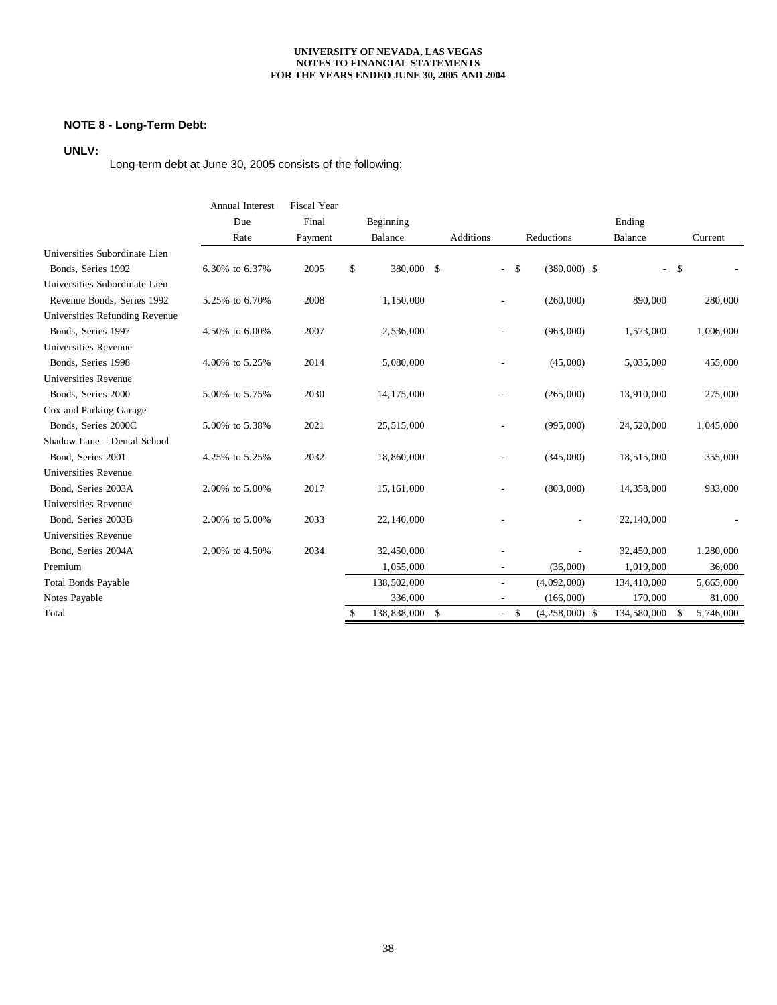# **NOTE 8 - Long-Term Debt:**

# **UNLV:**

Long-term debt at June 30, 2005 consists of the following:

|                                | <b>Annual Interest</b> | <b>Fiscal Year</b> |                   |           |                          |                  |              |                |
|--------------------------------|------------------------|--------------------|-------------------|-----------|--------------------------|------------------|--------------|----------------|
|                                | Due                    | Final              | Beginning         |           |                          |                  | Ending       |                |
|                                | Rate                   | Payment            | Balance           | Additions |                          | Reductions       | Balance      | Current        |
| Universities Subordinate Lien  |                        |                    |                   |           |                          |                  |              |                |
| Bonds, Series 1992             | 6.30% to 6.37%         | 2005               | 380,000 \$<br>\$  |           | \$<br>$\sim$             | $(380,000)$ \$   |              | $-5$           |
| Universities Subordinate Lien  |                        |                    |                   |           |                          |                  |              |                |
| Revenue Bonds, Series 1992     | 5.25% to 6.70%         | 2008               | 1,150,000         |           |                          | (260,000)        | 890,000      | 280,000        |
| Universities Refunding Revenue |                        |                    |                   |           |                          |                  |              |                |
| Bonds, Series 1997             | 4.50% to 6.00%         | 2007               | 2,536,000         |           |                          | (963,000)        | 1,573,000    | 1,006,000      |
| <b>Universities Revenue</b>    |                        |                    |                   |           |                          |                  |              |                |
| Bonds, Series 1998             | 4.00% to 5.25%         | 2014               | 5,080,000         |           |                          | (45,000)         | 5,035,000    | 455,000        |
| <b>Universities Revenue</b>    |                        |                    |                   |           |                          |                  |              |                |
| Bonds, Series 2000             | 5.00% to 5.75%         | 2030               | 14, 175, 000      |           | $\overline{\phantom{a}}$ | (265,000)        | 13,910,000   | 275,000        |
| Cox and Parking Garage         |                        |                    |                   |           |                          |                  |              |                |
| Bonds, Series 2000C            | 5.00% to 5.38%         | 2021               | 25,515,000        |           |                          | (995,000)        | 24,520,000   | 1,045,000      |
| Shadow Lane - Dental School    |                        |                    |                   |           |                          |                  |              |                |
| Bond, Series 2001              | 4.25% to 5.25%         | 2032               | 18,860,000        |           |                          | (345,000)        | 18,515,000   | 355,000        |
| Universities Revenue           |                        |                    |                   |           |                          |                  |              |                |
| Bond, Series 2003A             | 2.00% to 5.00%         | 2017               | 15,161,000        |           |                          | (803,000)        | 14,358,000   | 933,000        |
| Universities Revenue           |                        |                    |                   |           |                          |                  |              |                |
| Bond, Series 2003B             | 2.00% to 5.00%         | 2033               | 22, 140, 000      |           |                          |                  | 22, 140, 000 |                |
| Universities Revenue           |                        |                    |                   |           |                          |                  |              |                |
| Bond, Series 2004A             | 2.00% to 4.50%         | 2034               | 32,450,000        |           |                          |                  | 32,450,000   | 1,280,000      |
| Premium                        |                        |                    | 1,055,000         |           | $\sim$                   | (36,000)         | 1,019,000    | 36,000         |
| <b>Total Bonds Payable</b>     |                        |                    | 138,502,000       |           |                          | (4,092,000)      | 134,410,000  | 5,665,000      |
| Notes Payable                  |                        |                    | 336,000           |           |                          | (166,000)        | 170,000      | 81,000         |
| Total                          |                        |                    | 138,838,000<br>\$ | \$        | \$<br>$\sim$             | $(4,258,000)$ \$ | 134,580,000  | 5,746,000<br>S |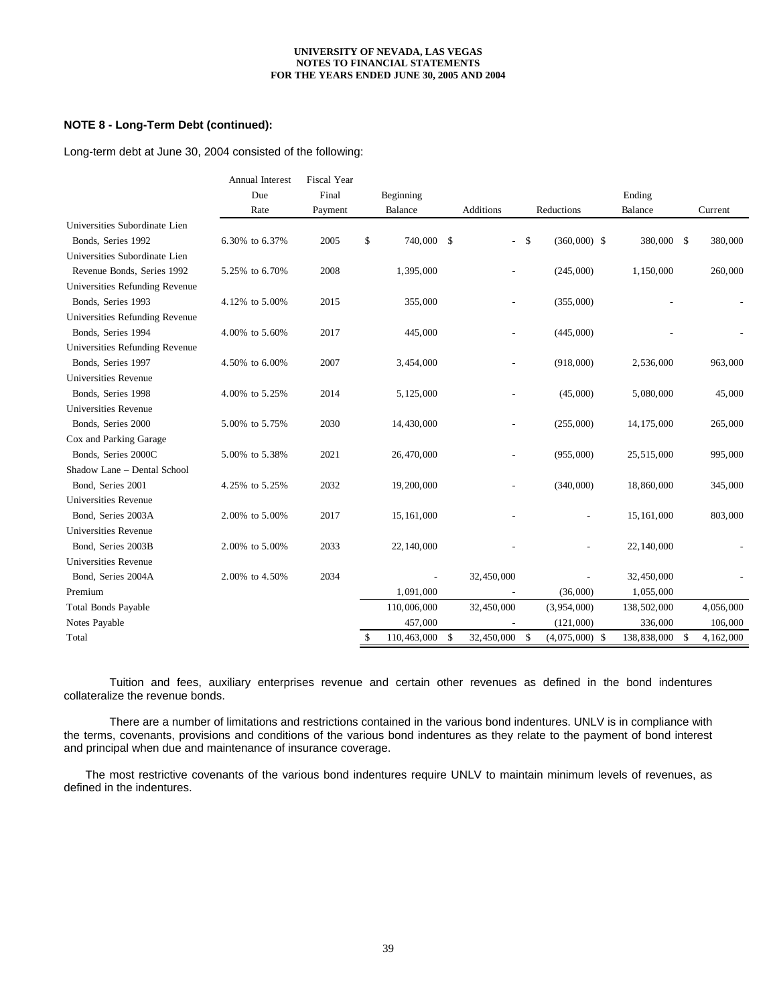## **NOTE 8 - Long-Term Debt (continued):**

Long-term debt at June 30, 2004 consisted of the following:

|                                | <b>Annual Interest</b> | <b>Fiscal Year</b> |                   |                     |                                |              |                 |
|--------------------------------|------------------------|--------------------|-------------------|---------------------|--------------------------------|--------------|-----------------|
|                                | Due                    | Final              | Beginning         |                     |                                | Ending       |                 |
|                                | Rate                   | Payment            | Balance           | Additions           | Reductions                     | Balance      | Current         |
| Universities Subordinate Lien  |                        |                    |                   |                     |                                |              |                 |
| Bonds, Series 1992             | 6.30% to 6.37%         | 2005               | \$<br>740,000 \$  | $\overline{a}$      | $\mathbb{S}$<br>$(360,000)$ \$ | 380,000 \$   | 380,000         |
| Universities Subordinate Lien  |                        |                    |                   |                     |                                |              |                 |
| Revenue Bonds, Series 1992     | 5.25% to 6.70%         | 2008               | 1,395,000         |                     | (245,000)                      | 1,150,000    | 260,000         |
| Universities Refunding Revenue |                        |                    |                   |                     |                                |              |                 |
| Bonds, Series 1993             | 4.12% to 5.00%         | 2015               | 355,000           |                     | (355,000)                      |              |                 |
| Universities Refunding Revenue |                        |                    |                   |                     |                                |              |                 |
| Bonds, Series 1994             | 4.00% to 5.60%         | 2017               | 445,000           |                     | (445,000)                      |              |                 |
| Universities Refunding Revenue |                        |                    |                   |                     |                                |              |                 |
| Bonds, Series 1997             | 4.50% to 6.00%         | 2007               | 3,454,000         |                     | (918,000)                      | 2,536,000    | 963,000         |
| <b>Universities Revenue</b>    |                        |                    |                   |                     |                                |              |                 |
| Bonds, Series 1998             | 4.00% to 5.25%         | 2014               | 5,125,000         |                     | (45,000)                       | 5,080,000    | 45,000          |
| <b>Universities Revenue</b>    |                        |                    |                   |                     |                                |              |                 |
| Bonds, Series 2000             | 5.00% to 5.75%         | 2030               | 14,430,000        |                     | (255,000)                      | 14, 175, 000 | 265,000         |
| Cox and Parking Garage         |                        |                    |                   |                     |                                |              |                 |
| Bonds, Series 2000C            | 5.00% to 5.38%         | 2021               | 26,470,000        |                     | (955,000)                      | 25,515,000   | 995,000         |
| Shadow Lane - Dental School    |                        |                    |                   |                     |                                |              |                 |
| Bond, Series 2001              | 4.25% to 5.25%         | 2032               | 19,200,000        |                     | (340,000)                      | 18,860,000   | 345,000         |
| Universities Revenue           |                        |                    |                   |                     |                                |              |                 |
| Bond, Series 2003A             | 2.00% to 5.00%         | 2017               | 15,161,000        |                     |                                | 15,161,000   | 803,000         |
| Universities Revenue           |                        |                    |                   |                     |                                |              |                 |
| Bond, Series 2003B             | 2.00% to 5.00%         | 2033               | 22, 140, 000      |                     |                                | 22,140,000   |                 |
| <b>Universities Revenue</b>    |                        |                    |                   |                     |                                |              |                 |
| Bond, Series 2004A             | 2.00% to 4.50%         | 2034               | $\overline{a}$    | 32,450,000          | $\overline{a}$                 | 32,450,000   |                 |
| Premium                        |                        |                    | 1,091,000         |                     | (36,000)                       | 1,055,000    |                 |
| <b>Total Bonds Payable</b>     |                        |                    | 110,006,000       | 32,450,000          | (3,954,000)                    | 138,502,000  | 4,056,000       |
| Notes Payable                  |                        |                    | 457,000           |                     | (121,000)                      | 336,000      | 106,000         |
| Total                          |                        |                    | \$<br>110,463,000 | \$<br>32,450,000 \$ | $(4,075,000)$ \$               | 138,838,000  | 4,162,000<br>-S |

 Tuition and fees, auxiliary enterprises revenue and certain other revenues as defined in the bond indentures collateralize the revenue bonds.

 There are a number of limitations and restrictions contained in the various bond indentures. UNLV is in compliance with the terms, covenants, provisions and conditions of the various bond indentures as they relate to the payment of bond interest and principal when due and maintenance of insurance coverage.

 The most restrictive covenants of the various bond indentures require UNLV to maintain minimum levels of revenues, as defined in the indentures.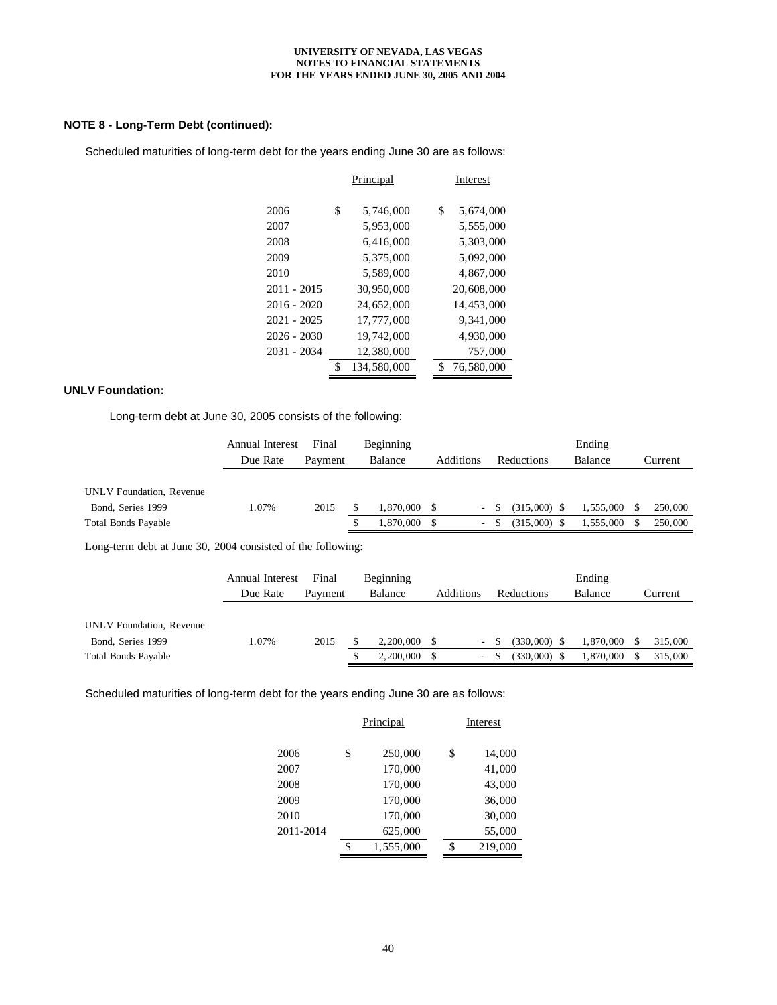## **NOTE 8 - Long-Term Debt (continued):**

Scheduled maturities of long-term debt for the years ending June 30 are as follows:

|               | Principal         |    | Interest   |
|---------------|-------------------|----|------------|
| 2006          | \$<br>5,746,000   | \$ | 5,674,000  |
| 2007          | 5,953,000         |    | 5,555,000  |
| 2008          | 6,416,000         |    | 5,303,000  |
| 2009          | 5,375,000         |    | 5,092,000  |
| 2010          | 5,589,000         |    | 4,867,000  |
| $2011 - 2015$ | 30,950,000        |    | 20,608,000 |
| 2016 - 2020   | 24,652,000        |    | 14,453,000 |
| $2021 - 2025$ | 17,777,000        |    | 9,341,000  |
| $2026 - 2030$ | 19,742,000        |    | 4,930,000  |
| $2031 - 2034$ | 12,380,000        |    | 757,000    |
|               | \$<br>134,580,000 |    | 76,580,000 |
|               |                   |    |            |

### **UNLV Foundation:**

Long-term debt at June 30, 2005 consists of the following:

|                            | <b>Annual Interest</b> | Final   | Beginning |           |                          |                | Ending    |         |
|----------------------------|------------------------|---------|-----------|-----------|--------------------------|----------------|-----------|---------|
|                            | Due Rate               | Payment | Balance   | Additions |                          | Reductions     | Balance   | Current |
|                            |                        |         |           |           |                          |                |           |         |
| UNLV Foundation, Revenue   |                        |         |           |           |                          |                |           |         |
| Bond, Series 1999          | 1.07%                  | 2015    | 1.870.000 |           | $\overline{\phantom{a}}$ | $(315,000)$ \$ | 1,555,000 | 250,000 |
| <b>Total Bonds Payable</b> |                        |         | 1.870.000 |           | $\overline{\phantom{a}}$ | $(315,000)$ \$ | 1,555,000 | 250,000 |
|                            |                        |         |           |           |                          |                |           |         |

Long-term debt at June 30, 2004 consisted of the following:

|                            | Annual Interest | Final   | Beginning      |           |                | Ending    |         |
|----------------------------|-----------------|---------|----------------|-----------|----------------|-----------|---------|
|                            | Due Rate        | Payment | Balance        | Additions | Reductions     | Balance   | Current |
|                            |                 |         |                |           |                |           |         |
| UNLV Foundation, Revenue   |                 |         |                |           |                |           |         |
| Bond, Series 1999          | l.07%           | 2015    | $2,200,000$ \$ | $\sim$    | $(330,000)$ \$ | 1,870,000 | 315,000 |
| <b>Total Bonds Payable</b> |                 |         | 2,200,000      | $\sim$    | $(330,000)$ \$ | 1,870,000 | 315,000 |

Scheduled maturities of long-term debt for the years ending June 30 are as follows:

|           | Principal       | Interest      |
|-----------|-----------------|---------------|
| 2006      | \$<br>250,000   | \$<br>14,000  |
| 2007      | 170,000         | 41,000        |
| 2008      | 170,000         | 43,000        |
| 2009      | 170,000         | 36,000        |
| 2010      | 170,000         | 30,000        |
| 2011-2014 | 625,000         | 55,000        |
|           | \$<br>1,555,000 | \$<br>219,000 |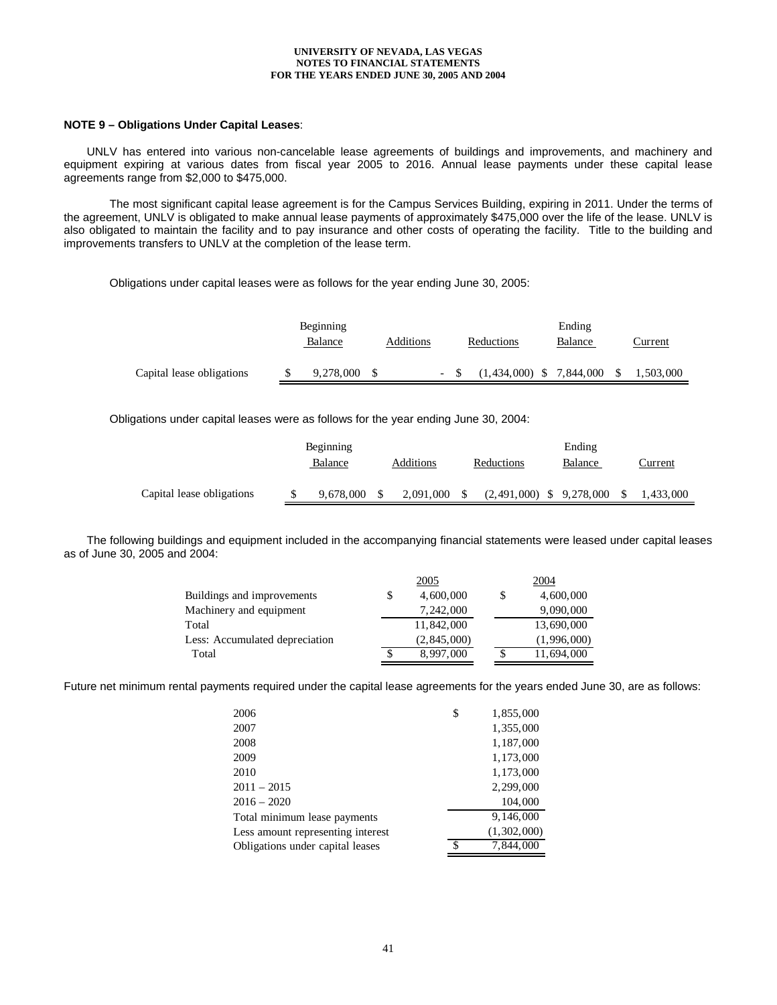### **NOTE 9 – Obligations Under Capital Leases**:

 UNLV has entered into various non-cancelable lease agreements of buildings and improvements, and machinery and equipment expiring at various dates from fiscal year 2005 to 2016. Annual lease payments under these capital lease agreements range from \$2,000 to \$475,000.

 The most significant capital lease agreement is for the Campus Services Building, expiring in 2011. Under the terms of the agreement, UNLV is obligated to make annual lease payments of approximately \$475,000 over the life of the lease. UNLV is also obligated to maintain the facility and to pay insurance and other costs of operating the facility. Title to the building and improvements transfers to UNLV at the completion of the lease term.

Obligations under capital leases were as follows for the year ending June 30, 2005:

|                           | Beginning |           |  |                            | Ending  |     |           |
|---------------------------|-----------|-----------|--|----------------------------|---------|-----|-----------|
|                           | Balance   | Additions |  | Reductions                 | Balance |     | Current   |
|                           |           |           |  |                            |         |     |           |
| Capital lease obligations | 9,278,000 |           |  | $(1,434,000)$ \$ 7,844,000 |         | -\$ | 1,503,000 |

Obligations under capital leases were as follows for the year ending June 30, 2004:

|                           | Beginning |           |  |           | Ending                     |         |      |           |  |
|---------------------------|-----------|-----------|--|-----------|----------------------------|---------|------|-----------|--|
|                           |           | Balance   |  | Additions | Reductions                 | Balance |      | Current   |  |
| Capital lease obligations |           | 9.678.000 |  | 2.091.000 | $(2,491,000)$ \$ 9,278,000 |         | - \$ | 1,433,000 |  |

 The following buildings and equipment included in the accompanying financial statements were leased under capital leases as of June 30, 2005 and 2004:

|                                |   | 2005          | 2004             |
|--------------------------------|---|---------------|------------------|
| Buildings and improvements     | S | 4,600,000     | \$<br>4,600,000  |
| Machinery and equipment        |   | 7,242,000     | 9,090,000        |
| Total                          |   | 11,842,000    | 13,690,000       |
| Less: Accumulated depreciation |   | (2, 845, 000) | (1,996,000)      |
| Total                          |   | 8,997,000     | \$<br>11,694,000 |

Future net minimum rental payments required under the capital lease agreements for the years ended June 30, are as follows:

| 2006                              | \$<br>1,855,000 |
|-----------------------------------|-----------------|
| 2007                              | 1,355,000       |
| 2008                              | 1,187,000       |
| 2009                              | 1,173,000       |
| 2010                              | 1,173,000       |
| $2011 - 2015$                     | 2,299,000       |
| $2016 - 2020$                     | 104,000         |
| Total minimum lease payments      | 9,146,000       |
| Less amount representing interest | (1,302,000)     |
| Obligations under capital leases  | \$<br>7,844,000 |
|                                   |                 |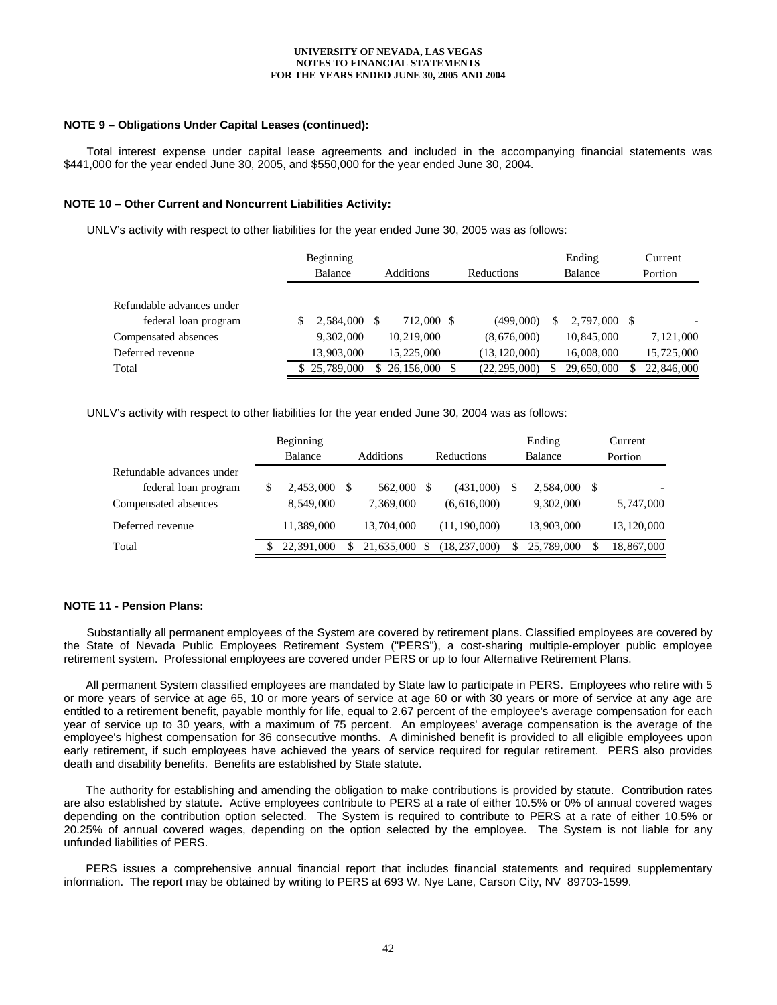### **NOTE 9 – Obligations Under Capital Leases (continued):**

 Total interest expense under capital lease agreements and included in the accompanying financial statements was \$441,000 for the year ended June 30, 2005, and \$550,000 for the year ended June 30, 2004.

#### **NOTE 10 – Other Current and Noncurrent Liabilities Activity:**

UNLV's activity with respect to other liabilities for the year ended June 30, 2005 was as follows:

|                           | Beginning      |                  |                   |     | Ending       | Current    |
|---------------------------|----------------|------------------|-------------------|-----|--------------|------------|
|                           | <b>Balance</b> | <b>Additions</b> | <b>Reductions</b> |     | Balance      | Portion    |
| Refundable advances under |                |                  |                   |     |              |            |
| federal loan program      | 2,584,000      | 712,000 \$       | (499,000)         | \$. | 2.797,000 \$ |            |
| Compensated absences      | 9,302,000      | 10,219,000       | (8,676,000)       |     | 10,845,000   | 7,121,000  |
| Deferred revenue          | 13,903,000     | 15,225,000       | (13, 120, 000)    |     | 16,008,000   | 15,725,000 |
| Total                     | \$25,789,000   | 26, 156, 000     | (22, 295, 000)    |     | 29,650,000   | 22,846,000 |

UNLV's activity with respect to other liabilities for the year ended June 30, 2004 was as follows:

|                                                   |    | Beginning<br>Balance |     | <b>Additions</b> | <b>Reductions</b> |    | Ending<br>Balance | Current<br>Portion |
|---------------------------------------------------|----|----------------------|-----|------------------|-------------------|----|-------------------|--------------------|
| Refundable advances under<br>federal loan program | S  | 2.453,000            |     | 562,000          | (431,000)         | S  | 2.584,000 \$      |                    |
| Compensated absences                              |    | 8.549.000            |     | 7,369,000        | (6,616,000)       |    | 9,302,000         | 5,747,000          |
| Deferred revenue                                  |    | 11.389.000           |     | 13,704,000       | (11, 190, 000)    |    | 13,903,000        | 13, 120, 000       |
| Total                                             | S. | 22,391,000           | \$. | 21,635,000       | (18, 237, 000)    | S. | 25,789,000        | \$<br>18,867,000   |

#### **NOTE 11 - Pension Plans:**

 Substantially all permanent employees of the System are covered by retirement plans. Classified employees are covered by the State of Nevada Public Employees Retirement System ("PERS"), a cost-sharing multiple-employer public employee retirement system. Professional employees are covered under PERS or up to four Alternative Retirement Plans.

 All permanent System classified employees are mandated by State law to participate in PERS. Employees who retire with 5 or more years of service at age 65, 10 or more years of service at age 60 or with 30 years or more of service at any age are entitled to a retirement benefit, payable monthly for life, equal to 2.67 percent of the employee's average compensation for each year of service up to 30 years, with a maximum of 75 percent. An employees' average compensation is the average of the employee's highest compensation for 36 consecutive months. A diminished benefit is provided to all eligible employees upon early retirement, if such employees have achieved the years of service required for regular retirement. PERS also provides death and disability benefits. Benefits are established by State statute.

 The authority for establishing and amending the obligation to make contributions is provided by statute. Contribution rates are also established by statute. Active employees contribute to PERS at a rate of either 10.5% or 0% of annual covered wages depending on the contribution option selected. The System is required to contribute to PERS at a rate of either 10.5% or 20.25% of annual covered wages, depending on the option selected by the employee. The System is not liable for any unfunded liabilities of PERS.

 PERS issues a comprehensive annual financial report that includes financial statements and required supplementary information. The report may be obtained by writing to PERS at 693 W. Nye Lane, Carson City, NV 89703-1599.